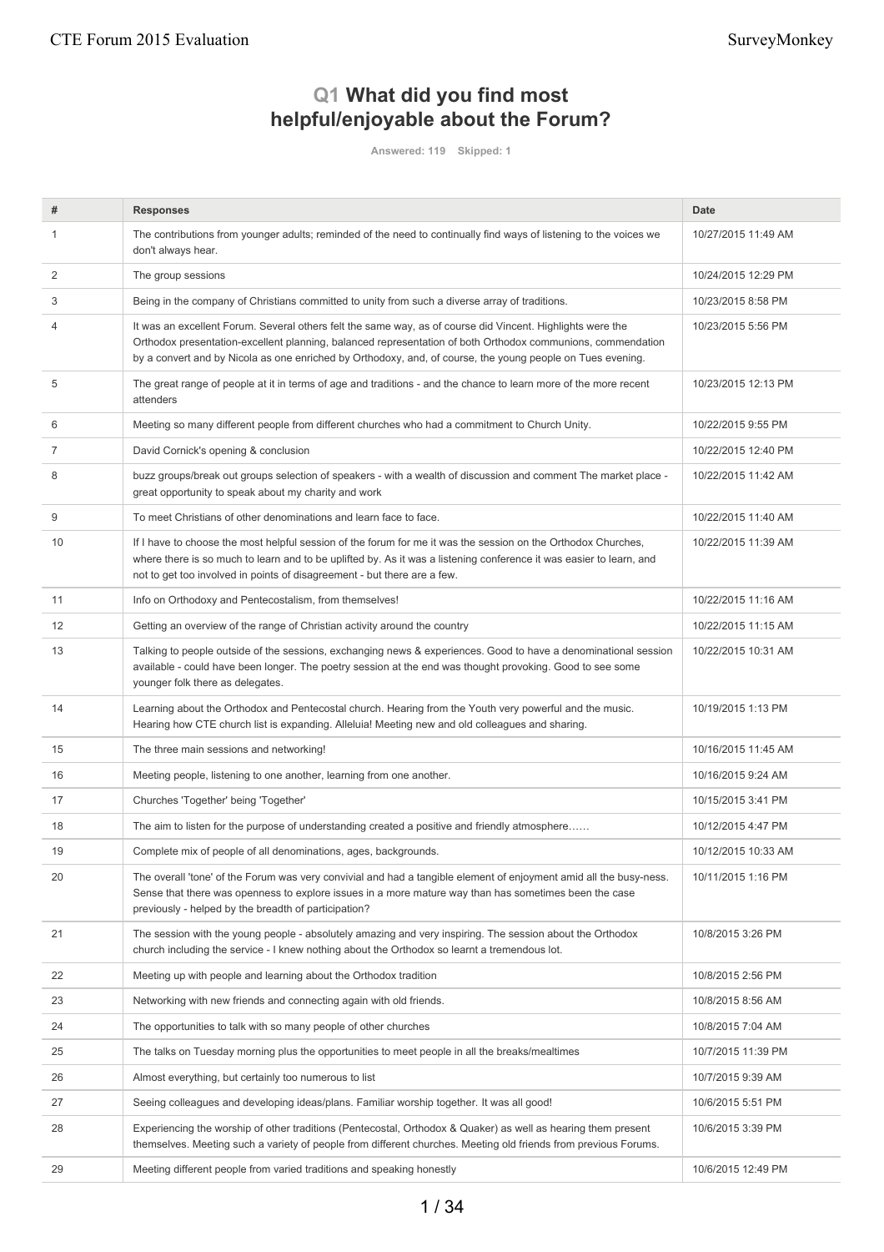# **Q1 What did you find most helpful/enjoyable about the Forum?**

**Answered: 119 Skipped: 1**

| #  | <b>Responses</b>                                                                                                                                                                                                                                                                                                                        | <b>Date</b>         |
|----|-----------------------------------------------------------------------------------------------------------------------------------------------------------------------------------------------------------------------------------------------------------------------------------------------------------------------------------------|---------------------|
|    | The contributions from younger adults; reminded of the need to continually find ways of listening to the voices we<br>don't always hear.                                                                                                                                                                                                | 10/27/2015 11:49 AM |
| 2  | The group sessions                                                                                                                                                                                                                                                                                                                      | 10/24/2015 12:29 PM |
| 3  | Being in the company of Christians committed to unity from such a diverse array of traditions.                                                                                                                                                                                                                                          | 10/23/2015 8:58 PM  |
| 4  | It was an excellent Forum. Several others felt the same way, as of course did Vincent. Highlights were the<br>Orthodox presentation-excellent planning, balanced representation of both Orthodox communions, commendation<br>by a convert and by Nicola as one enriched by Orthodoxy, and, of course, the young people on Tues evening. | 10/23/2015 5:56 PM  |
| 5  | The great range of people at it in terms of age and traditions - and the chance to learn more of the more recent<br>attenders                                                                                                                                                                                                           | 10/23/2015 12:13 PM |
| 6  | Meeting so many different people from different churches who had a commitment to Church Unity.                                                                                                                                                                                                                                          | 10/22/2015 9:55 PM  |
| 7  | David Cornick's opening & conclusion                                                                                                                                                                                                                                                                                                    | 10/22/2015 12:40 PM |
| 8  | buzz groups/break out groups selection of speakers - with a wealth of discussion and comment The market place -<br>great opportunity to speak about my charity and work                                                                                                                                                                 | 10/22/2015 11:42 AM |
| 9  | To meet Christians of other denominations and learn face to face.                                                                                                                                                                                                                                                                       | 10/22/2015 11:40 AM |
| 10 | If I have to choose the most helpful session of the forum for me it was the session on the Orthodox Churches,<br>where there is so much to learn and to be uplifted by. As it was a listening conference it was easier to learn, and<br>not to get too involved in points of disagreement - but there are a few.                        | 10/22/2015 11:39 AM |
| 11 | Info on Orthodoxy and Pentecostalism, from themselves!                                                                                                                                                                                                                                                                                  | 10/22/2015 11:16 AM |
| 12 | Getting an overview of the range of Christian activity around the country                                                                                                                                                                                                                                                               | 10/22/2015 11:15 AM |
| 13 | Talking to people outside of the sessions, exchanging news & experiences. Good to have a denominational session<br>available - could have been longer. The poetry session at the end was thought provoking. Good to see some<br>younger folk there as delegates.                                                                        | 10/22/2015 10:31 AM |
| 14 | Learning about the Orthodox and Pentecostal church. Hearing from the Youth very powerful and the music.<br>Hearing how CTE church list is expanding. Alleluia! Meeting new and old colleagues and sharing.                                                                                                                              | 10/19/2015 1:13 PM  |
| 15 | The three main sessions and networking!                                                                                                                                                                                                                                                                                                 | 10/16/2015 11:45 AM |
| 16 | Meeting people, listening to one another, learning from one another.                                                                                                                                                                                                                                                                    | 10/16/2015 9:24 AM  |
| 17 | Churches 'Together' being 'Together'                                                                                                                                                                                                                                                                                                    | 10/15/2015 3:41 PM  |
| 18 | The aim to listen for the purpose of understanding created a positive and friendly atmosphere                                                                                                                                                                                                                                           | 10/12/2015 4:47 PM  |
| 19 | Complete mix of people of all denominations, ages, backgrounds.                                                                                                                                                                                                                                                                         | 10/12/2015 10:33 AM |
| 20 | The overall 'tone' of the Forum was very convivial and had a tangible element of enjoyment amid all the busy-ness.<br>Sense that there was openness to explore issues in a more mature way than has sometimes been the case<br>previously - helped by the breadth of participation?                                                     | 10/11/2015 1:16 PM  |
| 21 | The session with the young people - absolutely amazing and very inspiring. The session about the Orthodox<br>church including the service - I knew nothing about the Orthodox so learnt a tremendous lot.                                                                                                                               | 10/8/2015 3:26 PM   |
| 22 | Meeting up with people and learning about the Orthodox tradition                                                                                                                                                                                                                                                                        | 10/8/2015 2:56 PM   |
| 23 | Networking with new friends and connecting again with old friends.                                                                                                                                                                                                                                                                      | 10/8/2015 8:56 AM   |
| 24 | The opportunities to talk with so many people of other churches                                                                                                                                                                                                                                                                         | 10/8/2015 7:04 AM   |
| 25 | The talks on Tuesday morning plus the opportunities to meet people in all the breaks/mealtimes                                                                                                                                                                                                                                          | 10/7/2015 11:39 PM  |
| 26 | Almost everything, but certainly too numerous to list                                                                                                                                                                                                                                                                                   | 10/7/2015 9:39 AM   |
| 27 | Seeing colleagues and developing ideas/plans. Familiar worship together. It was all good!                                                                                                                                                                                                                                               | 10/6/2015 5:51 PM   |
| 28 | Experiencing the worship of other traditions (Pentecostal, Orthodox & Quaker) as well as hearing them present<br>themselves. Meeting such a variety of people from different churches. Meeting old friends from previous Forums.                                                                                                        | 10/6/2015 3:39 PM   |
| 29 | Meeting different people from varied traditions and speaking honestly                                                                                                                                                                                                                                                                   | 10/6/2015 12:49 PM  |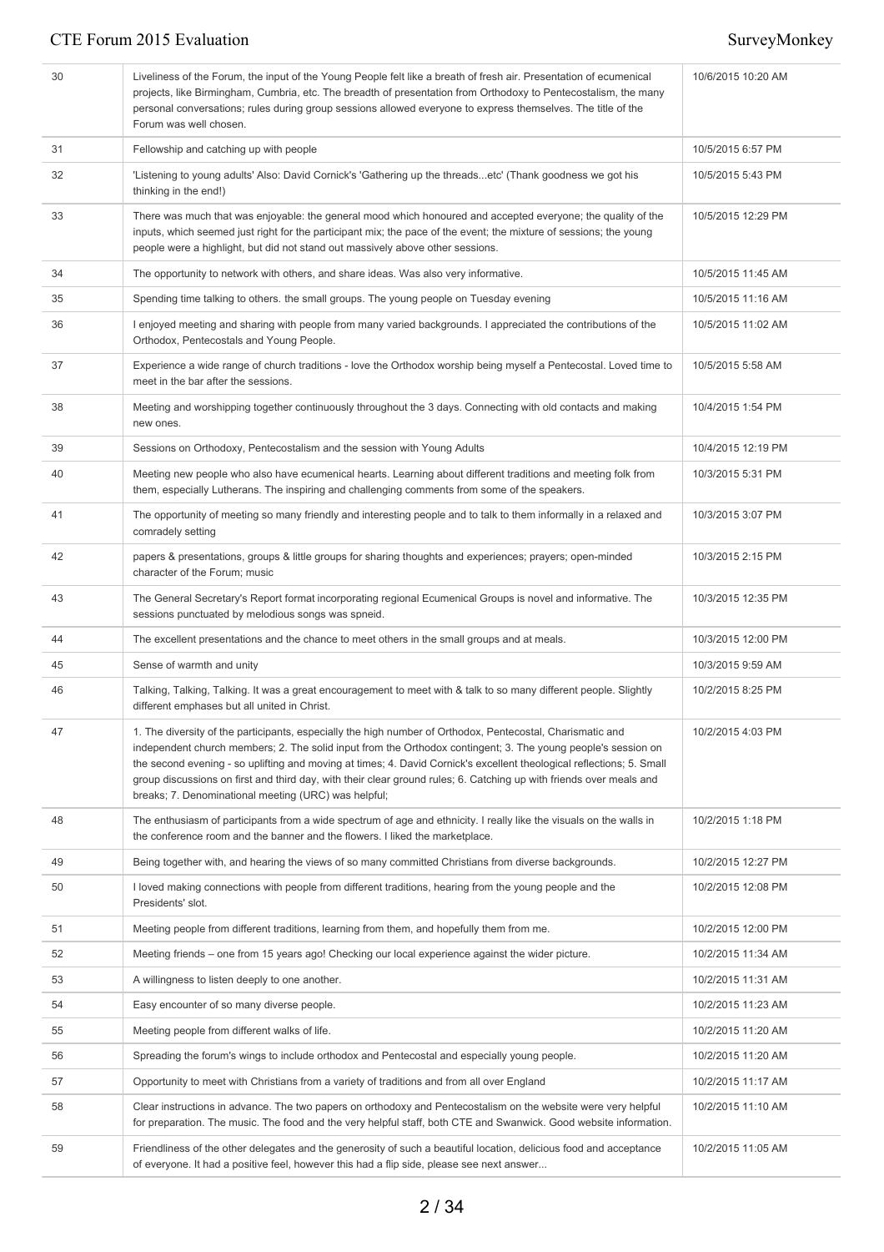| 30 | Liveliness of the Forum, the input of the Young People felt like a breath of fresh air. Presentation of ecumenical<br>projects, like Birmingham, Cumbria, etc. The breadth of presentation from Orthodoxy to Pentecostalism, the many<br>personal conversations; rules during group sessions allowed everyone to express themselves. The title of the<br>Forum was well chosen.                                                                                                                                                     | 10/6/2015 10:20 AM |
|----|-------------------------------------------------------------------------------------------------------------------------------------------------------------------------------------------------------------------------------------------------------------------------------------------------------------------------------------------------------------------------------------------------------------------------------------------------------------------------------------------------------------------------------------|--------------------|
| 31 | Fellowship and catching up with people                                                                                                                                                                                                                                                                                                                                                                                                                                                                                              | 10/5/2015 6:57 PM  |
| 32 | 'Listening to young adults' Also: David Cornick's 'Gathering up the threadsetc' (Thank goodness we got his<br>thinking in the end!)                                                                                                                                                                                                                                                                                                                                                                                                 | 10/5/2015 5:43 PM  |
| 33 | There was much that was enjoyable: the general mood which honoured and accepted everyone; the quality of the<br>inputs, which seemed just right for the participant mix; the pace of the event; the mixture of sessions; the young<br>people were a highlight, but did not stand out massively above other sessions.                                                                                                                                                                                                                | 10/5/2015 12:29 PM |
| 34 | The opportunity to network with others, and share ideas. Was also very informative.                                                                                                                                                                                                                                                                                                                                                                                                                                                 | 10/5/2015 11:45 AM |
| 35 | Spending time talking to others. the small groups. The young people on Tuesday evening                                                                                                                                                                                                                                                                                                                                                                                                                                              | 10/5/2015 11:16 AM |
| 36 | I enjoyed meeting and sharing with people from many varied backgrounds. I appreciated the contributions of the<br>Orthodox, Pentecostals and Young People.                                                                                                                                                                                                                                                                                                                                                                          | 10/5/2015 11:02 AM |
| 37 | Experience a wide range of church traditions - love the Orthodox worship being myself a Pentecostal. Loved time to<br>meet in the bar after the sessions.                                                                                                                                                                                                                                                                                                                                                                           | 10/5/2015 5:58 AM  |
| 38 | Meeting and worshipping together continuously throughout the 3 days. Connecting with old contacts and making<br>new ones.                                                                                                                                                                                                                                                                                                                                                                                                           | 10/4/2015 1:54 PM  |
| 39 | Sessions on Orthodoxy, Pentecostalism and the session with Young Adults                                                                                                                                                                                                                                                                                                                                                                                                                                                             | 10/4/2015 12:19 PM |
| 40 | Meeting new people who also have ecumenical hearts. Learning about different traditions and meeting folk from<br>them, especially Lutherans. The inspiring and challenging comments from some of the speakers.                                                                                                                                                                                                                                                                                                                      | 10/3/2015 5:31 PM  |
| 41 | The opportunity of meeting so many friendly and interesting people and to talk to them informally in a relaxed and<br>comradely setting                                                                                                                                                                                                                                                                                                                                                                                             | 10/3/2015 3:07 PM  |
| 42 | papers & presentations, groups & little groups for sharing thoughts and experiences; prayers; open-minded<br>character of the Forum; music                                                                                                                                                                                                                                                                                                                                                                                          | 10/3/2015 2:15 PM  |
| 43 | The General Secretary's Report format incorporating regional Ecumenical Groups is novel and informative. The<br>sessions punctuated by melodious songs was spneid.                                                                                                                                                                                                                                                                                                                                                                  | 10/3/2015 12:35 PM |
| 44 | The excellent presentations and the chance to meet others in the small groups and at meals.                                                                                                                                                                                                                                                                                                                                                                                                                                         | 10/3/2015 12:00 PM |
| 45 | Sense of warmth and unity                                                                                                                                                                                                                                                                                                                                                                                                                                                                                                           | 10/3/2015 9:59 AM  |
| 46 | Talking, Talking, Talking. It was a great encouragement to meet with & talk to so many different people. Slightly<br>different emphases but all united in Christ.                                                                                                                                                                                                                                                                                                                                                                   | 10/2/2015 8:25 PM  |
| 47 | 1. The diversity of the participants, especially the high number of Orthodox, Pentecostal, Charismatic and<br>independent church members; 2. The solid input from the Orthodox contingent; 3. The young people's session on<br>the second evening - so uplifting and moving at times; 4. David Cornick's excellent theological reflections; 5. Small<br>group discussions on first and third day, with their clear ground rules; 6. Catching up with friends over meals and<br>breaks; 7. Denominational meeting (URC) was helpful; | 10/2/2015 4:03 PM  |
| 48 | The enthusiasm of participants from a wide spectrum of age and ethnicity. I really like the visuals on the walls in<br>the conference room and the banner and the flowers. I liked the marketplace.                                                                                                                                                                                                                                                                                                                                 | 10/2/2015 1:18 PM  |
| 49 | Being together with, and hearing the views of so many committed Christians from diverse backgrounds.                                                                                                                                                                                                                                                                                                                                                                                                                                | 10/2/2015 12:27 PM |
| 50 | I loved making connections with people from different traditions, hearing from the young people and the<br>Presidents' slot.                                                                                                                                                                                                                                                                                                                                                                                                        | 10/2/2015 12:08 PM |
| 51 | Meeting people from different traditions, learning from them, and hopefully them from me.                                                                                                                                                                                                                                                                                                                                                                                                                                           | 10/2/2015 12:00 PM |
| 52 | Meeting friends – one from 15 years ago! Checking our local experience against the wider picture.                                                                                                                                                                                                                                                                                                                                                                                                                                   | 10/2/2015 11:34 AM |
| 53 | A willingness to listen deeply to one another.                                                                                                                                                                                                                                                                                                                                                                                                                                                                                      | 10/2/2015 11:31 AM |
| 54 | Easy encounter of so many diverse people.                                                                                                                                                                                                                                                                                                                                                                                                                                                                                           | 10/2/2015 11:23 AM |
| 55 | Meeting people from different walks of life.                                                                                                                                                                                                                                                                                                                                                                                                                                                                                        | 10/2/2015 11:20 AM |
| 56 | Spreading the forum's wings to include orthodox and Pentecostal and especially young people.                                                                                                                                                                                                                                                                                                                                                                                                                                        | 10/2/2015 11:20 AM |
| 57 | Opportunity to meet with Christians from a variety of traditions and from all over England                                                                                                                                                                                                                                                                                                                                                                                                                                          | 10/2/2015 11:17 AM |
| 58 | Clear instructions in advance. The two papers on orthodoxy and Pentecostalism on the website were very helpful<br>for preparation. The music. The food and the very helpful staff, both CTE and Swanwick. Good website information.                                                                                                                                                                                                                                                                                                 | 10/2/2015 11:10 AM |
| 59 | Friendliness of the other delegates and the generosity of such a beautiful location, delicious food and acceptance<br>of everyone. It had a positive feel, however this had a flip side, please see next answer                                                                                                                                                                                                                                                                                                                     | 10/2/2015 11:05 AM |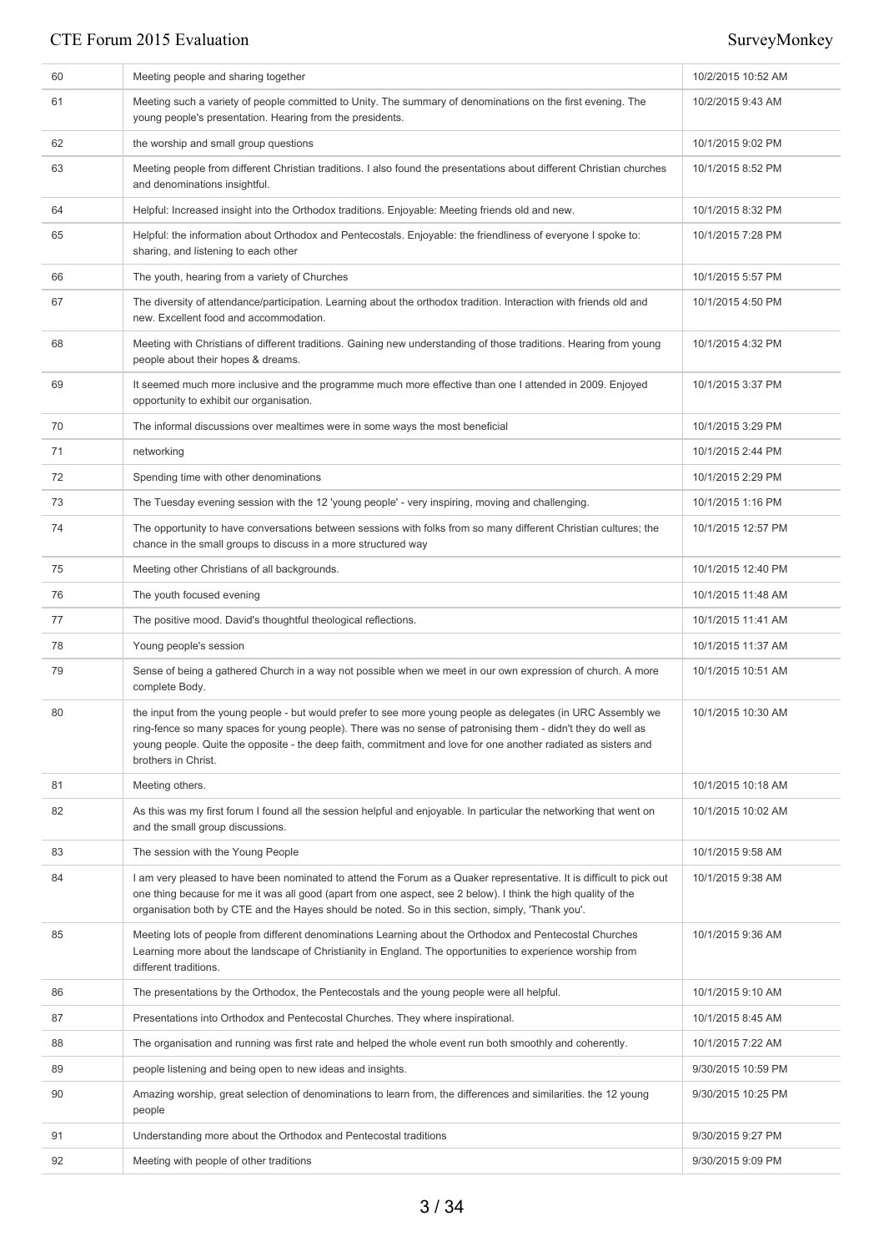| 60 | Meeting people and sharing together                                                                                                                                                                                                                                                                                                                                   | 10/2/2015 10:52 AM |
|----|-----------------------------------------------------------------------------------------------------------------------------------------------------------------------------------------------------------------------------------------------------------------------------------------------------------------------------------------------------------------------|--------------------|
| 61 | Meeting such a variety of people committed to Unity. The summary of denominations on the first evening. The<br>young people's presentation. Hearing from the presidents.                                                                                                                                                                                              | 10/2/2015 9:43 AM  |
| 62 | the worship and small group questions                                                                                                                                                                                                                                                                                                                                 | 10/1/2015 9:02 PM  |
| 63 | Meeting people from different Christian traditions. I also found the presentations about different Christian churches<br>and denominations insightful.                                                                                                                                                                                                                | 10/1/2015 8:52 PM  |
| 64 | Helpful: Increased insight into the Orthodox traditions. Enjoyable: Meeting friends old and new.                                                                                                                                                                                                                                                                      | 10/1/2015 8:32 PM  |
| 65 | Helpful: the information about Orthodox and Pentecostals. Enjoyable: the friendliness of everyone I spoke to:<br>sharing, and listening to each other                                                                                                                                                                                                                 | 10/1/2015 7:28 PM  |
| 66 | The youth, hearing from a variety of Churches                                                                                                                                                                                                                                                                                                                         | 10/1/2015 5:57 PM  |
| 67 | The diversity of attendance/participation. Learning about the orthodox tradition. Interaction with friends old and<br>new. Excellent food and accommodation.                                                                                                                                                                                                          | 10/1/2015 4:50 PM  |
| 68 | Meeting with Christians of different traditions. Gaining new understanding of those traditions. Hearing from young<br>people about their hopes & dreams.                                                                                                                                                                                                              | 10/1/2015 4:32 PM  |
| 69 | It seemed much more inclusive and the programme much more effective than one I attended in 2009. Enjoyed<br>opportunity to exhibit our organisation.                                                                                                                                                                                                                  | 10/1/2015 3:37 PM  |
| 70 | The informal discussions over mealtimes were in some ways the most beneficial                                                                                                                                                                                                                                                                                         | 10/1/2015 3:29 PM  |
| 71 | networking                                                                                                                                                                                                                                                                                                                                                            | 10/1/2015 2:44 PM  |
| 72 | Spending time with other denominations                                                                                                                                                                                                                                                                                                                                | 10/1/2015 2:29 PM  |
| 73 | The Tuesday evening session with the 12 'young people' - very inspiring, moving and challenging.                                                                                                                                                                                                                                                                      | 10/1/2015 1:16 PM  |
| 74 | The opportunity to have conversations between sessions with folks from so many different Christian cultures; the<br>chance in the small groups to discuss in a more structured way                                                                                                                                                                                    | 10/1/2015 12:57 PM |
| 75 | Meeting other Christians of all backgrounds.                                                                                                                                                                                                                                                                                                                          | 10/1/2015 12:40 PM |
| 76 | The youth focused evening                                                                                                                                                                                                                                                                                                                                             | 10/1/2015 11:48 AM |
| 77 | The positive mood. David's thoughtful theological reflections.                                                                                                                                                                                                                                                                                                        | 10/1/2015 11:41 AM |
| 78 | Young people's session                                                                                                                                                                                                                                                                                                                                                | 10/1/2015 11:37 AM |
| 79 | Sense of being a gathered Church in a way not possible when we meet in our own expression of church. A more<br>complete Body.                                                                                                                                                                                                                                         | 10/1/2015 10:51 AM |
| 80 | the input from the young people - but would prefer to see more young people as delegates (in URC Assembly we<br>ring-fence so many spaces for young people). There was no sense of patronising them - didn't they do well as<br>young people. Quite the opposite - the deep faith, commitment and love for one another radiated as sisters and<br>brothers in Christ. | 10/1/2015 10:30 AM |
| 81 | Meeting others.                                                                                                                                                                                                                                                                                                                                                       | 10/1/2015 10:18 AM |
| 82 | As this was my first forum I found all the session helpful and enjoyable. In particular the networking that went on<br>and the small group discussions.                                                                                                                                                                                                               | 10/1/2015 10:02 AM |
| 83 | The session with the Young People                                                                                                                                                                                                                                                                                                                                     | 10/1/2015 9:58 AM  |
| 84 | I am very pleased to have been nominated to attend the Forum as a Quaker representative. It is difficult to pick out<br>one thing because for me it was all good (apart from one aspect, see 2 below). I think the high quality of the<br>organisation both by CTE and the Hayes should be noted. So in this section, simply, 'Thank you'.                            | 10/1/2015 9:38 AM  |
| 85 | Meeting lots of people from different denominations Learning about the Orthodox and Pentecostal Churches<br>Learning more about the landscape of Christianity in England. The opportunities to experience worship from<br>different traditions.                                                                                                                       | 10/1/2015 9:36 AM  |
| 86 | The presentations by the Orthodox, the Pentecostals and the young people were all helpful.                                                                                                                                                                                                                                                                            | 10/1/2015 9:10 AM  |
| 87 | Presentations into Orthodox and Pentecostal Churches. They where inspirational.                                                                                                                                                                                                                                                                                       | 10/1/2015 8:45 AM  |
| 88 | The organisation and running was first rate and helped the whole event run both smoothly and coherently.                                                                                                                                                                                                                                                              | 10/1/2015 7:22 AM  |
| 89 | people listening and being open to new ideas and insights.                                                                                                                                                                                                                                                                                                            | 9/30/2015 10:59 PM |
| 90 | Amazing worship, great selection of denominations to learn from, the differences and similarities. the 12 young<br>people                                                                                                                                                                                                                                             | 9/30/2015 10:25 PM |
| 91 | Understanding more about the Orthodox and Pentecostal traditions                                                                                                                                                                                                                                                                                                      | 9/30/2015 9:27 PM  |
| 92 | Meeting with people of other traditions                                                                                                                                                                                                                                                                                                                               | 9/30/2015 9:09 PM  |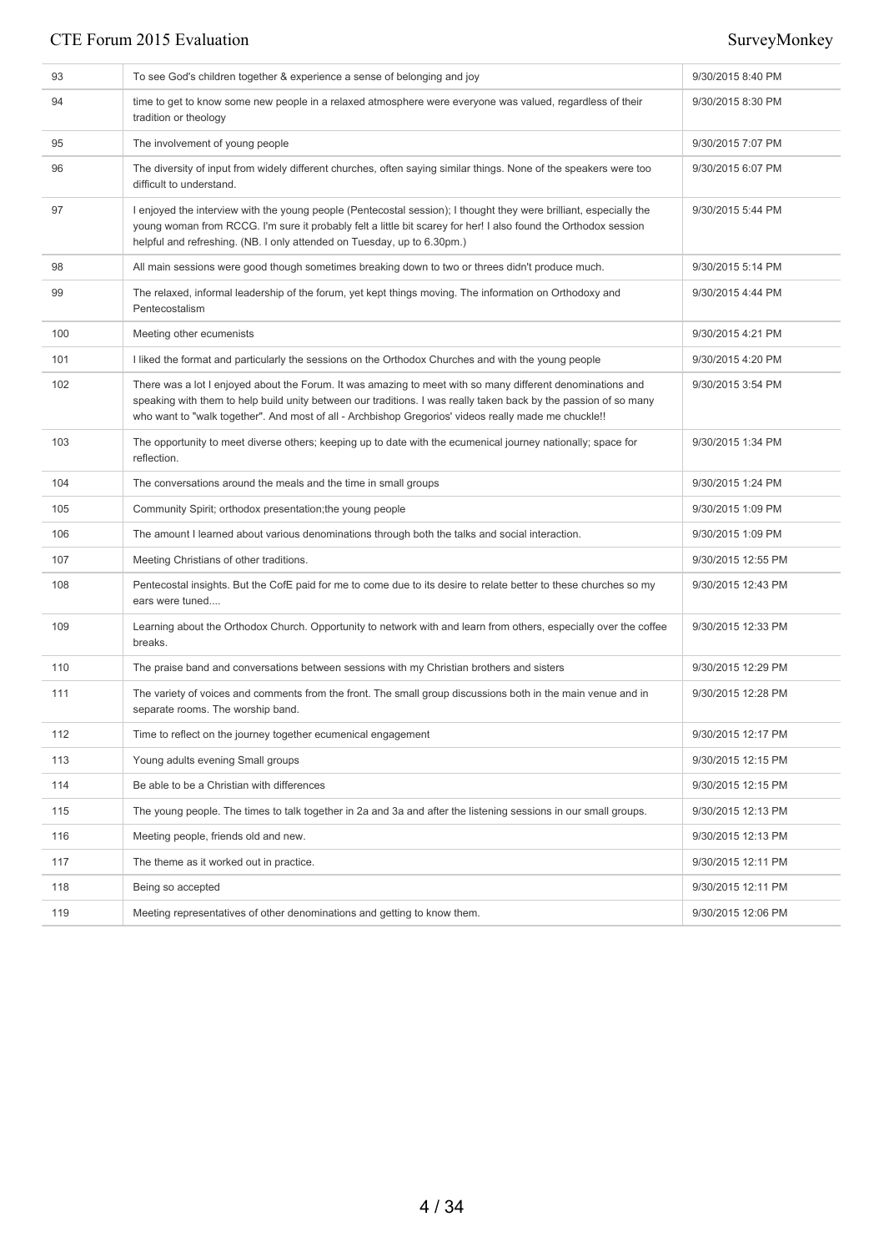| 93  | To see God's children together & experience a sense of belonging and joy                                                                                                                                                                                                                                                               | 9/30/2015 8:40 PM  |
|-----|----------------------------------------------------------------------------------------------------------------------------------------------------------------------------------------------------------------------------------------------------------------------------------------------------------------------------------------|--------------------|
| 94  | time to get to know some new people in a relaxed atmosphere were everyone was valued, regardless of their<br>tradition or theology                                                                                                                                                                                                     | 9/30/2015 8:30 PM  |
| 95  | The involvement of young people                                                                                                                                                                                                                                                                                                        | 9/30/2015 7:07 PM  |
| 96  | The diversity of input from widely different churches, often saying similar things. None of the speakers were too<br>difficult to understand.                                                                                                                                                                                          | 9/30/2015 6:07 PM  |
| 97  | I enjoyed the interview with the young people (Pentecostal session); I thought they were brilliant, especially the<br>young woman from RCCG. I'm sure it probably felt a little bit scarey for her! I also found the Orthodox session<br>helpful and refreshing. (NB. I only attended on Tuesday, up to 6.30pm.)                       | 9/30/2015 5:44 PM  |
| 98  | All main sessions were good though sometimes breaking down to two or threes didn't produce much.                                                                                                                                                                                                                                       | 9/30/2015 5:14 PM  |
| 99  | The relaxed, informal leadership of the forum, yet kept things moving. The information on Orthodoxy and<br>Pentecostalism                                                                                                                                                                                                              | 9/30/2015 4:44 PM  |
| 100 | Meeting other ecumenists                                                                                                                                                                                                                                                                                                               | 9/30/2015 4:21 PM  |
| 101 | I liked the format and particularly the sessions on the Orthodox Churches and with the young people                                                                                                                                                                                                                                    | 9/30/2015 4:20 PM  |
| 102 | There was a lot I enjoyed about the Forum. It was amazing to meet with so many different denominations and<br>speaking with them to help build unity between our traditions. I was really taken back by the passion of so many<br>who want to "walk together". And most of all - Archbishop Gregorios' videos really made me chuckle!! | 9/30/2015 3:54 PM  |
| 103 | The opportunity to meet diverse others; keeping up to date with the ecumenical journey nationally; space for<br>reflection.                                                                                                                                                                                                            | 9/30/2015 1:34 PM  |
| 104 | The conversations around the meals and the time in small groups                                                                                                                                                                                                                                                                        | 9/30/2015 1:24 PM  |
| 105 | Community Spirit; orthodox presentation; the young people                                                                                                                                                                                                                                                                              | 9/30/2015 1:09 PM  |
| 106 | The amount I learned about various denominations through both the talks and social interaction.                                                                                                                                                                                                                                        | 9/30/2015 1:09 PM  |
| 107 | Meeting Christians of other traditions.                                                                                                                                                                                                                                                                                                | 9/30/2015 12:55 PM |
| 108 | Pentecostal insights. But the CofE paid for me to come due to its desire to relate better to these churches so my<br>ears were tuned                                                                                                                                                                                                   | 9/30/2015 12:43 PM |
| 109 | Learning about the Orthodox Church. Opportunity to network with and learn from others, especially over the coffee<br>breaks.                                                                                                                                                                                                           | 9/30/2015 12:33 PM |
| 110 | The praise band and conversations between sessions with my Christian brothers and sisters                                                                                                                                                                                                                                              | 9/30/2015 12:29 PM |
| 111 | The variety of voices and comments from the front. The small group discussions both in the main venue and in<br>separate rooms. The worship band.                                                                                                                                                                                      | 9/30/2015 12:28 PM |
| 112 | Time to reflect on the journey together ecumenical engagement                                                                                                                                                                                                                                                                          | 9/30/2015 12:17 PM |
| 113 | Young adults evening Small groups                                                                                                                                                                                                                                                                                                      | 9/30/2015 12:15 PM |
| 114 | Be able to be a Christian with differences                                                                                                                                                                                                                                                                                             | 9/30/2015 12:15 PM |
| 115 | The young people. The times to talk together in 2a and 3a and after the listening sessions in our small groups.                                                                                                                                                                                                                        | 9/30/2015 12:13 PM |
| 116 | Meeting people, friends old and new.                                                                                                                                                                                                                                                                                                   | 9/30/2015 12:13 PM |
| 117 | The theme as it worked out in practice.                                                                                                                                                                                                                                                                                                | 9/30/2015 12:11 PM |
| 118 | Being so accepted                                                                                                                                                                                                                                                                                                                      | 9/30/2015 12:11 PM |
| 119 | Meeting representatives of other denominations and getting to know them.                                                                                                                                                                                                                                                               | 9/30/2015 12:06 PM |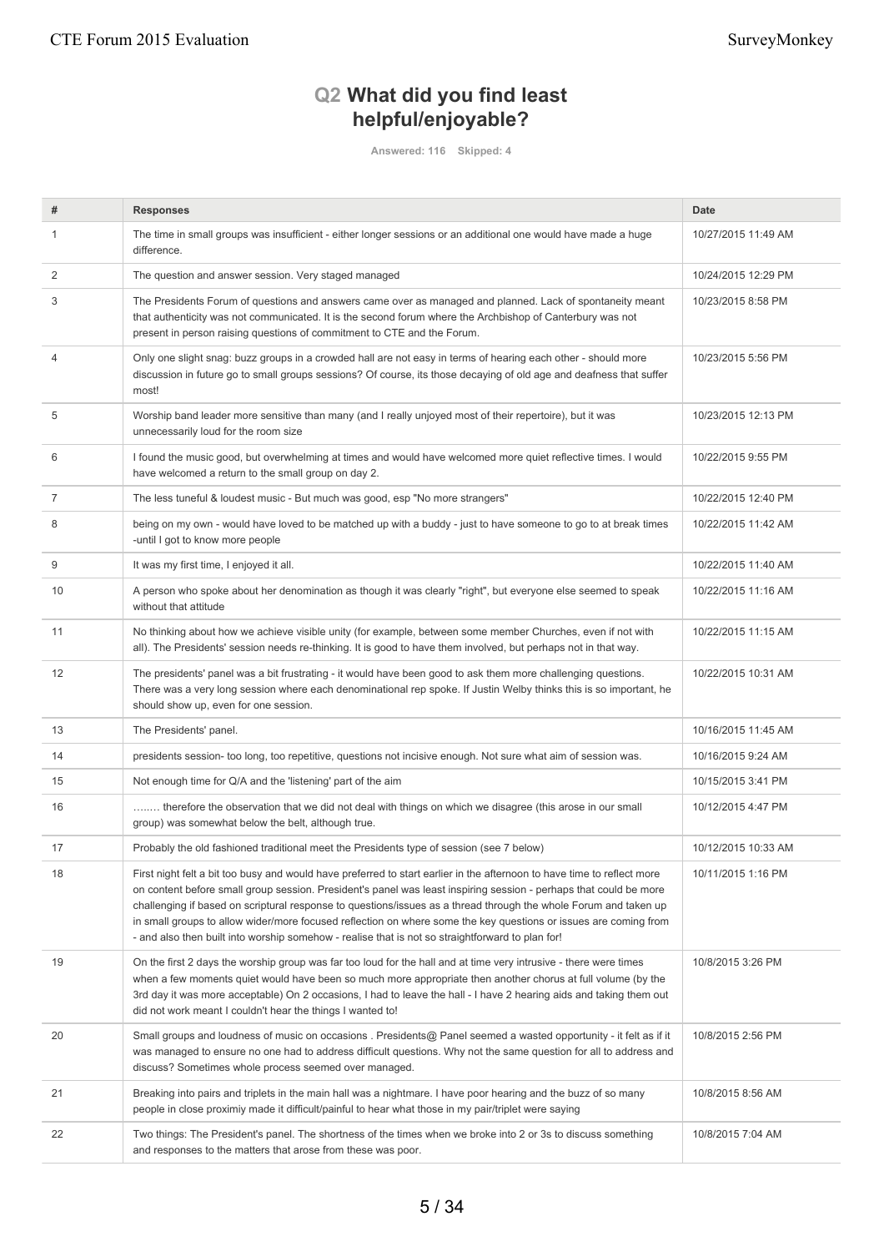# **Q2 What did you find least helpful/enjoyable?**

**Answered: 116 Skipped: 4**

| #  | <b>Responses</b>                                                                                                                                                                                                                                                                                                                                                                                                                                                                                                                                                                         | <b>Date</b>         |
|----|------------------------------------------------------------------------------------------------------------------------------------------------------------------------------------------------------------------------------------------------------------------------------------------------------------------------------------------------------------------------------------------------------------------------------------------------------------------------------------------------------------------------------------------------------------------------------------------|---------------------|
|    | The time in small groups was insufficient - either longer sessions or an additional one would have made a huge<br>difference.                                                                                                                                                                                                                                                                                                                                                                                                                                                            | 10/27/2015 11:49 AM |
| 2  | The question and answer session. Very staged managed                                                                                                                                                                                                                                                                                                                                                                                                                                                                                                                                     | 10/24/2015 12:29 PM |
| 3  | The Presidents Forum of questions and answers came over as managed and planned. Lack of spontaneity meant<br>that authenticity was not communicated. It is the second forum where the Archbishop of Canterbury was not<br>present in person raising questions of commitment to CTE and the Forum.                                                                                                                                                                                                                                                                                        | 10/23/2015 8:58 PM  |
| 4  | Only one slight snag: buzz groups in a crowded hall are not easy in terms of hearing each other - should more<br>discussion in future go to small groups sessions? Of course, its those decaying of old age and deafness that suffer<br>most!                                                                                                                                                                                                                                                                                                                                            | 10/23/2015 5:56 PM  |
| 5  | Worship band leader more sensitive than many (and I really unjoyed most of their repertoire), but it was<br>unnecessarily loud for the room size                                                                                                                                                                                                                                                                                                                                                                                                                                         | 10/23/2015 12:13 PM |
| 6  | I found the music good, but overwhelming at times and would have welcomed more quiet reflective times. I would<br>have welcomed a return to the small group on day 2.                                                                                                                                                                                                                                                                                                                                                                                                                    | 10/22/2015 9:55 PM  |
| 7  | The less tuneful & loudest music - But much was good, esp "No more strangers"                                                                                                                                                                                                                                                                                                                                                                                                                                                                                                            | 10/22/2015 12:40 PM |
| 8  | being on my own - would have loved to be matched up with a buddy - just to have someone to go to at break times<br>-until I got to know more people                                                                                                                                                                                                                                                                                                                                                                                                                                      | 10/22/2015 11:42 AM |
| 9  | It was my first time, I enjoyed it all.                                                                                                                                                                                                                                                                                                                                                                                                                                                                                                                                                  | 10/22/2015 11:40 AM |
| 10 | A person who spoke about her denomination as though it was clearly "right", but everyone else seemed to speak<br>without that attitude                                                                                                                                                                                                                                                                                                                                                                                                                                                   | 10/22/2015 11:16 AM |
| 11 | No thinking about how we achieve visible unity (for example, between some member Churches, even if not with<br>all). The Presidents' session needs re-thinking. It is good to have them involved, but perhaps not in that way.                                                                                                                                                                                                                                                                                                                                                           | 10/22/2015 11:15 AM |
| 12 | The presidents' panel was a bit frustrating - it would have been good to ask them more challenging questions.<br>There was a very long session where each denominational rep spoke. If Justin Welby thinks this is so important, he<br>should show up, even for one session.                                                                                                                                                                                                                                                                                                             | 10/22/2015 10:31 AM |
| 13 | The Presidents' panel.                                                                                                                                                                                                                                                                                                                                                                                                                                                                                                                                                                   | 10/16/2015 11:45 AM |
| 14 | presidents session- too long, too repetitive, questions not incisive enough. Not sure what aim of session was.                                                                                                                                                                                                                                                                                                                                                                                                                                                                           | 10/16/2015 9:24 AM  |
| 15 | Not enough time for Q/A and the 'listening' part of the aim                                                                                                                                                                                                                                                                                                                                                                                                                                                                                                                              | 10/15/2015 3:41 PM  |
| 16 | therefore the observation that we did not deal with things on which we disagree (this arose in our small<br>group) was somewhat below the belt, although true.                                                                                                                                                                                                                                                                                                                                                                                                                           | 10/12/2015 4:47 PM  |
| 17 | Probably the old fashioned traditional meet the Presidents type of session (see 7 below)                                                                                                                                                                                                                                                                                                                                                                                                                                                                                                 | 10/12/2015 10:33 AM |
| 18 | First night felt a bit too busy and would have preferred to start earlier in the afternoon to have time to reflect more<br>on content before small group session. President's panel was least inspiring session - perhaps that could be more<br>challenging if based on scriptural response to questions/issues as a thread through the whole Forum and taken up<br>in small groups to allow wider/more focused reflection on where some the key questions or issues are coming from<br>- and also then built into worship somehow - realise that is not so straightforward to plan for! | 10/11/2015 1:16 PM  |
| 19 | On the first 2 days the worship group was far too loud for the hall and at time very intrusive - there were times<br>when a few moments quiet would have been so much more appropriate then another chorus at full volume (by the<br>3rd day it was more acceptable) On 2 occasions, I had to leave the hall - I have 2 hearing aids and taking them out<br>did not work meant I couldn't hear the things I wanted to!                                                                                                                                                                   | 10/8/2015 3:26 PM   |
| 20 | Small groups and loudness of music on occasions . Presidents@ Panel seemed a wasted opportunity - it felt as if it<br>was managed to ensure no one had to address difficult questions. Why not the same question for all to address and<br>discuss? Sometimes whole process seemed over managed.                                                                                                                                                                                                                                                                                         | 10/8/2015 2:56 PM   |
| 21 | Breaking into pairs and triplets in the main hall was a nightmare. I have poor hearing and the buzz of so many<br>people in close proximiy made it difficult/painful to hear what those in my pair/triplet were saying                                                                                                                                                                                                                                                                                                                                                                   | 10/8/2015 8:56 AM   |
| 22 | Two things: The President's panel. The shortness of the times when we broke into 2 or 3s to discuss something<br>and responses to the matters that arose from these was poor.                                                                                                                                                                                                                                                                                                                                                                                                            | 10/8/2015 7:04 AM   |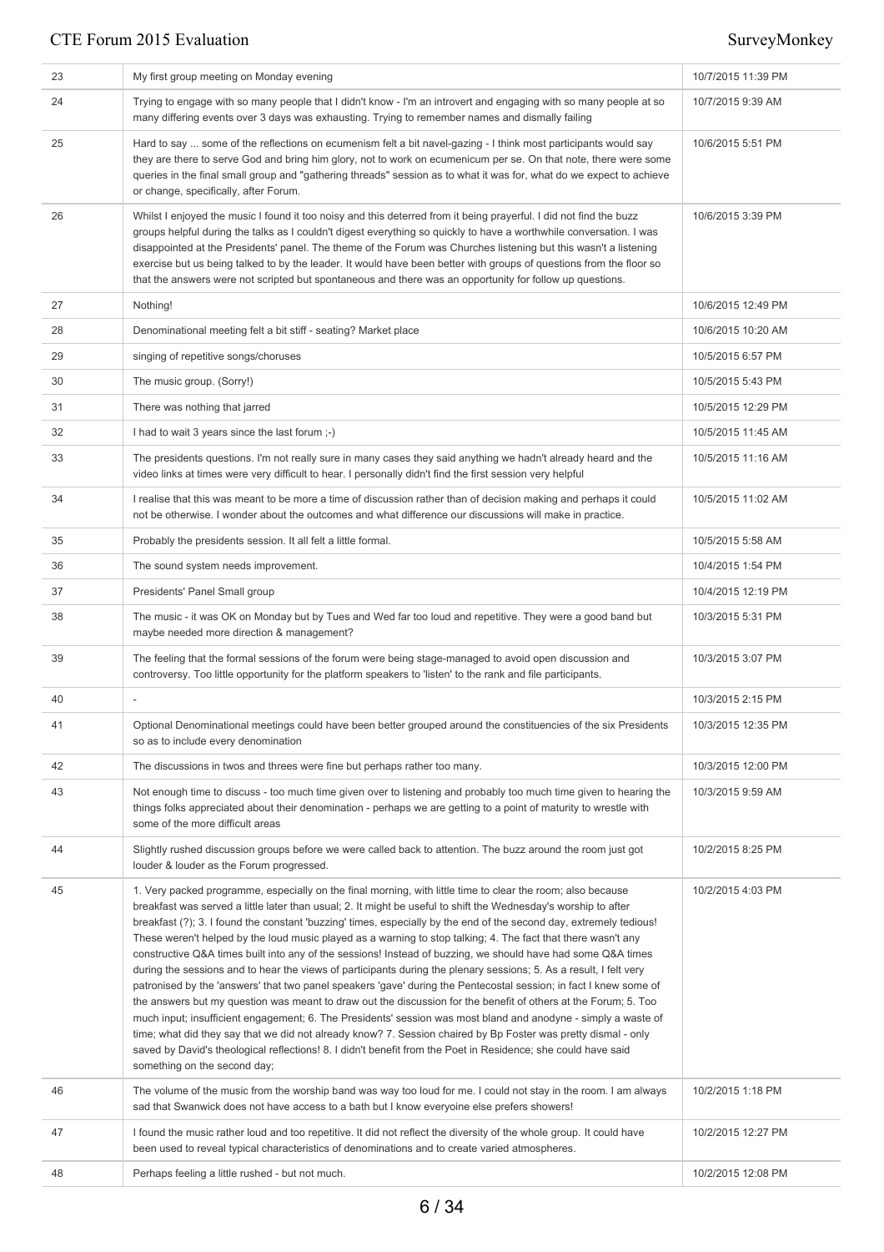| 23 | My first group meeting on Monday evening                                                                                                                                                                                                                                                                                                                                                                                                                                                                                                                                                                                                                                                                                                                                                                                                                                                                                                                                                                                                                                                                                                                                                                                                                                                                                                  | 10/7/2015 11:39 PM |
|----|-------------------------------------------------------------------------------------------------------------------------------------------------------------------------------------------------------------------------------------------------------------------------------------------------------------------------------------------------------------------------------------------------------------------------------------------------------------------------------------------------------------------------------------------------------------------------------------------------------------------------------------------------------------------------------------------------------------------------------------------------------------------------------------------------------------------------------------------------------------------------------------------------------------------------------------------------------------------------------------------------------------------------------------------------------------------------------------------------------------------------------------------------------------------------------------------------------------------------------------------------------------------------------------------------------------------------------------------|--------------------|
| 24 | Trying to engage with so many people that I didn't know - I'm an introvert and engaging with so many people at so<br>many differing events over 3 days was exhausting. Trying to remember names and dismally failing                                                                                                                                                                                                                                                                                                                                                                                                                                                                                                                                                                                                                                                                                                                                                                                                                                                                                                                                                                                                                                                                                                                      | 10/7/2015 9:39 AM  |
| 25 | Hard to say  some of the reflections on ecumenism felt a bit navel-gazing - I think most participants would say<br>they are there to serve God and bring him glory, not to work on ecumenicum per se. On that note, there were some<br>queries in the final small group and "gathering threads" session as to what it was for, what do we expect to achieve<br>or change, specifically, after Forum.                                                                                                                                                                                                                                                                                                                                                                                                                                                                                                                                                                                                                                                                                                                                                                                                                                                                                                                                      | 10/6/2015 5:51 PM  |
| 26 | Whilst I enjoyed the music I found it too noisy and this deterred from it being prayerful. I did not find the buzz<br>groups helpful during the talks as I couldn't digest everything so quickly to have a worthwhile conversation. I was<br>disappointed at the Presidents' panel. The theme of the Forum was Churches listening but this wasn't a listening<br>exercise but us being talked to by the leader. It would have been better with groups of questions from the floor so<br>that the answers were not scripted but spontaneous and there was an opportunity for follow up questions.                                                                                                                                                                                                                                                                                                                                                                                                                                                                                                                                                                                                                                                                                                                                          | 10/6/2015 3:39 PM  |
| 27 | Nothing!                                                                                                                                                                                                                                                                                                                                                                                                                                                                                                                                                                                                                                                                                                                                                                                                                                                                                                                                                                                                                                                                                                                                                                                                                                                                                                                                  | 10/6/2015 12:49 PM |
| 28 | Denominational meeting felt a bit stiff - seating? Market place                                                                                                                                                                                                                                                                                                                                                                                                                                                                                                                                                                                                                                                                                                                                                                                                                                                                                                                                                                                                                                                                                                                                                                                                                                                                           | 10/6/2015 10:20 AM |
| 29 | singing of repetitive songs/choruses                                                                                                                                                                                                                                                                                                                                                                                                                                                                                                                                                                                                                                                                                                                                                                                                                                                                                                                                                                                                                                                                                                                                                                                                                                                                                                      | 10/5/2015 6:57 PM  |
| 30 | The music group. (Sorry!)                                                                                                                                                                                                                                                                                                                                                                                                                                                                                                                                                                                                                                                                                                                                                                                                                                                                                                                                                                                                                                                                                                                                                                                                                                                                                                                 | 10/5/2015 5:43 PM  |
| 31 | There was nothing that jarred                                                                                                                                                                                                                                                                                                                                                                                                                                                                                                                                                                                                                                                                                                                                                                                                                                                                                                                                                                                                                                                                                                                                                                                                                                                                                                             | 10/5/2015 12:29 PM |
| 32 | I had to wait 3 years since the last forum ;-)                                                                                                                                                                                                                                                                                                                                                                                                                                                                                                                                                                                                                                                                                                                                                                                                                                                                                                                                                                                                                                                                                                                                                                                                                                                                                            | 10/5/2015 11:45 AM |
| 33 | The presidents questions. I'm not really sure in many cases they said anything we hadn't already heard and the<br>video links at times were very difficult to hear. I personally didn't find the first session very helpful                                                                                                                                                                                                                                                                                                                                                                                                                                                                                                                                                                                                                                                                                                                                                                                                                                                                                                                                                                                                                                                                                                               | 10/5/2015 11:16 AM |
| 34 | I realise that this was meant to be more a time of discussion rather than of decision making and perhaps it could<br>not be otherwise. I wonder about the outcomes and what difference our discussions will make in practice.                                                                                                                                                                                                                                                                                                                                                                                                                                                                                                                                                                                                                                                                                                                                                                                                                                                                                                                                                                                                                                                                                                             | 10/5/2015 11:02 AM |
| 35 | Probably the presidents session. It all felt a little formal.                                                                                                                                                                                                                                                                                                                                                                                                                                                                                                                                                                                                                                                                                                                                                                                                                                                                                                                                                                                                                                                                                                                                                                                                                                                                             | 10/5/2015 5:58 AM  |
| 36 | The sound system needs improvement.                                                                                                                                                                                                                                                                                                                                                                                                                                                                                                                                                                                                                                                                                                                                                                                                                                                                                                                                                                                                                                                                                                                                                                                                                                                                                                       | 10/4/2015 1:54 PM  |
| 37 | Presidents' Panel Small group                                                                                                                                                                                                                                                                                                                                                                                                                                                                                                                                                                                                                                                                                                                                                                                                                                                                                                                                                                                                                                                                                                                                                                                                                                                                                                             | 10/4/2015 12:19 PM |
| 38 | The music - it was OK on Monday but by Tues and Wed far too loud and repetitive. They were a good band but<br>maybe needed more direction & management?                                                                                                                                                                                                                                                                                                                                                                                                                                                                                                                                                                                                                                                                                                                                                                                                                                                                                                                                                                                                                                                                                                                                                                                   | 10/3/2015 5:31 PM  |
| 39 | The feeling that the formal sessions of the forum were being stage-managed to avoid open discussion and<br>controversy. Too little opportunity for the platform speakers to 'listen' to the rank and file participants.                                                                                                                                                                                                                                                                                                                                                                                                                                                                                                                                                                                                                                                                                                                                                                                                                                                                                                                                                                                                                                                                                                                   | 10/3/2015 3:07 PM  |
| 40 |                                                                                                                                                                                                                                                                                                                                                                                                                                                                                                                                                                                                                                                                                                                                                                                                                                                                                                                                                                                                                                                                                                                                                                                                                                                                                                                                           | 10/3/2015 2:15 PM  |
| 41 | Optional Denominational meetings could have been better grouped around the constituencies of the six Presidents<br>so as to include every denomination                                                                                                                                                                                                                                                                                                                                                                                                                                                                                                                                                                                                                                                                                                                                                                                                                                                                                                                                                                                                                                                                                                                                                                                    | 10/3/2015 12:35 PM |
| 42 | The discussions in twos and threes were fine but perhaps rather too many.                                                                                                                                                                                                                                                                                                                                                                                                                                                                                                                                                                                                                                                                                                                                                                                                                                                                                                                                                                                                                                                                                                                                                                                                                                                                 | 10/3/2015 12:00 PM |
| 43 | Not enough time to discuss - too much time given over to listening and probably too much time given to hearing the<br>things folks appreciated about their denomination - perhaps we are getting to a point of maturity to wrestle with<br>some of the more difficult areas                                                                                                                                                                                                                                                                                                                                                                                                                                                                                                                                                                                                                                                                                                                                                                                                                                                                                                                                                                                                                                                               | 10/3/2015 9:59 AM  |
| 44 | Slightly rushed discussion groups before we were called back to attention. The buzz around the room just got<br>louder & louder as the Forum progressed.                                                                                                                                                                                                                                                                                                                                                                                                                                                                                                                                                                                                                                                                                                                                                                                                                                                                                                                                                                                                                                                                                                                                                                                  | 10/2/2015 8:25 PM  |
| 45 | 1. Very packed programme, especially on the final morning, with little time to clear the room; also because<br>breakfast was served a little later than usual; 2. It might be useful to shift the Wednesday's worship to after<br>breakfast (?); 3. I found the constant 'buzzing' times, especially by the end of the second day, extremely tedious!<br>These weren't helped by the loud music played as a warning to stop talking; 4. The fact that there wasn't any<br>constructive Q&A times built into any of the sessions! Instead of buzzing, we should have had some Q&A times<br>during the sessions and to hear the views of participants during the plenary sessions; 5. As a result, I felt very<br>patronised by the 'answers' that two panel speakers 'gave' during the Pentecostal session; in fact I knew some of<br>the answers but my question was meant to draw out the discussion for the benefit of others at the Forum; 5. Too<br>much input; insufficient engagement; 6. The Presidents' session was most bland and anodyne - simply a waste of<br>time; what did they say that we did not already know? 7. Session chaired by Bp Foster was pretty dismal - only<br>saved by David's theological reflections! 8. I didn't benefit from the Poet in Residence; she could have said<br>something on the second day; | 10/2/2015 4:03 PM  |
| 46 | The volume of the music from the worship band was way too loud for me. I could not stay in the room. I am always<br>sad that Swanwick does not have access to a bath but I know everyoine else prefers showers!                                                                                                                                                                                                                                                                                                                                                                                                                                                                                                                                                                                                                                                                                                                                                                                                                                                                                                                                                                                                                                                                                                                           | 10/2/2015 1:18 PM  |
| 47 | I found the music rather loud and too repetitive. It did not reflect the diversity of the whole group. It could have<br>been used to reveal typical characteristics of denominations and to create varied atmospheres.                                                                                                                                                                                                                                                                                                                                                                                                                                                                                                                                                                                                                                                                                                                                                                                                                                                                                                                                                                                                                                                                                                                    | 10/2/2015 12:27 PM |
| 48 | Perhaps feeling a little rushed - but not much.                                                                                                                                                                                                                                                                                                                                                                                                                                                                                                                                                                                                                                                                                                                                                                                                                                                                                                                                                                                                                                                                                                                                                                                                                                                                                           | 10/2/2015 12:08 PM |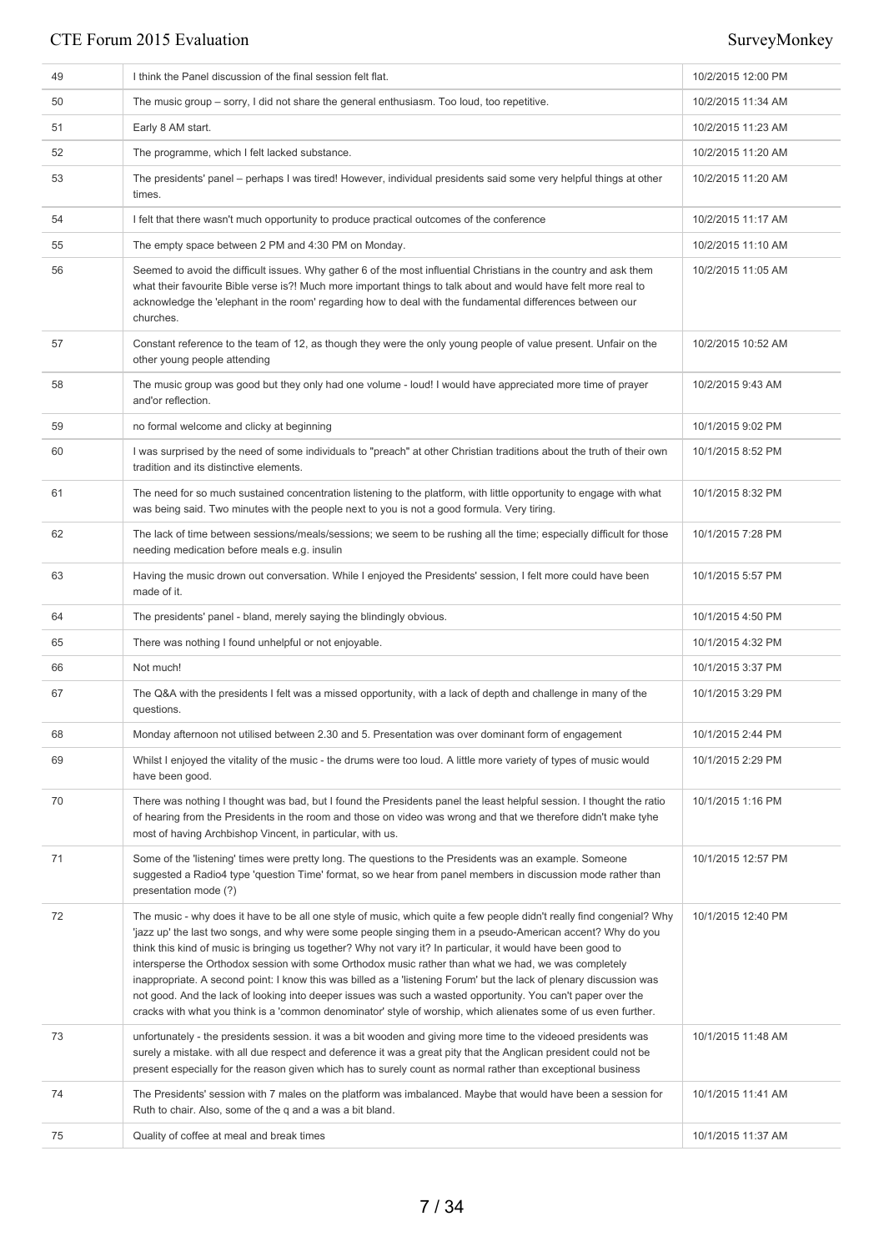| 49 | I think the Panel discussion of the final session felt flat.                                                                                                                                                                                                                                                                                                                                                                                                                                                                                                                                                                                                                                                                                                                                                           | 10/2/2015 12:00 PM |
|----|------------------------------------------------------------------------------------------------------------------------------------------------------------------------------------------------------------------------------------------------------------------------------------------------------------------------------------------------------------------------------------------------------------------------------------------------------------------------------------------------------------------------------------------------------------------------------------------------------------------------------------------------------------------------------------------------------------------------------------------------------------------------------------------------------------------------|--------------------|
| 50 | The music group – sorry, I did not share the general enthusiasm. Too loud, too repetitive.                                                                                                                                                                                                                                                                                                                                                                                                                                                                                                                                                                                                                                                                                                                             | 10/2/2015 11:34 AM |
| 51 | Early 8 AM start.                                                                                                                                                                                                                                                                                                                                                                                                                                                                                                                                                                                                                                                                                                                                                                                                      | 10/2/2015 11:23 AM |
| 52 | The programme, which I felt lacked substance.                                                                                                                                                                                                                                                                                                                                                                                                                                                                                                                                                                                                                                                                                                                                                                          | 10/2/2015 11:20 AM |
| 53 | The presidents' panel – perhaps I was tired! However, individual presidents said some very helpful things at other<br>times.                                                                                                                                                                                                                                                                                                                                                                                                                                                                                                                                                                                                                                                                                           | 10/2/2015 11:20 AM |
| 54 | I felt that there wasn't much opportunity to produce practical outcomes of the conference                                                                                                                                                                                                                                                                                                                                                                                                                                                                                                                                                                                                                                                                                                                              | 10/2/2015 11:17 AM |
| 55 | The empty space between 2 PM and 4:30 PM on Monday.                                                                                                                                                                                                                                                                                                                                                                                                                                                                                                                                                                                                                                                                                                                                                                    | 10/2/2015 11:10 AM |
| 56 | Seemed to avoid the difficult issues. Why gather 6 of the most influential Christians in the country and ask them<br>what their favourite Bible verse is?! Much more important things to talk about and would have felt more real to<br>acknowledge the 'elephant in the room' regarding how to deal with the fundamental differences between our<br>churches.                                                                                                                                                                                                                                                                                                                                                                                                                                                         | 10/2/2015 11:05 AM |
| 57 | Constant reference to the team of 12, as though they were the only young people of value present. Unfair on the<br>other young people attending                                                                                                                                                                                                                                                                                                                                                                                                                                                                                                                                                                                                                                                                        | 10/2/2015 10:52 AM |
| 58 | The music group was good but they only had one volume - loud! I would have appreciated more time of prayer<br>and'or reflection.                                                                                                                                                                                                                                                                                                                                                                                                                                                                                                                                                                                                                                                                                       | 10/2/2015 9:43 AM  |
| 59 | no formal welcome and clicky at beginning                                                                                                                                                                                                                                                                                                                                                                                                                                                                                                                                                                                                                                                                                                                                                                              | 10/1/2015 9:02 PM  |
| 60 | I was surprised by the need of some individuals to "preach" at other Christian traditions about the truth of their own<br>tradition and its distinctive elements.                                                                                                                                                                                                                                                                                                                                                                                                                                                                                                                                                                                                                                                      | 10/1/2015 8:52 PM  |
| 61 | The need for so much sustained concentration listening to the platform, with little opportunity to engage with what<br>was being said. Two minutes with the people next to you is not a good formula. Very tiring.                                                                                                                                                                                                                                                                                                                                                                                                                                                                                                                                                                                                     | 10/1/2015 8:32 PM  |
| 62 | The lack of time between sessions/meals/sessions; we seem to be rushing all the time; especially difficult for those<br>needing medication before meals e.g. insulin                                                                                                                                                                                                                                                                                                                                                                                                                                                                                                                                                                                                                                                   | 10/1/2015 7:28 PM  |
| 63 | Having the music drown out conversation. While I enjoyed the Presidents' session, I felt more could have been<br>made of it.                                                                                                                                                                                                                                                                                                                                                                                                                                                                                                                                                                                                                                                                                           | 10/1/2015 5:57 PM  |
|    |                                                                                                                                                                                                                                                                                                                                                                                                                                                                                                                                                                                                                                                                                                                                                                                                                        | 10/1/2015 4:50 PM  |
| 64 | The presidents' panel - bland, merely saying the blindingly obvious.                                                                                                                                                                                                                                                                                                                                                                                                                                                                                                                                                                                                                                                                                                                                                   |                    |
| 65 | There was nothing I found unhelpful or not enjoyable.                                                                                                                                                                                                                                                                                                                                                                                                                                                                                                                                                                                                                                                                                                                                                                  | 10/1/2015 4:32 PM  |
| 66 | Not much!                                                                                                                                                                                                                                                                                                                                                                                                                                                                                                                                                                                                                                                                                                                                                                                                              | 10/1/2015 3:37 PM  |
| 67 | The Q&A with the presidents I felt was a missed opportunity, with a lack of depth and challenge in many of the<br>questions.                                                                                                                                                                                                                                                                                                                                                                                                                                                                                                                                                                                                                                                                                           | 10/1/2015 3:29 PM  |
| 68 | Monday afternoon not utilised between 2.30 and 5. Presentation was over dominant form of engagement                                                                                                                                                                                                                                                                                                                                                                                                                                                                                                                                                                                                                                                                                                                    | 10/1/2015 2:44 PM  |
| 69 | Whilst I enjoyed the vitality of the music - the drums were too loud. A little more variety of types of music would<br>have been good.                                                                                                                                                                                                                                                                                                                                                                                                                                                                                                                                                                                                                                                                                 | 10/1/2015 2:29 PM  |
| 70 | There was nothing I thought was bad, but I found the Presidents panel the least helpful session. I thought the ratio<br>of hearing from the Presidents in the room and those on video was wrong and that we therefore didn't make tyhe<br>most of having Archbishop Vincent, in particular, with us.                                                                                                                                                                                                                                                                                                                                                                                                                                                                                                                   | 10/1/2015 1:16 PM  |
| 71 | Some of the 'listening' times were pretty long. The questions to the Presidents was an example. Someone<br>suggested a Radio4 type 'question Time' format, so we hear from panel members in discussion mode rather than<br>presentation mode (?)                                                                                                                                                                                                                                                                                                                                                                                                                                                                                                                                                                       | 10/1/2015 12:57 PM |
| 72 | The music - why does it have to be all one style of music, which quite a few people didn't really find congenial? Why<br>'jazz up' the last two songs, and why were some people singing them in a pseudo-American accent? Why do you<br>think this kind of music is bringing us together? Why not vary it? In particular, it would have been good to<br>intersperse the Orthodox session with some Orthodox music rather than what we had, we was completely<br>inappropriate. A second point: I know this was billed as a 'listening Forum' but the lack of plenary discussion was<br>not good. And the lack of looking into deeper issues was such a wasted opportunity. You can't paper over the<br>cracks with what you think is a 'common denominator' style of worship, which alienates some of us even further. | 10/1/2015 12:40 PM |
| 73 | unfortunately - the presidents session. it was a bit wooden and giving more time to the videoed presidents was<br>surely a mistake. with all due respect and deference it was a great pity that the Anglican president could not be<br>present especially for the reason given which has to surely count as normal rather than exceptional business                                                                                                                                                                                                                                                                                                                                                                                                                                                                    | 10/1/2015 11:48 AM |
| 74 | The Presidents' session with 7 males on the platform was imbalanced. Maybe that would have been a session for<br>Ruth to chair. Also, some of the q and a was a bit bland.                                                                                                                                                                                                                                                                                                                                                                                                                                                                                                                                                                                                                                             | 10/1/2015 11:41 AM |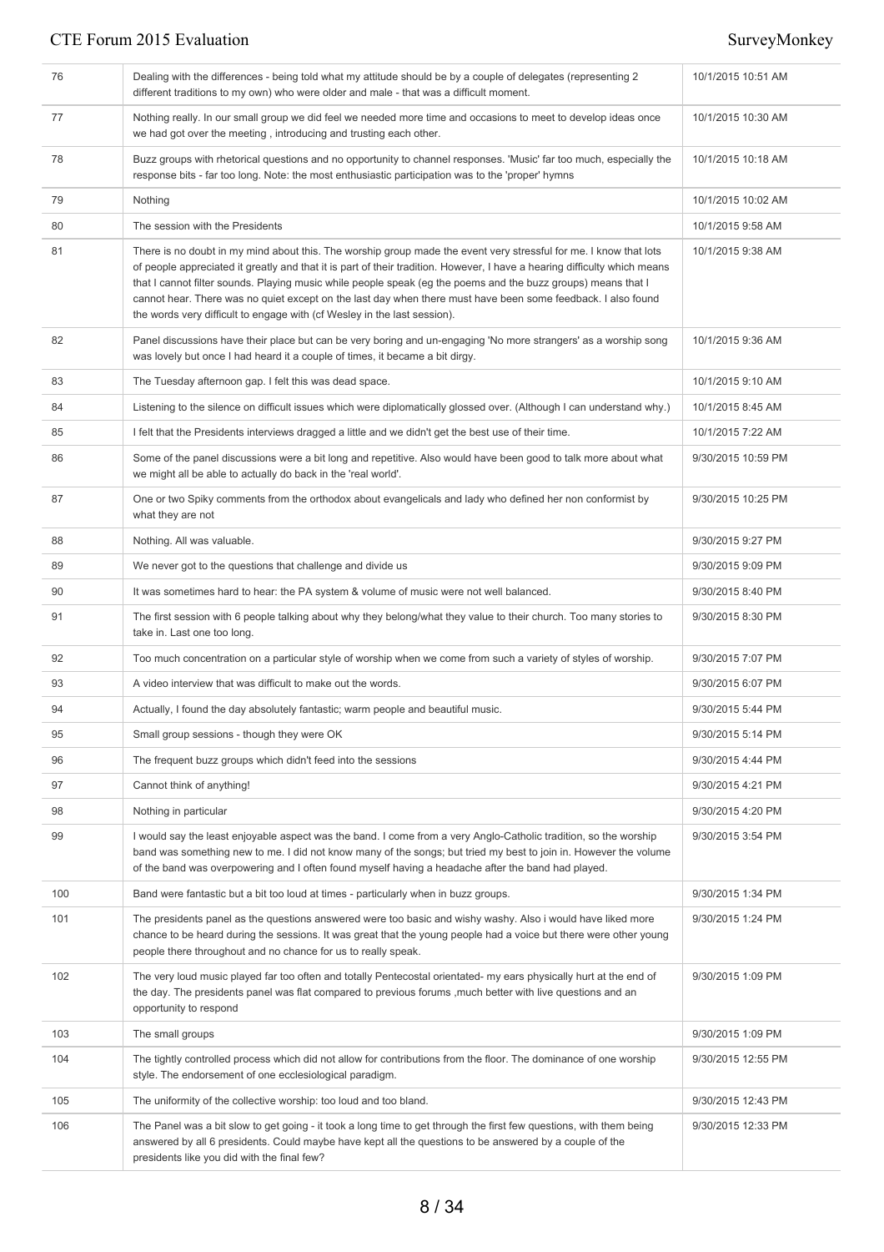| 76  | Dealing with the differences - being told what my attitude should be by a couple of delegates (representing 2)<br>different traditions to my own) who were older and male - that was a difficult moment.                                                                                                                                                                                                                                                                                                                                                    | 10/1/2015 10:51 AM |
|-----|-------------------------------------------------------------------------------------------------------------------------------------------------------------------------------------------------------------------------------------------------------------------------------------------------------------------------------------------------------------------------------------------------------------------------------------------------------------------------------------------------------------------------------------------------------------|--------------------|
| 77  | Nothing really. In our small group we did feel we needed more time and occasions to meet to develop ideas once<br>we had got over the meeting, introducing and trusting each other.                                                                                                                                                                                                                                                                                                                                                                         | 10/1/2015 10:30 AM |
| 78  | Buzz groups with rhetorical questions and no opportunity to channel responses. 'Music' far too much, especially the<br>response bits - far too long. Note: the most enthusiastic participation was to the 'proper' hymns                                                                                                                                                                                                                                                                                                                                    | 10/1/2015 10:18 AM |
| 79  | Nothing                                                                                                                                                                                                                                                                                                                                                                                                                                                                                                                                                     | 10/1/2015 10:02 AM |
| 80  | The session with the Presidents                                                                                                                                                                                                                                                                                                                                                                                                                                                                                                                             | 10/1/2015 9:58 AM  |
| 81  | There is no doubt in my mind about this. The worship group made the event very stressful for me. I know that lots<br>of people appreciated it greatly and that it is part of their tradition. However, I have a hearing difficulty which means<br>that I cannot filter sounds. Playing music while people speak (eg the poems and the buzz groups) means that I<br>cannot hear. There was no quiet except on the last day when there must have been some feedback. I also found<br>the words very difficult to engage with (of Wesley in the last session). | 10/1/2015 9:38 AM  |
| 82  | Panel discussions have their place but can be very boring and un-engaging 'No more strangers' as a worship song<br>was lovely but once I had heard it a couple of times, it became a bit dirgy.                                                                                                                                                                                                                                                                                                                                                             | 10/1/2015 9:36 AM  |
| 83  | The Tuesday afternoon gap. I felt this was dead space.                                                                                                                                                                                                                                                                                                                                                                                                                                                                                                      | 10/1/2015 9:10 AM  |
| 84  | Listening to the silence on difficult issues which were diplomatically glossed over. (Although I can understand why.)                                                                                                                                                                                                                                                                                                                                                                                                                                       | 10/1/2015 8:45 AM  |
| 85  | I felt that the Presidents interviews dragged a little and we didn't get the best use of their time.                                                                                                                                                                                                                                                                                                                                                                                                                                                        | 10/1/2015 7:22 AM  |
| 86  | Some of the panel discussions were a bit long and repetitive. Also would have been good to talk more about what<br>we might all be able to actually do back in the 'real world'.                                                                                                                                                                                                                                                                                                                                                                            | 9/30/2015 10:59 PM |
| 87  | One or two Spiky comments from the orthodox about evangelicals and lady who defined her non conformist by<br>what they are not                                                                                                                                                                                                                                                                                                                                                                                                                              | 9/30/2015 10:25 PM |
| 88  | Nothing. All was valuable.                                                                                                                                                                                                                                                                                                                                                                                                                                                                                                                                  | 9/30/2015 9:27 PM  |
| 89  | We never got to the questions that challenge and divide us                                                                                                                                                                                                                                                                                                                                                                                                                                                                                                  | 9/30/2015 9:09 PM  |
| 90  | It was sometimes hard to hear: the PA system & volume of music were not well balanced.                                                                                                                                                                                                                                                                                                                                                                                                                                                                      | 9/30/2015 8:40 PM  |
| 91  | The first session with 6 people talking about why they belong/what they value to their church. Too many stories to<br>take in. Last one too long.                                                                                                                                                                                                                                                                                                                                                                                                           | 9/30/2015 8:30 PM  |
| 92  | Too much concentration on a particular style of worship when we come from such a variety of styles of worship.                                                                                                                                                                                                                                                                                                                                                                                                                                              | 9/30/2015 7:07 PM  |
| 93  | A video interview that was difficult to make out the words.                                                                                                                                                                                                                                                                                                                                                                                                                                                                                                 | 9/30/2015 6:07 PM  |
| 94  | Actually, I found the day absolutely fantastic; warm people and beautiful music.                                                                                                                                                                                                                                                                                                                                                                                                                                                                            | 9/30/2015 5:44 PM  |
| 95  | Small group sessions - though they were OK                                                                                                                                                                                                                                                                                                                                                                                                                                                                                                                  | 9/30/2015 5:14 PM  |
| 96  | The frequent buzz groups which didn't feed into the sessions                                                                                                                                                                                                                                                                                                                                                                                                                                                                                                | 9/30/2015 4:44 PM  |
| 97  | Cannot think of anything!                                                                                                                                                                                                                                                                                                                                                                                                                                                                                                                                   | 9/30/2015 4:21 PM  |
| 98  | Nothing in particular                                                                                                                                                                                                                                                                                                                                                                                                                                                                                                                                       | 9/30/2015 4:20 PM  |
| 99  | I would say the least enjoyable aspect was the band. I come from a very Anglo-Catholic tradition, so the worship<br>band was something new to me. I did not know many of the songs; but tried my best to join in. However the volume<br>of the band was overpowering and I often found myself having a headache after the band had played.                                                                                                                                                                                                                  | 9/30/2015 3:54 PM  |
| 100 | Band were fantastic but a bit too loud at times - particularly when in buzz groups.                                                                                                                                                                                                                                                                                                                                                                                                                                                                         | 9/30/2015 1:34 PM  |
| 101 | The presidents panel as the questions answered were too basic and wishy washy. Also i would have liked more<br>chance to be heard during the sessions. It was great that the young people had a voice but there were other young<br>people there throughout and no chance for us to really speak.                                                                                                                                                                                                                                                           | 9/30/2015 1:24 PM  |
| 102 | The very loud music played far too often and totally Pentecostal orientated- my ears physically hurt at the end of<br>the day. The presidents panel was flat compared to previous forums, much better with live questions and an<br>opportunity to respond                                                                                                                                                                                                                                                                                                  | 9/30/2015 1:09 PM  |
| 103 | The small groups                                                                                                                                                                                                                                                                                                                                                                                                                                                                                                                                            | 9/30/2015 1:09 PM  |
| 104 | The tightly controlled process which did not allow for contributions from the floor. The dominance of one worship<br>style. The endorsement of one ecclesiological paradigm.                                                                                                                                                                                                                                                                                                                                                                                | 9/30/2015 12:55 PM |
| 105 | The uniformity of the collective worship: too loud and too bland.                                                                                                                                                                                                                                                                                                                                                                                                                                                                                           | 9/30/2015 12:43 PM |
| 106 | The Panel was a bit slow to get going - it took a long time to get through the first few questions, with them being<br>answered by all 6 presidents. Could maybe have kept all the questions to be answered by a couple of the<br>presidents like you did with the final few?                                                                                                                                                                                                                                                                               | 9/30/2015 12:33 PM |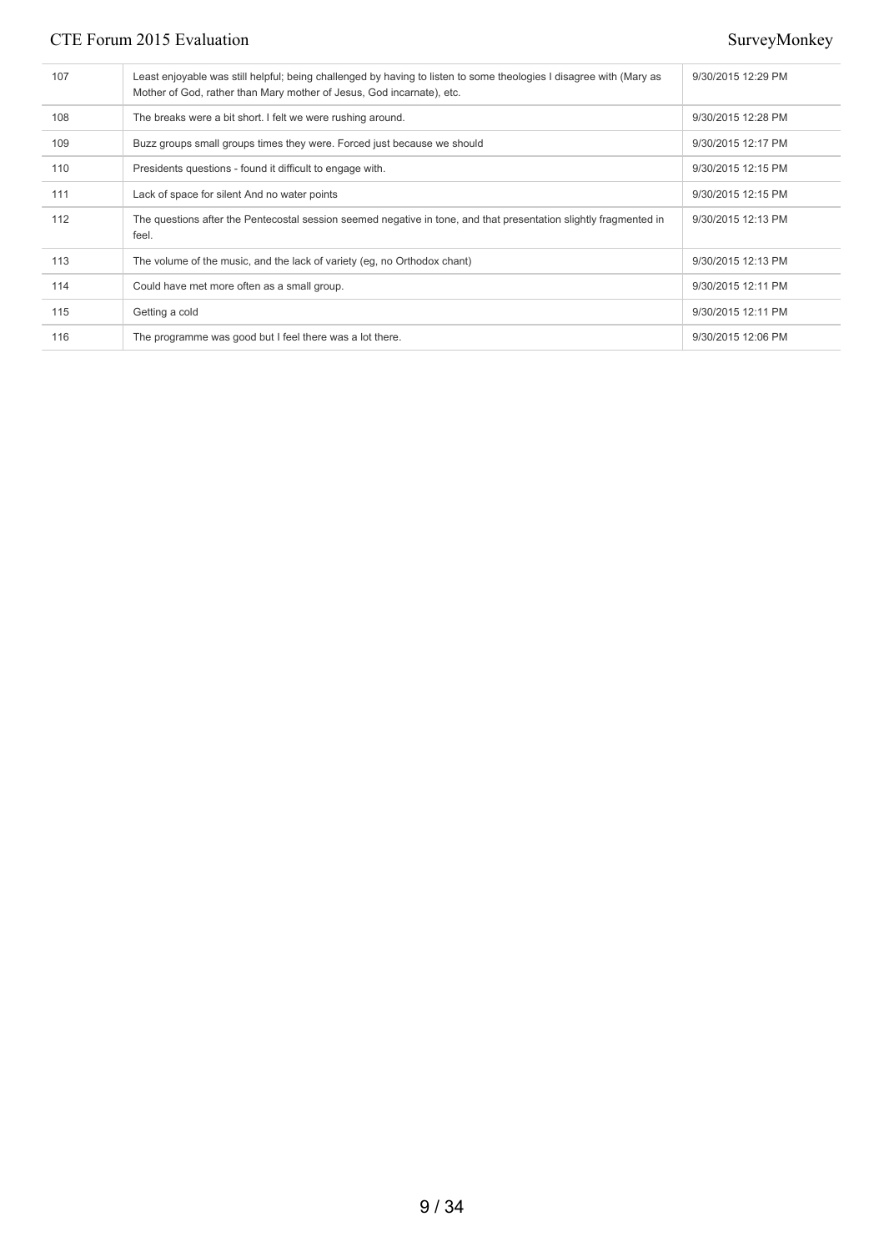| 107 | Least enjoyable was still helpful; being challenged by having to listen to some theologies I disagree with (Mary as<br>Mother of God, rather than Mary mother of Jesus, God incarnate), etc. | 9/30/2015 12:29 PM |
|-----|----------------------------------------------------------------------------------------------------------------------------------------------------------------------------------------------|--------------------|
| 108 | The breaks were a bit short. I felt we were rushing around.                                                                                                                                  | 9/30/2015 12:28 PM |
| 109 | Buzz groups small groups times they were. Forced just because we should                                                                                                                      | 9/30/2015 12:17 PM |
| 110 | Presidents questions - found it difficult to engage with.                                                                                                                                    | 9/30/2015 12:15 PM |
| 111 | Lack of space for silent And no water points                                                                                                                                                 | 9/30/2015 12:15 PM |
| 112 | The questions after the Pentecostal session seemed negative in tone, and that presentation slightly fragmented in<br>feel.                                                                   | 9/30/2015 12:13 PM |
| 113 | The volume of the music, and the lack of variety (eq. no Orthodox chant)                                                                                                                     | 9/30/2015 12:13 PM |
| 114 | Could have met more often as a small group.                                                                                                                                                  | 9/30/2015 12:11 PM |
| 115 | Getting a cold                                                                                                                                                                               | 9/30/2015 12:11 PM |
| 116 | The programme was good but I feel there was a lot there.                                                                                                                                     | 9/30/2015 12:06 PM |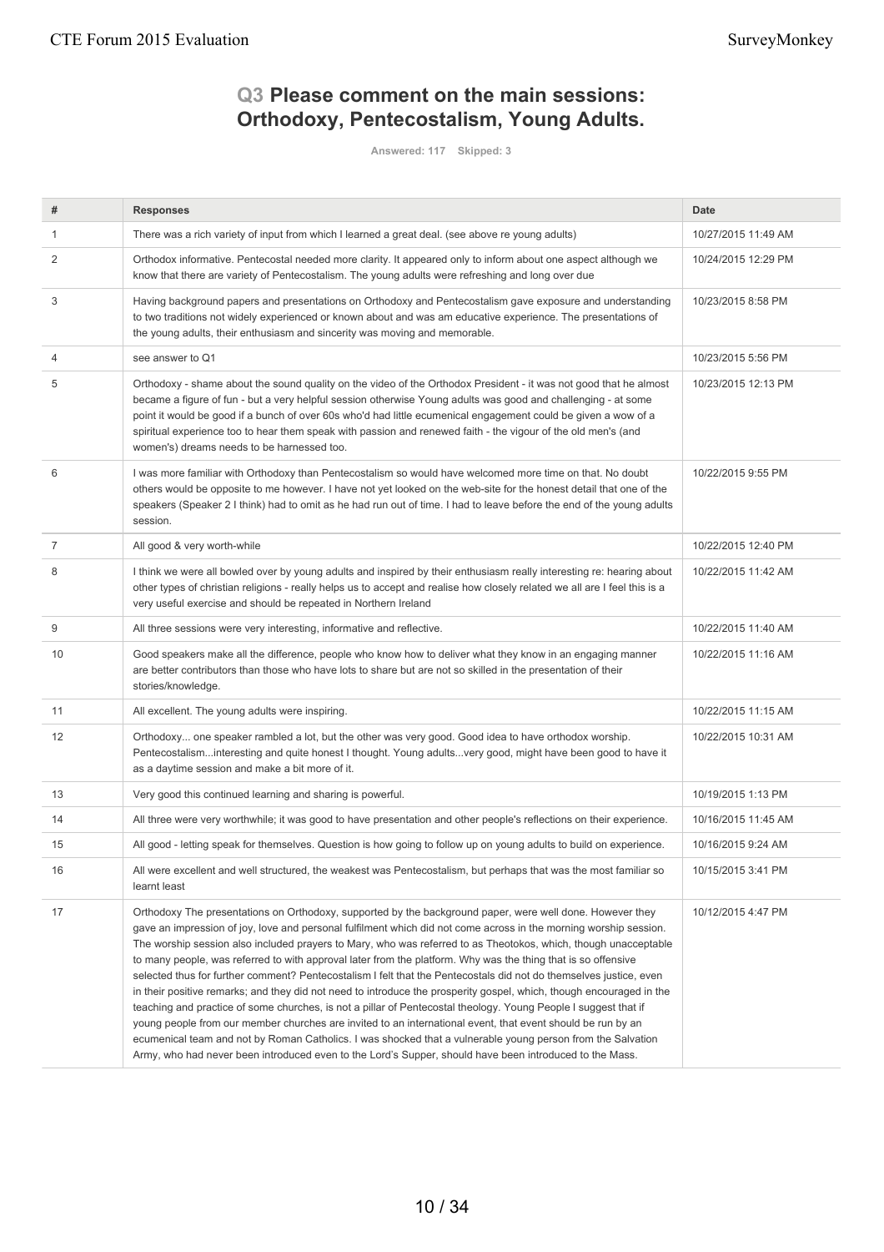# **Q3 Please comment on the main sessions: Orthodoxy, Pentecostalism, Young Adults.**

**Answered: 117 Skipped: 3**

| #              | <b>Responses</b>                                                                                                                                                                                                                                                                                                                                                                                                                                                                                                                                                                                                                                                                                                                                                                                                                                                                                                                                                                                                                                                                                                                                                             | Date                |
|----------------|------------------------------------------------------------------------------------------------------------------------------------------------------------------------------------------------------------------------------------------------------------------------------------------------------------------------------------------------------------------------------------------------------------------------------------------------------------------------------------------------------------------------------------------------------------------------------------------------------------------------------------------------------------------------------------------------------------------------------------------------------------------------------------------------------------------------------------------------------------------------------------------------------------------------------------------------------------------------------------------------------------------------------------------------------------------------------------------------------------------------------------------------------------------------------|---------------------|
| 1              | There was a rich variety of input from which I learned a great deal. (see above re young adults)                                                                                                                                                                                                                                                                                                                                                                                                                                                                                                                                                                                                                                                                                                                                                                                                                                                                                                                                                                                                                                                                             | 10/27/2015 11:49 AM |
| 2              | Orthodox informative. Pentecostal needed more clarity. It appeared only to inform about one aspect although we<br>know that there are variety of Pentecostalism. The young adults were refreshing and long over due                                                                                                                                                                                                                                                                                                                                                                                                                                                                                                                                                                                                                                                                                                                                                                                                                                                                                                                                                          | 10/24/2015 12:29 PM |
| 3              | Having background papers and presentations on Orthodoxy and Pentecostalism gave exposure and understanding<br>to two traditions not widely experienced or known about and was am educative experience. The presentations of<br>the young adults, their enthusiasm and sincerity was moving and memorable.                                                                                                                                                                                                                                                                                                                                                                                                                                                                                                                                                                                                                                                                                                                                                                                                                                                                    | 10/23/2015 8:58 PM  |
| 4              | see answer to Q1                                                                                                                                                                                                                                                                                                                                                                                                                                                                                                                                                                                                                                                                                                                                                                                                                                                                                                                                                                                                                                                                                                                                                             | 10/23/2015 5:56 PM  |
| 5              | Orthodoxy - shame about the sound quality on the video of the Orthodox President - it was not good that he almost<br>became a figure of fun - but a very helpful session otherwise Young adults was good and challenging - at some<br>point it would be good if a bunch of over 60s who'd had little ecumenical engagement could be given a wow of a<br>spiritual experience too to hear them speak with passion and renewed faith - the vigour of the old men's (and<br>women's) dreams needs to be harnessed too.                                                                                                                                                                                                                                                                                                                                                                                                                                                                                                                                                                                                                                                          | 10/23/2015 12:13 PM |
| 6              | I was more familiar with Orthodoxy than Pentecostalism so would have welcomed more time on that. No doubt<br>others would be opposite to me however. I have not yet looked on the web-site for the honest detail that one of the<br>speakers (Speaker 2 I think) had to omit as he had run out of time. I had to leave before the end of the young adults<br>session.                                                                                                                                                                                                                                                                                                                                                                                                                                                                                                                                                                                                                                                                                                                                                                                                        | 10/22/2015 9:55 PM  |
| $\overline{7}$ | All good & very worth-while                                                                                                                                                                                                                                                                                                                                                                                                                                                                                                                                                                                                                                                                                                                                                                                                                                                                                                                                                                                                                                                                                                                                                  | 10/22/2015 12:40 PM |
| 8              | I think we were all bowled over by young adults and inspired by their enthusiasm really interesting re: hearing about<br>other types of christian religions - really helps us to accept and realise how closely related we all are I feel this is a<br>very useful exercise and should be repeated in Northern Ireland                                                                                                                                                                                                                                                                                                                                                                                                                                                                                                                                                                                                                                                                                                                                                                                                                                                       | 10/22/2015 11:42 AM |
| 9              | All three sessions were very interesting, informative and reflective.                                                                                                                                                                                                                                                                                                                                                                                                                                                                                                                                                                                                                                                                                                                                                                                                                                                                                                                                                                                                                                                                                                        | 10/22/2015 11:40 AM |
| 10             | Good speakers make all the difference, people who know how to deliver what they know in an engaging manner<br>are better contributors than those who have lots to share but are not so skilled in the presentation of their<br>stories/knowledge.                                                                                                                                                                                                                                                                                                                                                                                                                                                                                                                                                                                                                                                                                                                                                                                                                                                                                                                            | 10/22/2015 11:16 AM |
| 11             | All excellent. The young adults were inspiring.                                                                                                                                                                                                                                                                                                                                                                                                                                                                                                                                                                                                                                                                                                                                                                                                                                                                                                                                                                                                                                                                                                                              | 10/22/2015 11:15 AM |
| 12             | Orthodoxy one speaker rambled a lot, but the other was very good. Good idea to have orthodox worship.<br>Pentecostalisminteresting and quite honest I thought. Young adultsvery good, might have been good to have it<br>as a daytime session and make a bit more of it.                                                                                                                                                                                                                                                                                                                                                                                                                                                                                                                                                                                                                                                                                                                                                                                                                                                                                                     | 10/22/2015 10:31 AM |
| 13             | Very good this continued learning and sharing is powerful.                                                                                                                                                                                                                                                                                                                                                                                                                                                                                                                                                                                                                                                                                                                                                                                                                                                                                                                                                                                                                                                                                                                   | 10/19/2015 1:13 PM  |
| 14             | All three were very worthwhile; it was good to have presentation and other people's reflections on their experience.                                                                                                                                                                                                                                                                                                                                                                                                                                                                                                                                                                                                                                                                                                                                                                                                                                                                                                                                                                                                                                                         | 10/16/2015 11:45 AM |
| 15             | All good - letting speak for themselves. Question is how going to follow up on young adults to build on experience.                                                                                                                                                                                                                                                                                                                                                                                                                                                                                                                                                                                                                                                                                                                                                                                                                                                                                                                                                                                                                                                          | 10/16/2015 9:24 AM  |
| 16             | All were excellent and well structured, the weakest was Pentecostalism, but perhaps that was the most familiar so<br>learnt least                                                                                                                                                                                                                                                                                                                                                                                                                                                                                                                                                                                                                                                                                                                                                                                                                                                                                                                                                                                                                                            | 10/15/2015 3:41 PM  |
| 17             | Orthodoxy The presentations on Orthodoxy, supported by the background paper, were well done. However they<br>gave an impression of joy, love and personal fulfilment which did not come across in the morning worship session.<br>The worship session also included prayers to Mary, who was referred to as Theotokos, which, though unacceptable<br>to many people, was referred to with approval later from the platform. Why was the thing that is so offensive<br>selected thus for further comment? Pentecostalism I felt that the Pentecostals did not do themselves justice, even<br>in their positive remarks; and they did not need to introduce the prosperity gospel, which, though encouraged in the<br>teaching and practice of some churches, is not a pillar of Pentecostal theology. Young People I suggest that if<br>young people from our member churches are invited to an international event, that event should be run by an<br>ecumenical team and not by Roman Catholics. I was shocked that a vulnerable young person from the Salvation<br>Army, who had never been introduced even to the Lord's Supper, should have been introduced to the Mass. | 10/12/2015 4:47 PM  |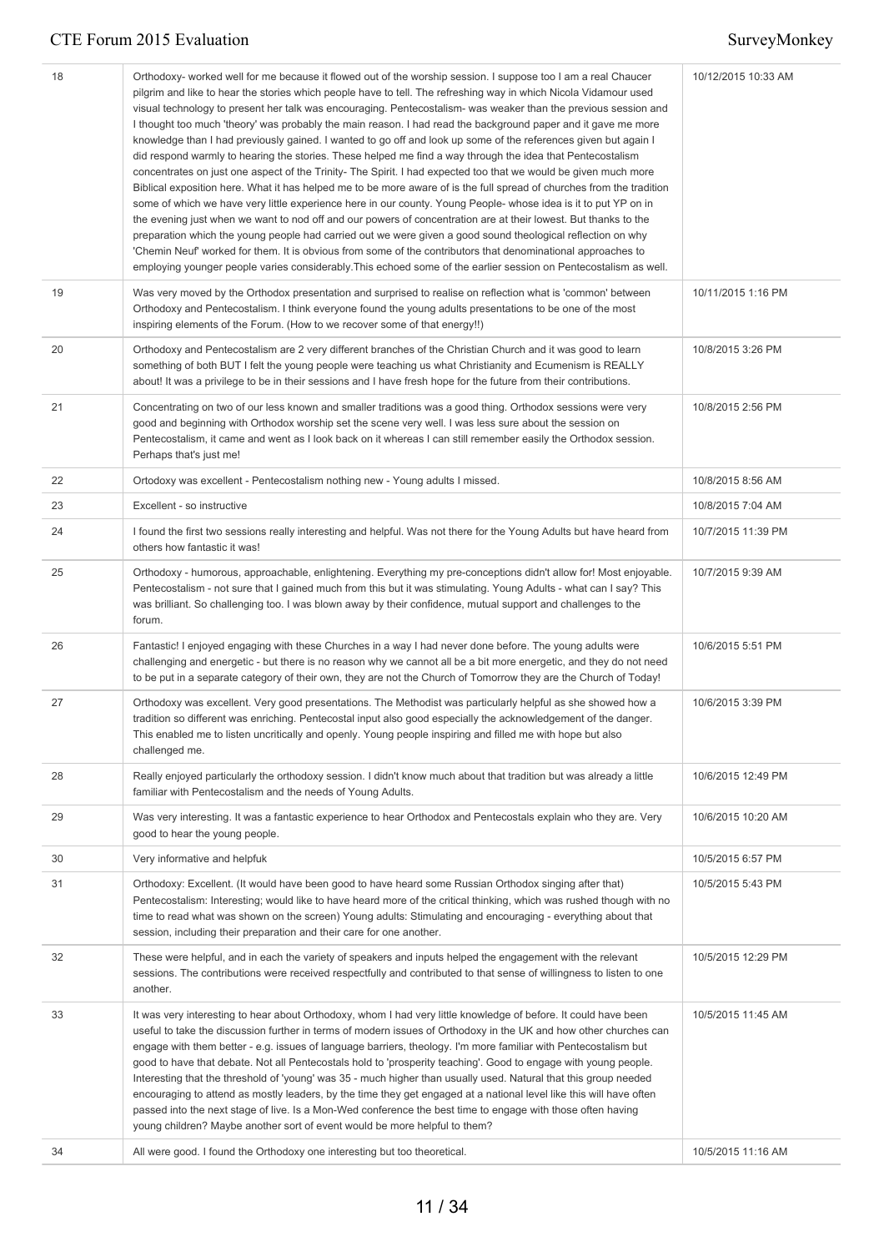| 18 | Orthodoxy- worked well for me because it flowed out of the worship session. I suppose too I am a real Chaucer<br>pilgrim and like to hear the stories which people have to tell. The refreshing way in which Nicola Vidamour used<br>visual technology to present her talk was encouraging. Pentecostalism- was weaker than the previous session and<br>I thought too much 'theory' was probably the main reason. I had read the background paper and it gave me more<br>knowledge than I had previously gained. I wanted to go off and look up some of the references given but again I<br>did respond warmly to hearing the stories. These helped me find a way through the idea that Pentecostalism<br>concentrates on just one aspect of the Trinity- The Spirit. I had expected too that we would be given much more<br>Biblical exposition here. What it has helped me to be more aware of is the full spread of churches from the tradition<br>some of which we have very little experience here in our county. Young People- whose idea is it to put YP on in<br>the evening just when we want to nod off and our powers of concentration are at their lowest. But thanks to the<br>preparation which the young people had carried out we were given a good sound theological reflection on why<br>'Chemin Neuf' worked for them. It is obvious from some of the contributors that denominational approaches to<br>employing younger people varies considerably. This echoed some of the earlier session on Pentecostalism as well. | 10/12/2015 10:33 AM |
|----|---------------------------------------------------------------------------------------------------------------------------------------------------------------------------------------------------------------------------------------------------------------------------------------------------------------------------------------------------------------------------------------------------------------------------------------------------------------------------------------------------------------------------------------------------------------------------------------------------------------------------------------------------------------------------------------------------------------------------------------------------------------------------------------------------------------------------------------------------------------------------------------------------------------------------------------------------------------------------------------------------------------------------------------------------------------------------------------------------------------------------------------------------------------------------------------------------------------------------------------------------------------------------------------------------------------------------------------------------------------------------------------------------------------------------------------------------------------------------------------------------------------------------------------------|---------------------|
| 19 | Was very moved by the Orthodox presentation and surprised to realise on reflection what is 'common' between<br>Orthodoxy and Pentecostalism. I think everyone found the young adults presentations to be one of the most<br>inspiring elements of the Forum. (How to we recover some of that energy!!)                                                                                                                                                                                                                                                                                                                                                                                                                                                                                                                                                                                                                                                                                                                                                                                                                                                                                                                                                                                                                                                                                                                                                                                                                                      | 10/11/2015 1:16 PM  |
| 20 | Orthodoxy and Pentecostalism are 2 very different branches of the Christian Church and it was good to learn<br>something of both BUT I felt the young people were teaching us what Christianity and Ecumenism is REALLY<br>about! It was a privilege to be in their sessions and I have fresh hope for the future from their contributions.                                                                                                                                                                                                                                                                                                                                                                                                                                                                                                                                                                                                                                                                                                                                                                                                                                                                                                                                                                                                                                                                                                                                                                                                 | 10/8/2015 3:26 PM   |
| 21 | Concentrating on two of our less known and smaller traditions was a good thing. Orthodox sessions were very<br>good and beginning with Orthodox worship set the scene very well. I was less sure about the session on<br>Pentecostalism, it came and went as I look back on it whereas I can still remember easily the Orthodox session.<br>Perhaps that's just me!                                                                                                                                                                                                                                                                                                                                                                                                                                                                                                                                                                                                                                                                                                                                                                                                                                                                                                                                                                                                                                                                                                                                                                         | 10/8/2015 2:56 PM   |
| 22 | Ortodoxy was excellent - Pentecostalism nothing new - Young adults I missed.                                                                                                                                                                                                                                                                                                                                                                                                                                                                                                                                                                                                                                                                                                                                                                                                                                                                                                                                                                                                                                                                                                                                                                                                                                                                                                                                                                                                                                                                | 10/8/2015 8:56 AM   |
| 23 | Excellent - so instructive                                                                                                                                                                                                                                                                                                                                                                                                                                                                                                                                                                                                                                                                                                                                                                                                                                                                                                                                                                                                                                                                                                                                                                                                                                                                                                                                                                                                                                                                                                                  | 10/8/2015 7:04 AM   |
| 24 | I found the first two sessions really interesting and helpful. Was not there for the Young Adults but have heard from<br>others how fantastic it was!                                                                                                                                                                                                                                                                                                                                                                                                                                                                                                                                                                                                                                                                                                                                                                                                                                                                                                                                                                                                                                                                                                                                                                                                                                                                                                                                                                                       | 10/7/2015 11:39 PM  |
| 25 | Orthodoxy - humorous, approachable, enlightening. Everything my pre-conceptions didn't allow for! Most enjoyable.<br>Pentecostalism - not sure that I gained much from this but it was stimulating. Young Adults - what can I say? This<br>was brilliant. So challenging too. I was blown away by their confidence, mutual support and challenges to the<br>forum.                                                                                                                                                                                                                                                                                                                                                                                                                                                                                                                                                                                                                                                                                                                                                                                                                                                                                                                                                                                                                                                                                                                                                                          | 10/7/2015 9:39 AM   |
| 26 | Fantastic! I enjoyed engaging with these Churches in a way I had never done before. The young adults were<br>challenging and energetic - but there is no reason why we cannot all be a bit more energetic, and they do not need<br>to be put in a separate category of their own, they are not the Church of Tomorrow they are the Church of Today!                                                                                                                                                                                                                                                                                                                                                                                                                                                                                                                                                                                                                                                                                                                                                                                                                                                                                                                                                                                                                                                                                                                                                                                         | 10/6/2015 5:51 PM   |
| 27 | Orthodoxy was excellent. Very good presentations. The Methodist was particularly helpful as she showed how a<br>tradition so different was enriching. Pentecostal input also good especially the acknowledgement of the danger.<br>This enabled me to listen uncritically and openly. Young people inspiring and filled me with hope but also<br>challenged me.                                                                                                                                                                                                                                                                                                                                                                                                                                                                                                                                                                                                                                                                                                                                                                                                                                                                                                                                                                                                                                                                                                                                                                             | 10/6/2015 3:39 PM   |
| 28 | Really enjoyed particularly the orthodoxy session. I didn't know much about that tradition but was already a little<br>familiar with Pentecostalism and the needs of Young Adults.                                                                                                                                                                                                                                                                                                                                                                                                                                                                                                                                                                                                                                                                                                                                                                                                                                                                                                                                                                                                                                                                                                                                                                                                                                                                                                                                                          | 10/6/2015 12:49 PM  |
| 29 | Was very interesting. It was a fantastic experience to hear Orthodox and Pentecostals explain who they are. Very<br>good to hear the young people.                                                                                                                                                                                                                                                                                                                                                                                                                                                                                                                                                                                                                                                                                                                                                                                                                                                                                                                                                                                                                                                                                                                                                                                                                                                                                                                                                                                          | 10/6/2015 10:20 AM  |
| 30 | Very informative and helpfuk                                                                                                                                                                                                                                                                                                                                                                                                                                                                                                                                                                                                                                                                                                                                                                                                                                                                                                                                                                                                                                                                                                                                                                                                                                                                                                                                                                                                                                                                                                                | 10/5/2015 6:57 PM   |
| 31 | Orthodoxy: Excellent. (It would have been good to have heard some Russian Orthodox singing after that)<br>Pentecostalism: Interesting; would like to have heard more of the critical thinking, which was rushed though with no<br>time to read what was shown on the screen) Young adults: Stimulating and encouraging - everything about that<br>session, including their preparation and their care for one another.                                                                                                                                                                                                                                                                                                                                                                                                                                                                                                                                                                                                                                                                                                                                                                                                                                                                                                                                                                                                                                                                                                                      | 10/5/2015 5:43 PM   |
| 32 | These were helpful, and in each the variety of speakers and inputs helped the engagement with the relevant<br>sessions. The contributions were received respectfully and contributed to that sense of willingness to listen to one<br>another.                                                                                                                                                                                                                                                                                                                                                                                                                                                                                                                                                                                                                                                                                                                                                                                                                                                                                                                                                                                                                                                                                                                                                                                                                                                                                              | 10/5/2015 12:29 PM  |
| 33 | It was very interesting to hear about Orthodoxy, whom I had very little knowledge of before. It could have been<br>useful to take the discussion further in terms of modern issues of Orthodoxy in the UK and how other churches can<br>engage with them better - e.g. issues of language barriers, theology. I'm more familiar with Pentecostalism but<br>good to have that debate. Not all Pentecostals hold to 'prosperity teaching'. Good to engage with young people.<br>Interesting that the threshold of 'young' was 35 - much higher than usually used. Natural that this group needed<br>encouraging to attend as mostly leaders, by the time they get engaged at a national level like this will have often<br>passed into the next stage of live. Is a Mon-Wed conference the best time to engage with those often having<br>young children? Maybe another sort of event would be more helpful to them?                                                                                                                                                                                                                                                                                                                                                                                                                                                                                                                                                                                                                          | 10/5/2015 11:45 AM  |
| 34 | All were good. I found the Orthodoxy one interesting but too theoretical.                                                                                                                                                                                                                                                                                                                                                                                                                                                                                                                                                                                                                                                                                                                                                                                                                                                                                                                                                                                                                                                                                                                                                                                                                                                                                                                                                                                                                                                                   | 10/5/2015 11:16 AM  |
|    |                                                                                                                                                                                                                                                                                                                                                                                                                                                                                                                                                                                                                                                                                                                                                                                                                                                                                                                                                                                                                                                                                                                                                                                                                                                                                                                                                                                                                                                                                                                                             |                     |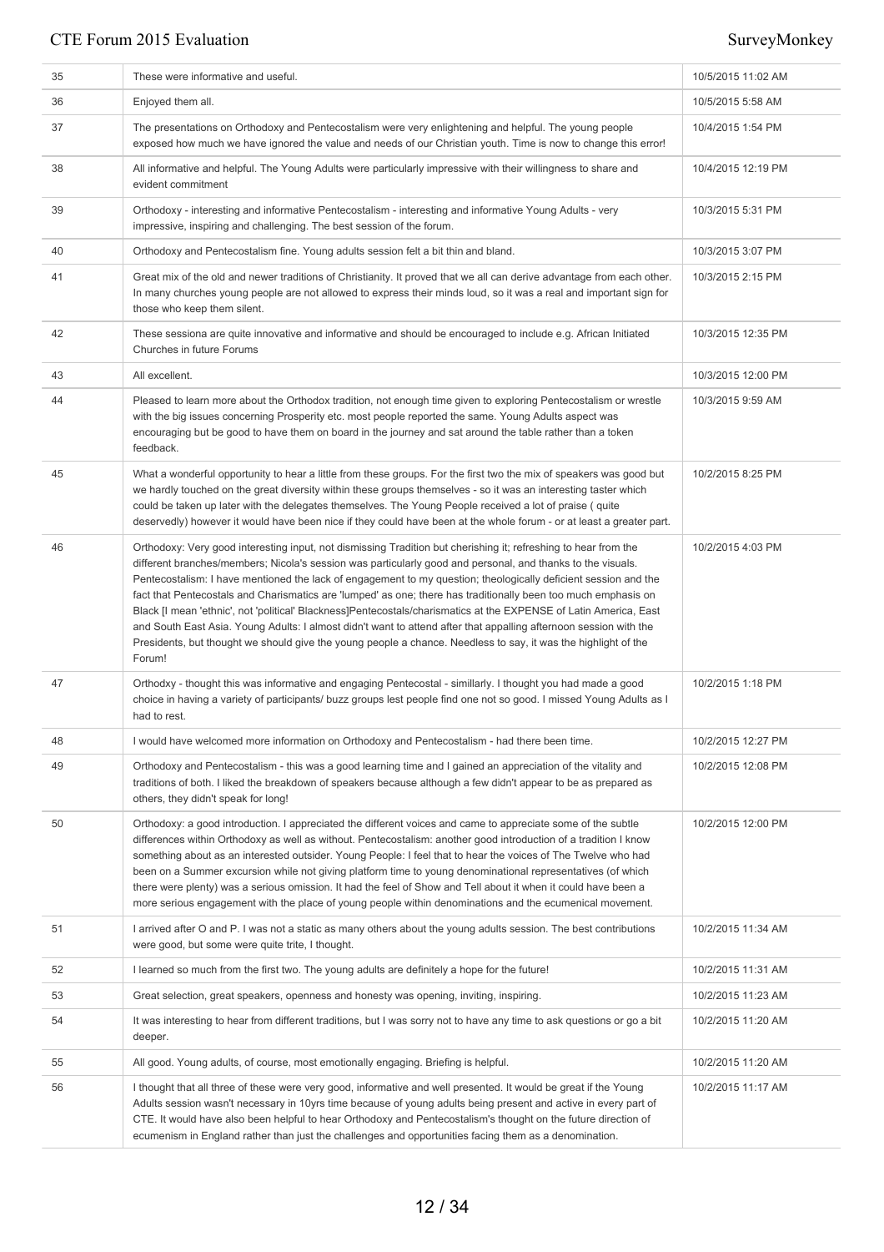| 35 | These were informative and useful.                                                                                                                                                                                                                                                                                                                                                                                                                                                                                                                                                                                                                                                                                                                                                                                                        | 10/5/2015 11:02 AM |
|----|-------------------------------------------------------------------------------------------------------------------------------------------------------------------------------------------------------------------------------------------------------------------------------------------------------------------------------------------------------------------------------------------------------------------------------------------------------------------------------------------------------------------------------------------------------------------------------------------------------------------------------------------------------------------------------------------------------------------------------------------------------------------------------------------------------------------------------------------|--------------------|
| 36 | Enjoyed them all.                                                                                                                                                                                                                                                                                                                                                                                                                                                                                                                                                                                                                                                                                                                                                                                                                         | 10/5/2015 5:58 AM  |
| 37 | The presentations on Orthodoxy and Pentecostalism were very enlightening and helpful. The young people<br>exposed how much we have ignored the value and needs of our Christian youth. Time is now to change this error!                                                                                                                                                                                                                                                                                                                                                                                                                                                                                                                                                                                                                  | 10/4/2015 1:54 PM  |
| 38 | All informative and helpful. The Young Adults were particularly impressive with their willingness to share and<br>evident commitment                                                                                                                                                                                                                                                                                                                                                                                                                                                                                                                                                                                                                                                                                                      | 10/4/2015 12:19 PM |
| 39 | Orthodoxy - interesting and informative Pentecostalism - interesting and informative Young Adults - very<br>impressive, inspiring and challenging. The best session of the forum.                                                                                                                                                                                                                                                                                                                                                                                                                                                                                                                                                                                                                                                         | 10/3/2015 5:31 PM  |
| 40 | Orthodoxy and Pentecostalism fine. Young adults session felt a bit thin and bland.                                                                                                                                                                                                                                                                                                                                                                                                                                                                                                                                                                                                                                                                                                                                                        | 10/3/2015 3:07 PM  |
| 41 | Great mix of the old and newer traditions of Christianity. It proved that we all can derive advantage from each other.<br>In many churches young people are not allowed to express their minds loud, so it was a real and important sign for<br>those who keep them silent.                                                                                                                                                                                                                                                                                                                                                                                                                                                                                                                                                               | 10/3/2015 2:15 PM  |
| 42 | These sessiona are quite innovative and informative and should be encouraged to include e.g. African Initiated<br>Churches in future Forums                                                                                                                                                                                                                                                                                                                                                                                                                                                                                                                                                                                                                                                                                               | 10/3/2015 12:35 PM |
| 43 | All excellent.                                                                                                                                                                                                                                                                                                                                                                                                                                                                                                                                                                                                                                                                                                                                                                                                                            | 10/3/2015 12:00 PM |
| 44 | Pleased to learn more about the Orthodox tradition, not enough time given to exploring Pentecostalism or wrestle<br>with the big issues concerning Prosperity etc. most people reported the same. Young Adults aspect was<br>encouraging but be good to have them on board in the journey and sat around the table rather than a token<br>feedback.                                                                                                                                                                                                                                                                                                                                                                                                                                                                                       | 10/3/2015 9:59 AM  |
| 45 | What a wonderful opportunity to hear a little from these groups. For the first two the mix of speakers was good but<br>we hardly touched on the great diversity within these groups themselves - so it was an interesting taster which<br>could be taken up later with the delegates themselves. The Young People received a lot of praise ( quite<br>deservedly) however it would have been nice if they could have been at the whole forum - or at least a greater part.                                                                                                                                                                                                                                                                                                                                                                | 10/2/2015 8:25 PM  |
| 46 | Orthodoxy: Very good interesting input, not dismissing Tradition but cherishing it; refreshing to hear from the<br>different branches/members; Nicola's session was particularly good and personal, and thanks to the visuals.<br>Pentecostalism: I have mentioned the lack of engagement to my question; theologically deficient session and the<br>fact that Pentecostals and Charismatics are 'lumped' as one; there has traditionally been too much emphasis on<br>Black [I mean 'ethnic', not 'political' Blackness]Pentecostals/charismatics at the EXPENSE of Latin America, East<br>and South East Asia. Young Adults: I almost didn't want to attend after that appalling afternoon session with the<br>Presidents, but thought we should give the young people a chance. Needless to say, it was the highlight of the<br>Forum! | 10/2/2015 4:03 PM  |
| 47 | Orthodxy - thought this was informative and engaging Pentecostal - simillarly. I thought you had made a good<br>choice in having a variety of participants/ buzz groups lest people find one not so good. I missed Young Adults as I<br>had to rest.                                                                                                                                                                                                                                                                                                                                                                                                                                                                                                                                                                                      | 10/2/2015 1:18 PM  |
| 48 | I would have welcomed more information on Orthodoxy and Pentecostalism - had there been time.                                                                                                                                                                                                                                                                                                                                                                                                                                                                                                                                                                                                                                                                                                                                             | 10/2/2015 12:27 PM |
| 49 | Orthodoxy and Pentecostalism - this was a good learning time and I gained an appreciation of the vitality and<br>traditions of both. I liked the breakdown of speakers because although a few didn't appear to be as prepared as<br>others, they didn't speak for long!                                                                                                                                                                                                                                                                                                                                                                                                                                                                                                                                                                   | 10/2/2015 12:08 PM |
| 50 | Orthodoxy: a good introduction. I appreciated the different voices and came to appreciate some of the subtle<br>differences within Orthodoxy as well as without. Pentecostalism: another good introduction of a tradition I know<br>something about as an interested outsider. Young People: I feel that to hear the voices of The Twelve who had<br>been on a Summer excursion while not giving platform time to young denominational representatives (of which<br>there were plenty) was a serious omission. It had the feel of Show and Tell about it when it could have been a<br>more serious engagement with the place of young people within denominations and the ecumenical movement.                                                                                                                                            | 10/2/2015 12:00 PM |
| 51 | I arrived after O and P. I was not a static as many others about the young adults session. The best contributions<br>were good, but some were quite trite, I thought.                                                                                                                                                                                                                                                                                                                                                                                                                                                                                                                                                                                                                                                                     | 10/2/2015 11:34 AM |
| 52 | I learned so much from the first two. The young adults are definitely a hope for the future!                                                                                                                                                                                                                                                                                                                                                                                                                                                                                                                                                                                                                                                                                                                                              | 10/2/2015 11:31 AM |
| 53 | Great selection, great speakers, openness and honesty was opening, inviting, inspiring.                                                                                                                                                                                                                                                                                                                                                                                                                                                                                                                                                                                                                                                                                                                                                   | 10/2/2015 11:23 AM |
| 54 | It was interesting to hear from different traditions, but I was sorry not to have any time to ask questions or go a bit<br>deeper.                                                                                                                                                                                                                                                                                                                                                                                                                                                                                                                                                                                                                                                                                                        | 10/2/2015 11:20 AM |
| 55 | All good. Young adults, of course, most emotionally engaging. Briefing is helpful.                                                                                                                                                                                                                                                                                                                                                                                                                                                                                                                                                                                                                                                                                                                                                        | 10/2/2015 11:20 AM |
| 56 | I thought that all three of these were very good, informative and well presented. It would be great if the Young<br>Adults session wasn't necessary in 10yrs time because of young adults being present and active in every part of<br>CTE. It would have also been helpful to hear Orthodoxy and Pentecostalism's thought on the future direction of<br>ecumenism in England rather than just the challenges and opportunities facing them as a denomination.                                                                                                                                                                                                                                                                                                                                                                            | 10/2/2015 11:17 AM |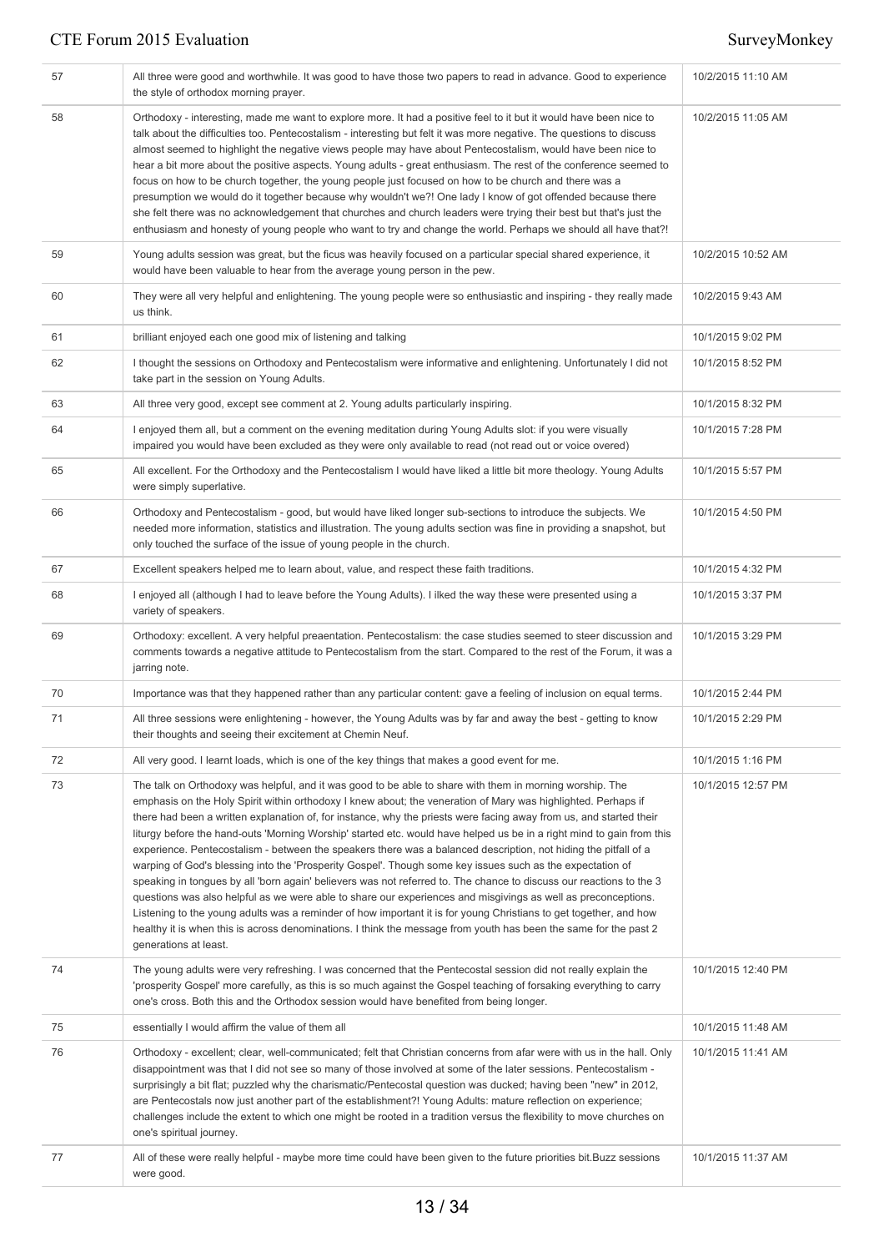| 57 | All three were good and worthwhile. It was good to have those two papers to read in advance. Good to experience<br>the style of orthodox morning prayer.                                                                                                                                                                                                                                                                                                                                                                                                                                                                                                                                                                                                                                                                                                                                                                                                                                                                                                                                                                                                                                                           | 10/2/2015 11:10 AM |
|----|--------------------------------------------------------------------------------------------------------------------------------------------------------------------------------------------------------------------------------------------------------------------------------------------------------------------------------------------------------------------------------------------------------------------------------------------------------------------------------------------------------------------------------------------------------------------------------------------------------------------------------------------------------------------------------------------------------------------------------------------------------------------------------------------------------------------------------------------------------------------------------------------------------------------------------------------------------------------------------------------------------------------------------------------------------------------------------------------------------------------------------------------------------------------------------------------------------------------|--------------------|
| 58 | Orthodoxy - interesting, made me want to explore more. It had a positive feel to it but it would have been nice to<br>talk about the difficulties too. Pentecostalism - interesting but felt it was more negative. The questions to discuss<br>almost seemed to highlight the negative views people may have about Pentecostalism, would have been nice to<br>hear a bit more about the positive aspects. Young adults - great enthusiasm. The rest of the conference seemed to<br>focus on how to be church together, the young people just focused on how to be church and there was a<br>presumption we would do it together because why wouldn't we?! One lady I know of got offended because there<br>she felt there was no acknowledgement that churches and church leaders were trying their best but that's just the<br>enthusiasm and honesty of young people who want to try and change the world. Perhaps we should all have that?!                                                                                                                                                                                                                                                                     | 10/2/2015 11:05 AM |
| 59 | Young adults session was great, but the ficus was heavily focused on a particular special shared experience, it<br>would have been valuable to hear from the average young person in the pew.                                                                                                                                                                                                                                                                                                                                                                                                                                                                                                                                                                                                                                                                                                                                                                                                                                                                                                                                                                                                                      | 10/2/2015 10:52 AM |
| 60 | They were all very helpful and enlightening. The young people were so enthusiastic and inspiring - they really made<br>us think.                                                                                                                                                                                                                                                                                                                                                                                                                                                                                                                                                                                                                                                                                                                                                                                                                                                                                                                                                                                                                                                                                   | 10/2/2015 9:43 AM  |
| 61 | brilliant enjoyed each one good mix of listening and talking                                                                                                                                                                                                                                                                                                                                                                                                                                                                                                                                                                                                                                                                                                                                                                                                                                                                                                                                                                                                                                                                                                                                                       | 10/1/2015 9:02 PM  |
| 62 | I thought the sessions on Orthodoxy and Pentecostalism were informative and enlightening. Unfortunately I did not<br>take part in the session on Young Adults.                                                                                                                                                                                                                                                                                                                                                                                                                                                                                                                                                                                                                                                                                                                                                                                                                                                                                                                                                                                                                                                     | 10/1/2015 8:52 PM  |
| 63 | All three very good, except see comment at 2. Young adults particularly inspiring.                                                                                                                                                                                                                                                                                                                                                                                                                                                                                                                                                                                                                                                                                                                                                                                                                                                                                                                                                                                                                                                                                                                                 | 10/1/2015 8:32 PM  |
| 64 | I enjoyed them all, but a comment on the evening meditation during Young Adults slot: if you were visually<br>impaired you would have been excluded as they were only available to read (not read out or voice overed)                                                                                                                                                                                                                                                                                                                                                                                                                                                                                                                                                                                                                                                                                                                                                                                                                                                                                                                                                                                             | 10/1/2015 7:28 PM  |
| 65 | All excellent. For the Orthodoxy and the Pentecostalism I would have liked a little bit more theology. Young Adults<br>were simply superlative.                                                                                                                                                                                                                                                                                                                                                                                                                                                                                                                                                                                                                                                                                                                                                                                                                                                                                                                                                                                                                                                                    | 10/1/2015 5:57 PM  |
| 66 | Orthodoxy and Pentecostalism - good, but would have liked longer sub-sections to introduce the subjects. We<br>needed more information, statistics and illustration. The young adults section was fine in providing a snapshot, but<br>only touched the surface of the issue of young people in the church.                                                                                                                                                                                                                                                                                                                                                                                                                                                                                                                                                                                                                                                                                                                                                                                                                                                                                                        | 10/1/2015 4:50 PM  |
| 67 | Excellent speakers helped me to learn about, value, and respect these faith traditions.                                                                                                                                                                                                                                                                                                                                                                                                                                                                                                                                                                                                                                                                                                                                                                                                                                                                                                                                                                                                                                                                                                                            | 10/1/2015 4:32 PM  |
| 68 | I enjoyed all (although I had to leave before the Young Adults). I ilked the way these were presented using a<br>variety of speakers.                                                                                                                                                                                                                                                                                                                                                                                                                                                                                                                                                                                                                                                                                                                                                                                                                                                                                                                                                                                                                                                                              | 10/1/2015 3:37 PM  |
| 69 | Orthodoxy: excellent. A very helpful preaentation. Pentecostalism: the case studies seemed to steer discussion and<br>comments towards a negative attitude to Pentecostalism from the start. Compared to the rest of the Forum, it was a<br>jarring note.                                                                                                                                                                                                                                                                                                                                                                                                                                                                                                                                                                                                                                                                                                                                                                                                                                                                                                                                                          | 10/1/2015 3:29 PM  |
| 70 | Importance was that they happened rather than any particular content: gave a feeling of inclusion on equal terms.                                                                                                                                                                                                                                                                                                                                                                                                                                                                                                                                                                                                                                                                                                                                                                                                                                                                                                                                                                                                                                                                                                  | 10/1/2015 2:44 PM  |
| 71 | All three sessions were enlightening - however, the Young Adults was by far and away the best - getting to know<br>their thoughts and seeing their excitement at Chemin Neuf.                                                                                                                                                                                                                                                                                                                                                                                                                                                                                                                                                                                                                                                                                                                                                                                                                                                                                                                                                                                                                                      | 10/1/2015 2:29 PM  |
| 72 | All very good. I learnt loads, which is one of the key things that makes a good event for me.                                                                                                                                                                                                                                                                                                                                                                                                                                                                                                                                                                                                                                                                                                                                                                                                                                                                                                                                                                                                                                                                                                                      | 10/1/2015 1:16 PM  |
| 73 | The talk on Orthodoxy was helpful, and it was good to be able to share with them in morning worship. The<br>emphasis on the Holy Spirit within orthodoxy I knew about; the veneration of Mary was highlighted. Perhaps if<br>there had been a written explanation of, for instance, why the priests were facing away from us, and started their<br>liturgy before the hand-outs 'Morning Worship' started etc. would have helped us be in a right mind to gain from this<br>experience. Pentecostalism - between the speakers there was a balanced description, not hiding the pitfall of a<br>warping of God's blessing into the 'Prosperity Gospel'. Though some key issues such as the expectation of<br>speaking in tongues by all 'born again' believers was not referred to. The chance to discuss our reactions to the 3<br>questions was also helpful as we were able to share our experiences and misgivings as well as preconceptions.<br>Listening to the young adults was a reminder of how important it is for young Christians to get together, and how<br>healthy it is when this is across denominations. I think the message from youth has been the same for the past 2<br>generations at least. | 10/1/2015 12:57 PM |
| 74 | The young adults were very refreshing. I was concerned that the Pentecostal session did not really explain the<br>'prosperity Gospel' more carefully, as this is so much against the Gospel teaching of forsaking everything to carry<br>one's cross. Both this and the Orthodox session would have benefited from being longer.                                                                                                                                                                                                                                                                                                                                                                                                                                                                                                                                                                                                                                                                                                                                                                                                                                                                                   | 10/1/2015 12:40 PM |
| 75 | essentially I would affirm the value of them all                                                                                                                                                                                                                                                                                                                                                                                                                                                                                                                                                                                                                                                                                                                                                                                                                                                                                                                                                                                                                                                                                                                                                                   | 10/1/2015 11:48 AM |
| 76 | Orthodoxy - excellent; clear, well-communicated; felt that Christian concerns from afar were with us in the hall. Only<br>disappointment was that I did not see so many of those involved at some of the later sessions. Pentecostalism -<br>surprisingly a bit flat; puzzled why the charismatic/Pentecostal question was ducked; having been "new" in 2012,<br>are Pentecostals now just another part of the establishment?! Young Adults: mature reflection on experience;<br>challenges include the extent to which one might be rooted in a tradition versus the flexibility to move churches on<br>one's spiritual journey.                                                                                                                                                                                                                                                                                                                                                                                                                                                                                                                                                                                  | 10/1/2015 11:41 AM |
| 77 | All of these were really helpful - maybe more time could have been given to the future priorities bit.Buzz sessions<br>were good.                                                                                                                                                                                                                                                                                                                                                                                                                                                                                                                                                                                                                                                                                                                                                                                                                                                                                                                                                                                                                                                                                  | 10/1/2015 11:37 AM |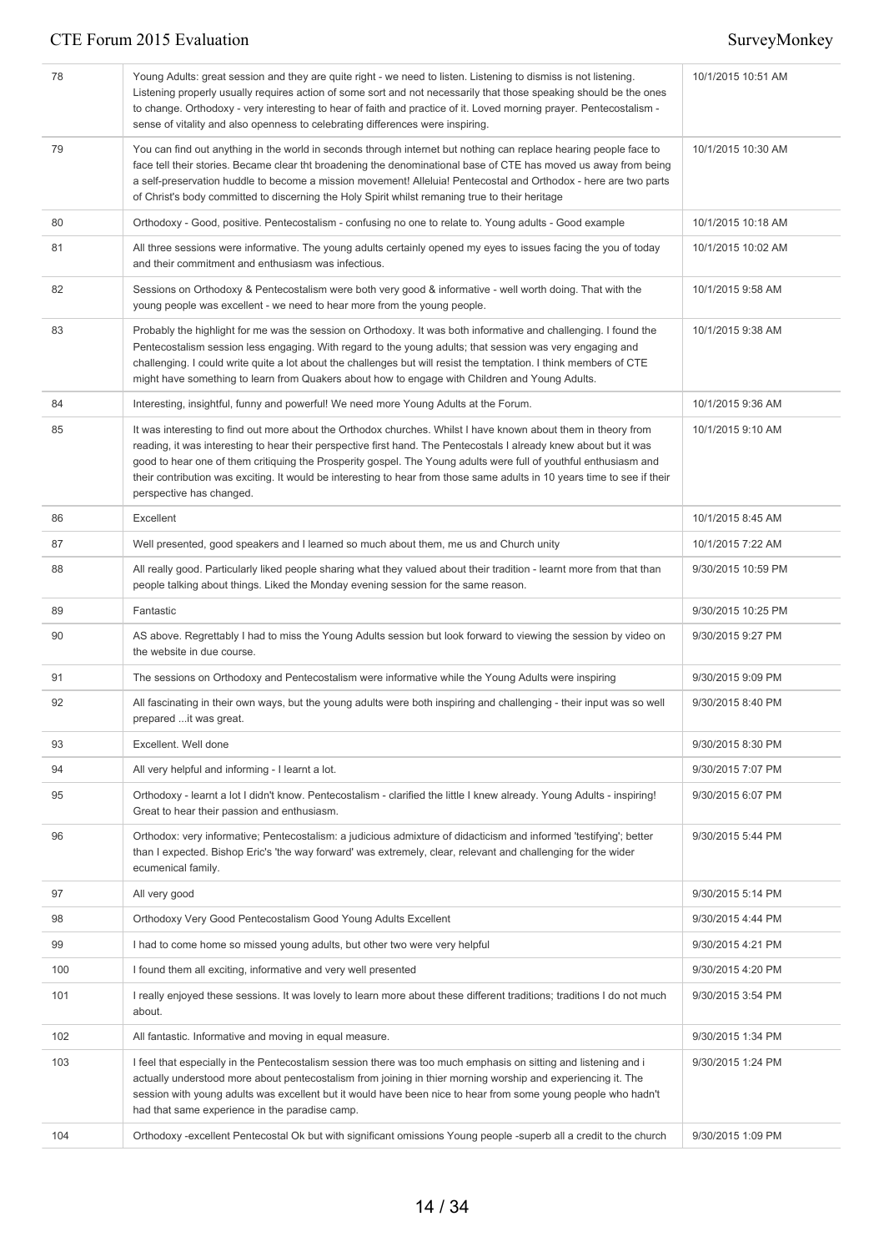| 78  | Young Adults: great session and they are quite right - we need to listen. Listening to dismiss is not listening.<br>Listening properly usually requires action of some sort and not necessarily that those speaking should be the ones<br>to change. Orthodoxy - very interesting to hear of faith and practice of it. Loved morning prayer. Pentecostalism -<br>sense of vitality and also openness to celebrating differences were inspiring.                                                                  | 10/1/2015 10:51 AM |
|-----|------------------------------------------------------------------------------------------------------------------------------------------------------------------------------------------------------------------------------------------------------------------------------------------------------------------------------------------------------------------------------------------------------------------------------------------------------------------------------------------------------------------|--------------------|
| 79  | You can find out anything in the world in seconds through internet but nothing can replace hearing people face to<br>face tell their stories. Became clear tht broadening the denominational base of CTE has moved us away from being<br>a self-preservation huddle to become a mission movement! Alleluia! Pentecostal and Orthodox - here are two parts<br>of Christ's body committed to discerning the Holy Spirit whilst remaning true to their heritage                                                     | 10/1/2015 10:30 AM |
| 80  | Orthodoxy - Good, positive. Pentecostalism - confusing no one to relate to. Young adults - Good example                                                                                                                                                                                                                                                                                                                                                                                                          | 10/1/2015 10:18 AM |
| 81  | All three sessions were informative. The young adults certainly opened my eyes to issues facing the you of today<br>and their commitment and enthusiasm was infectious.                                                                                                                                                                                                                                                                                                                                          | 10/1/2015 10:02 AM |
| 82  | Sessions on Orthodoxy & Pentecostalism were both very good & informative - well worth doing. That with the<br>young people was excellent - we need to hear more from the young people.                                                                                                                                                                                                                                                                                                                           | 10/1/2015 9:58 AM  |
| 83  | Probably the highlight for me was the session on Orthodoxy. It was both informative and challenging. I found the<br>Pentecostalism session less engaging. With regard to the young adults; that session was very engaging and<br>challenging. I could write quite a lot about the challenges but will resist the temptation. I think members of CTE<br>might have something to learn from Quakers about how to engage with Children and Young Adults.                                                            | 10/1/2015 9:38 AM  |
| 84  | Interesting, insightful, funny and powerful! We need more Young Adults at the Forum.                                                                                                                                                                                                                                                                                                                                                                                                                             | 10/1/2015 9:36 AM  |
| 85  | It was interesting to find out more about the Orthodox churches. Whilst I have known about them in theory from<br>reading, it was interesting to hear their perspective first hand. The Pentecostals I already knew about but it was<br>good to hear one of them critiquing the Prosperity gospel. The Young adults were full of youthful enthusiasm and<br>their contribution was exciting. It would be interesting to hear from those same adults in 10 years time to see if their<br>perspective has changed. | 10/1/2015 9:10 AM  |
| 86  | Excellent                                                                                                                                                                                                                                                                                                                                                                                                                                                                                                        | 10/1/2015 8:45 AM  |
| 87  | Well presented, good speakers and I learned so much about them, me us and Church unity                                                                                                                                                                                                                                                                                                                                                                                                                           | 10/1/2015 7:22 AM  |
| 88  | All really good. Particularly liked people sharing what they valued about their tradition - learnt more from that than<br>people talking about things. Liked the Monday evening session for the same reason.                                                                                                                                                                                                                                                                                                     | 9/30/2015 10:59 PM |
| 89  | Fantastic                                                                                                                                                                                                                                                                                                                                                                                                                                                                                                        | 9/30/2015 10:25 PM |
| 90  | AS above. Regrettably I had to miss the Young Adults session but look forward to viewing the session by video on<br>the website in due course.                                                                                                                                                                                                                                                                                                                                                                   | 9/30/2015 9:27 PM  |
| 91  | The sessions on Orthodoxy and Pentecostalism were informative while the Young Adults were inspiring                                                                                                                                                                                                                                                                                                                                                                                                              | 9/30/2015 9:09 PM  |
| 92  | All fascinating in their own ways, but the young adults were both inspiring and challenging - their input was so well<br>prepared  it was great.                                                                                                                                                                                                                                                                                                                                                                 | 9/30/2015 8:40 PM  |
| 93  | Excellent. Well done                                                                                                                                                                                                                                                                                                                                                                                                                                                                                             | 9/30/2015 8:30 PM  |
| 94  | All very helpful and informing - I learnt a lot.                                                                                                                                                                                                                                                                                                                                                                                                                                                                 | 9/30/2015 7:07 PM  |
| 95  | Orthodoxy - learnt a lot I didn't know. Pentecostalism - clarified the little I knew already. Young Adults - inspiring!<br>Great to hear their passion and enthusiasm.                                                                                                                                                                                                                                                                                                                                           | 9/30/2015 6:07 PM  |
| 96  | Orthodox: very informative; Pentecostalism: a judicious admixture of didacticism and informed 'testifying'; better<br>than I expected. Bishop Eric's 'the way forward' was extremely, clear, relevant and challenging for the wider<br>ecumenical family.                                                                                                                                                                                                                                                        | 9/30/2015 5:44 PM  |
| 97  | All very good                                                                                                                                                                                                                                                                                                                                                                                                                                                                                                    | 9/30/2015 5:14 PM  |
| 98  | Orthodoxy Very Good Pentecostalism Good Young Adults Excellent                                                                                                                                                                                                                                                                                                                                                                                                                                                   | 9/30/2015 4:44 PM  |
| 99  | I had to come home so missed young adults, but other two were very helpful                                                                                                                                                                                                                                                                                                                                                                                                                                       | 9/30/2015 4:21 PM  |
| 100 | I found them all exciting, informative and very well presented                                                                                                                                                                                                                                                                                                                                                                                                                                                   | 9/30/2015 4:20 PM  |
| 101 | I really enjoyed these sessions. It was lovely to learn more about these different traditions; traditions I do not much<br>about.                                                                                                                                                                                                                                                                                                                                                                                | 9/30/2015 3:54 PM  |
| 102 | All fantastic. Informative and moving in equal measure.                                                                                                                                                                                                                                                                                                                                                                                                                                                          | 9/30/2015 1:34 PM  |
| 103 | I feel that especially in the Pentecostalism session there was too much emphasis on sitting and listening and i<br>actually understood more about pentecostalism from joining in thier morning worship and experiencing it. The<br>session with young adults was excellent but it would have been nice to hear from some young people who hadn't<br>had that same experience in the paradise camp.                                                                                                               | 9/30/2015 1:24 PM  |
| 104 | Orthodoxy -excellent Pentecostal Ok but with significant omissions Young people -superb all a credit to the church                                                                                                                                                                                                                                                                                                                                                                                               | 9/30/2015 1:09 PM  |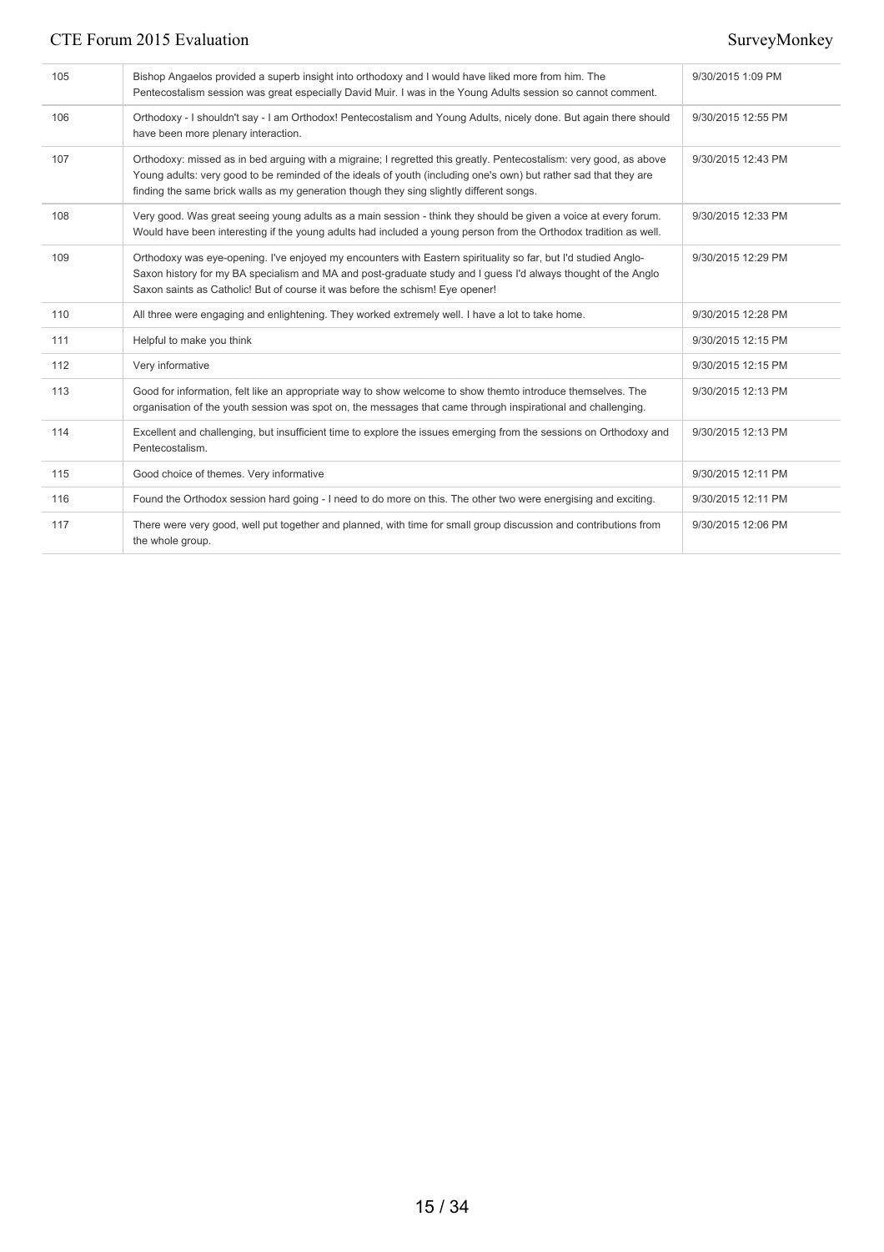| 105 | Bishop Angaelos provided a superb insight into orthodoxy and I would have liked more from him. The<br>Pentecostalism session was great especially David Muir. I was in the Young Adults session so cannot comment.                                                                                                                 | 9/30/2015 1:09 PM  |
|-----|------------------------------------------------------------------------------------------------------------------------------------------------------------------------------------------------------------------------------------------------------------------------------------------------------------------------------------|--------------------|
| 106 | Orthodoxy - I shouldn't say - I am Orthodox! Pentecostalism and Young Adults, nicely done. But again there should<br>have been more plenary interaction.                                                                                                                                                                           | 9/30/2015 12:55 PM |
| 107 | Orthodoxy: missed as in bed arguing with a migraine; I regretted this greatly. Pentecostalism: very good, as above<br>Young adults: very good to be reminded of the ideals of youth (including one's own) but rather sad that they are<br>finding the same brick walls as my generation though they sing slightly different songs. | 9/30/2015 12:43 PM |
| 108 | Very good. Was great seeing young adults as a main session - think they should be given a voice at every forum.<br>Would have been interesting if the young adults had included a young person from the Orthodox tradition as well.                                                                                                | 9/30/2015 12:33 PM |
| 109 | Orthodoxy was eye-opening. I've enjoyed my encounters with Eastern spirituality so far, but I'd studied Anglo-<br>Saxon history for my BA specialism and MA and post-graduate study and I guess I'd always thought of the Anglo<br>Saxon saints as Catholic! But of course it was before the schism! Eye opener!                   | 9/30/2015 12:29 PM |
| 110 | All three were engaging and enlightening. They worked extremely well. I have a lot to take home.                                                                                                                                                                                                                                   | 9/30/2015 12:28 PM |
| 111 | Helpful to make you think                                                                                                                                                                                                                                                                                                          | 9/30/2015 12:15 PM |
| 112 | Very informative                                                                                                                                                                                                                                                                                                                   | 9/30/2015 12:15 PM |
| 113 | Good for information, felt like an appropriate way to show welcome to show themto introduce themselves. The<br>organisation of the youth session was spot on, the messages that came through inspirational and challenging.                                                                                                        | 9/30/2015 12:13 PM |
| 114 | Excellent and challenging, but insufficient time to explore the issues emerging from the sessions on Orthodoxy and<br>Pentecostalism.                                                                                                                                                                                              | 9/30/2015 12:13 PM |
| 115 | Good choice of themes. Very informative                                                                                                                                                                                                                                                                                            | 9/30/2015 12:11 PM |
| 116 | Found the Orthodox session hard going - I need to do more on this. The other two were energising and exciting.                                                                                                                                                                                                                     | 9/30/2015 12:11 PM |
| 117 | There were very good, well put together and planned, with time for small group discussion and contributions from<br>the whole group.                                                                                                                                                                                               | 9/30/2015 12:06 PM |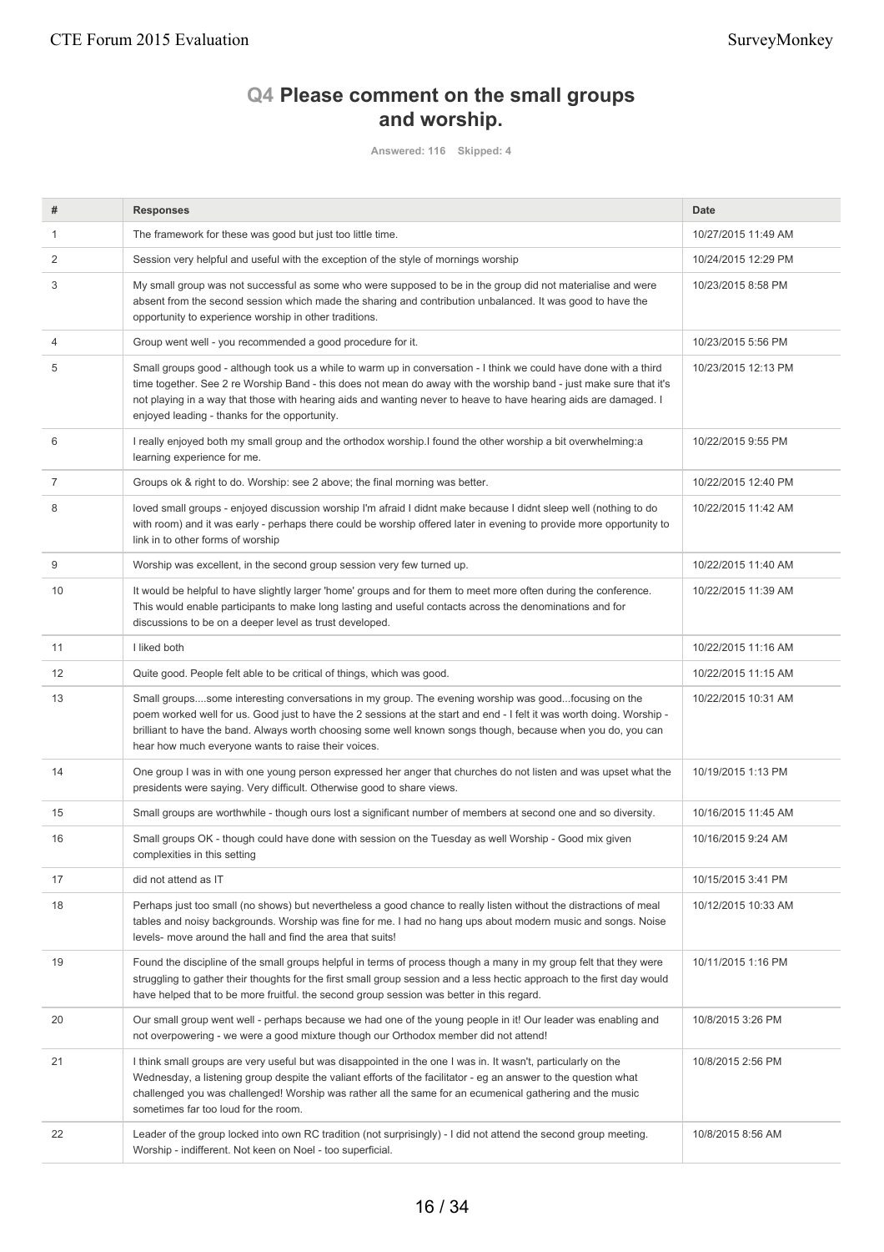# **Q4 Please comment on the small groups and worship.**

**Answered: 116 Skipped: 4**

| #  | <b>Responses</b>                                                                                                                                                                                                                                                                                                                                                                                             | <b>Date</b>         |
|----|--------------------------------------------------------------------------------------------------------------------------------------------------------------------------------------------------------------------------------------------------------------------------------------------------------------------------------------------------------------------------------------------------------------|---------------------|
| 1  | The framework for these was good but just too little time.                                                                                                                                                                                                                                                                                                                                                   | 10/27/2015 11:49 AM |
| 2  | Session very helpful and useful with the exception of the style of mornings worship                                                                                                                                                                                                                                                                                                                          | 10/24/2015 12:29 PM |
| 3  | My small group was not successful as some who were supposed to be in the group did not materialise and were<br>absent from the second session which made the sharing and contribution unbalanced. It was good to have the<br>opportunity to experience worship in other traditions.                                                                                                                          | 10/23/2015 8:58 PM  |
| 4  | Group went well - you recommended a good procedure for it.                                                                                                                                                                                                                                                                                                                                                   | 10/23/2015 5:56 PM  |
| 5  | Small groups good - although took us a while to warm up in conversation - I think we could have done with a third<br>time together. See 2 re Worship Band - this does not mean do away with the worship band - just make sure that it's<br>not playing in a way that those with hearing aids and wanting never to heave to have hearing aids are damaged. I<br>enjoyed leading - thanks for the opportunity. | 10/23/2015 12:13 PM |
| 6  | I really enjoyed both my small group and the orthodox worship. I found the other worship a bit overwhelming: a<br>learning experience for me.                                                                                                                                                                                                                                                                | 10/22/2015 9:55 PM  |
| 7  | Groups ok & right to do. Worship: see 2 above; the final morning was better.                                                                                                                                                                                                                                                                                                                                 | 10/22/2015 12:40 PM |
| 8  | loved small groups - enjoyed discussion worship I'm afraid I didnt make because I didnt sleep well (nothing to do<br>with room) and it was early - perhaps there could be worship offered later in evening to provide more opportunity to<br>link in to other forms of worship                                                                                                                               | 10/22/2015 11:42 AM |
| 9  | Worship was excellent, in the second group session very few turned up.                                                                                                                                                                                                                                                                                                                                       | 10/22/2015 11:40 AM |
| 10 | It would be helpful to have slightly larger 'home' groups and for them to meet more often during the conference.<br>This would enable participants to make long lasting and useful contacts across the denominations and for<br>discussions to be on a deeper level as trust developed.                                                                                                                      | 10/22/2015 11:39 AM |
| 11 | I liked both                                                                                                                                                                                                                                                                                                                                                                                                 | 10/22/2015 11:16 AM |
| 12 | Quite good. People felt able to be critical of things, which was good.                                                                                                                                                                                                                                                                                                                                       | 10/22/2015 11:15 AM |
| 13 | Small groupssome interesting conversations in my group. The evening worship was goodfocusing on the<br>poem worked well for us. Good just to have the 2 sessions at the start and end - I felt it was worth doing. Worship -<br>brilliant to have the band. Always worth choosing some well known songs though, because when you do, you can<br>hear how much everyone wants to raise their voices.          | 10/22/2015 10:31 AM |
| 14 | One group I was in with one young person expressed her anger that churches do not listen and was upset what the<br>presidents were saying. Very difficult. Otherwise good to share views.                                                                                                                                                                                                                    | 10/19/2015 1:13 PM  |
| 15 | Small groups are worthwhile - though ours lost a significant number of members at second one and so diversity.                                                                                                                                                                                                                                                                                               | 10/16/2015 11:45 AM |
| 16 | Small groups OK - though could have done with session on the Tuesday as well Worship - Good mix given<br>complexities in this setting                                                                                                                                                                                                                                                                        | 10/16/2015 9:24 AM  |
| 17 | did not attend as IT                                                                                                                                                                                                                                                                                                                                                                                         | 10/15/2015 3:41 PM  |
| 18 | Perhaps just too small (no shows) but nevertheless a good chance to really listen without the distractions of meal<br>tables and noisy backgrounds. Worship was fine for me. I had no hang ups about modern music and songs. Noise<br>levels- move around the hall and find the area that suits!                                                                                                             | 10/12/2015 10:33 AM |
| 19 | Found the discipline of the small groups helpful in terms of process though a many in my group felt that they were<br>struggling to gather their thoughts for the first small group session and a less hectic approach to the first day would<br>have helped that to be more fruitful. the second group session was better in this regard.                                                                   | 10/11/2015 1:16 PM  |
| 20 | Our small group went well - perhaps because we had one of the young people in it! Our leader was enabling and<br>not overpowering - we were a good mixture though our Orthodox member did not attend!                                                                                                                                                                                                        | 10/8/2015 3:26 PM   |
| 21 | I think small groups are very useful but was disappointed in the one I was in. It wasn't, particularly on the<br>Wednesday, a listening group despite the valiant efforts of the facilitator - eg an answer to the question what<br>challenged you was challenged! Worship was rather all the same for an ecumenical gathering and the music<br>sometimes far too loud for the room.                         | 10/8/2015 2:56 PM   |
| 22 | Leader of the group locked into own RC tradition (not surprisingly) - I did not attend the second group meeting.<br>Worship - indifferent. Not keen on Noel - too superficial.                                                                                                                                                                                                                               | 10/8/2015 8:56 AM   |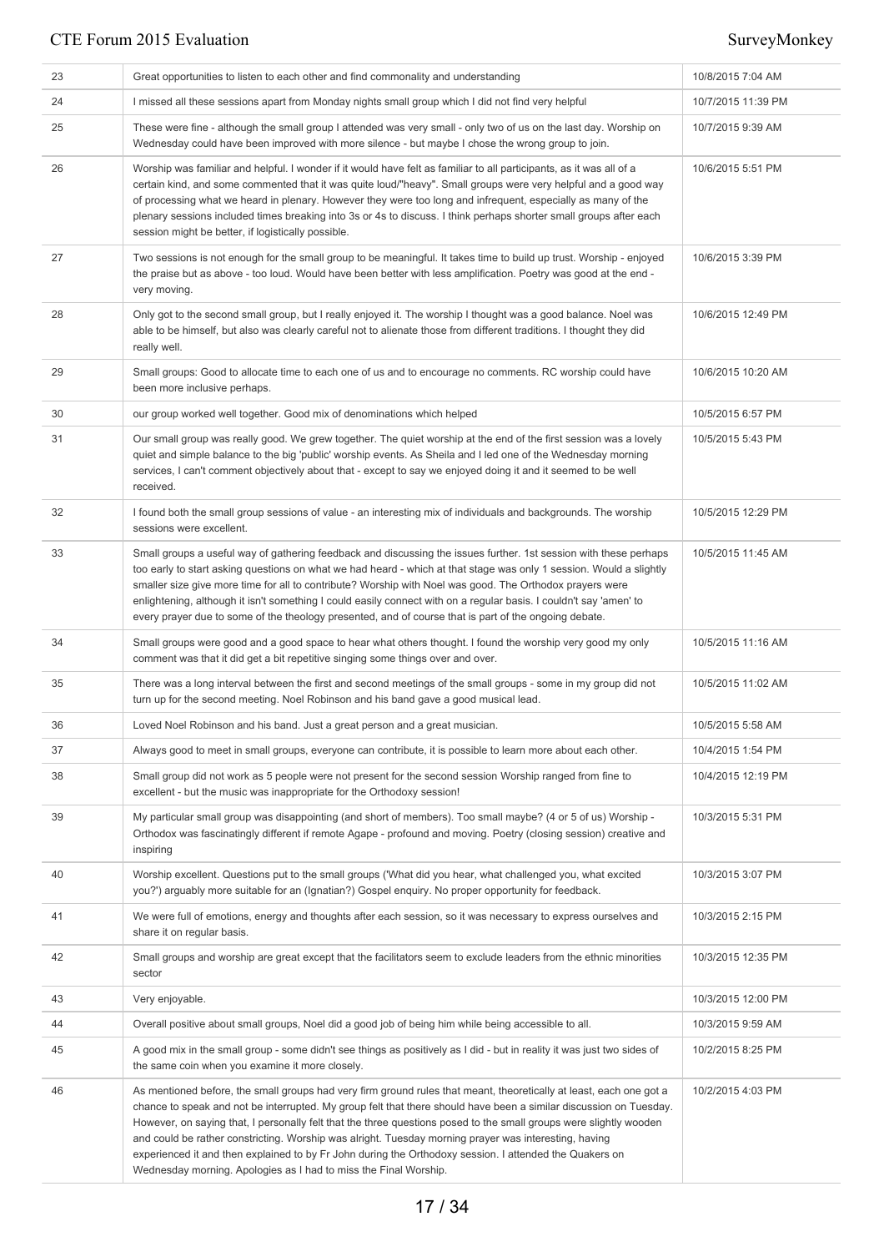| 23 | Great opportunities to listen to each other and find commonality and understanding                                                                                                                                                                                                                                                                                                                                                                                                                                                                                                                                                                      | 10/8/2015 7:04 AM  |
|----|---------------------------------------------------------------------------------------------------------------------------------------------------------------------------------------------------------------------------------------------------------------------------------------------------------------------------------------------------------------------------------------------------------------------------------------------------------------------------------------------------------------------------------------------------------------------------------------------------------------------------------------------------------|--------------------|
| 24 | I missed all these sessions apart from Monday nights small group which I did not find very helpful                                                                                                                                                                                                                                                                                                                                                                                                                                                                                                                                                      | 10/7/2015 11:39 PM |
| 25 | These were fine - although the small group I attended was very small - only two of us on the last day. Worship on<br>Wednesday could have been improved with more silence - but maybe I chose the wrong group to join.                                                                                                                                                                                                                                                                                                                                                                                                                                  | 10/7/2015 9:39 AM  |
| 26 | Worship was familiar and helpful. I wonder if it would have felt as familiar to all participants, as it was all of a<br>certain kind, and some commented that it was quite loud/"heavy". Small groups were very helpful and a good way<br>of processing what we heard in plenary. However they were too long and infrequent, especially as many of the<br>plenary sessions included times breaking into 3s or 4s to discuss. I think perhaps shorter small groups after each<br>session might be better, if logistically possible.                                                                                                                      | 10/6/2015 5:51 PM  |
| 27 | Two sessions is not enough for the small group to be meaningful. It takes time to build up trust. Worship - enjoyed<br>the praise but as above - too loud. Would have been better with less amplification. Poetry was good at the end -<br>very moving.                                                                                                                                                                                                                                                                                                                                                                                                 | 10/6/2015 3:39 PM  |
| 28 | Only got to the second small group, but I really enjoyed it. The worship I thought was a good balance. Noel was<br>able to be himself, but also was clearly careful not to alienate those from different traditions. I thought they did<br>really well.                                                                                                                                                                                                                                                                                                                                                                                                 | 10/6/2015 12:49 PM |
| 29 | Small groups: Good to allocate time to each one of us and to encourage no comments. RC worship could have<br>been more inclusive perhaps.                                                                                                                                                                                                                                                                                                                                                                                                                                                                                                               | 10/6/2015 10:20 AM |
| 30 | our group worked well together. Good mix of denominations which helped                                                                                                                                                                                                                                                                                                                                                                                                                                                                                                                                                                                  | 10/5/2015 6:57 PM  |
| 31 | Our small group was really good. We grew together. The quiet worship at the end of the first session was a lovely<br>quiet and simple balance to the big 'public' worship events. As Sheila and I led one of the Wednesday morning<br>services, I can't comment objectively about that - except to say we enjoyed doing it and it seemed to be well<br>received.                                                                                                                                                                                                                                                                                        | 10/5/2015 5:43 PM  |
| 32 | I found both the small group sessions of value - an interesting mix of individuals and backgrounds. The worship<br>sessions were excellent.                                                                                                                                                                                                                                                                                                                                                                                                                                                                                                             | 10/5/2015 12:29 PM |
| 33 | Small groups a useful way of gathering feedback and discussing the issues further. 1st session with these perhaps<br>too early to start asking questions on what we had heard - which at that stage was only 1 session. Would a slightly<br>smaller size give more time for all to contribute? Worship with Noel was good. The Orthodox prayers were<br>enlightening, although it isn't something I could easily connect with on a regular basis. I couldn't say 'amen' to<br>every prayer due to some of the theology presented, and of course that is part of the ongoing debate.                                                                     | 10/5/2015 11:45 AM |
| 34 | Small groups were good and a good space to hear what others thought. I found the worship very good my only<br>comment was that it did get a bit repetitive singing some things over and over.                                                                                                                                                                                                                                                                                                                                                                                                                                                           | 10/5/2015 11:16 AM |
| 35 | There was a long interval between the first and second meetings of the small groups - some in my group did not<br>turn up for the second meeting. Noel Robinson and his band gave a good musical lead.                                                                                                                                                                                                                                                                                                                                                                                                                                                  | 10/5/2015 11:02 AM |
| 36 | Loved Noel Robinson and his band. Just a great person and a great musician.                                                                                                                                                                                                                                                                                                                                                                                                                                                                                                                                                                             | 10/5/2015 5:58 AM  |
| 37 | Always good to meet in small groups, everyone can contribute, it is possible to learn more about each other.                                                                                                                                                                                                                                                                                                                                                                                                                                                                                                                                            | 10/4/2015 1:54 PM  |
| 38 | Small group did not work as 5 people were not present for the second session Worship ranged from fine to<br>excellent - but the music was inappropriate for the Orthodoxy session!                                                                                                                                                                                                                                                                                                                                                                                                                                                                      | 10/4/2015 12:19 PM |
| 39 | My particular small group was disappointing (and short of members). Too small maybe? (4 or 5 of us) Worship -<br>Orthodox was fascinatingly different if remote Agape - profound and moving. Poetry (closing session) creative and<br>inspiring                                                                                                                                                                                                                                                                                                                                                                                                         | 10/3/2015 5:31 PM  |
| 40 | Worship excellent. Questions put to the small groups ('What did you hear, what challenged you, what excited<br>you?') arguably more suitable for an (Ignatian?) Gospel enquiry. No proper opportunity for feedback.                                                                                                                                                                                                                                                                                                                                                                                                                                     | 10/3/2015 3:07 PM  |
| 41 | We were full of emotions, energy and thoughts after each session, so it was necessary to express ourselves and<br>share it on regular basis.                                                                                                                                                                                                                                                                                                                                                                                                                                                                                                            | 10/3/2015 2:15 PM  |
| 42 | Small groups and worship are great except that the facilitators seem to exclude leaders from the ethnic minorities<br>sector                                                                                                                                                                                                                                                                                                                                                                                                                                                                                                                            | 10/3/2015 12:35 PM |
| 43 | Very enjoyable.                                                                                                                                                                                                                                                                                                                                                                                                                                                                                                                                                                                                                                         | 10/3/2015 12:00 PM |
| 44 | Overall positive about small groups, Noel did a good job of being him while being accessible to all.                                                                                                                                                                                                                                                                                                                                                                                                                                                                                                                                                    | 10/3/2015 9:59 AM  |
| 45 | A good mix in the small group - some didn't see things as positively as I did - but in reality it was just two sides of<br>the same coin when you examine it more closely.                                                                                                                                                                                                                                                                                                                                                                                                                                                                              | 10/2/2015 8:25 PM  |
| 46 | As mentioned before, the small groups had very firm ground rules that meant, theoretically at least, each one got a<br>chance to speak and not be interrupted. My group felt that there should have been a similar discussion on Tuesday.<br>However, on saying that, I personally felt that the three questions posed to the small groups were slightly wooden<br>and could be rather constricting. Worship was alright. Tuesday morning prayer was interesting, having<br>experienced it and then explained to by Fr John during the Orthodoxy session. I attended the Quakers on<br>Wednesday morning. Apologies as I had to miss the Final Worship. | 10/2/2015 4:03 PM  |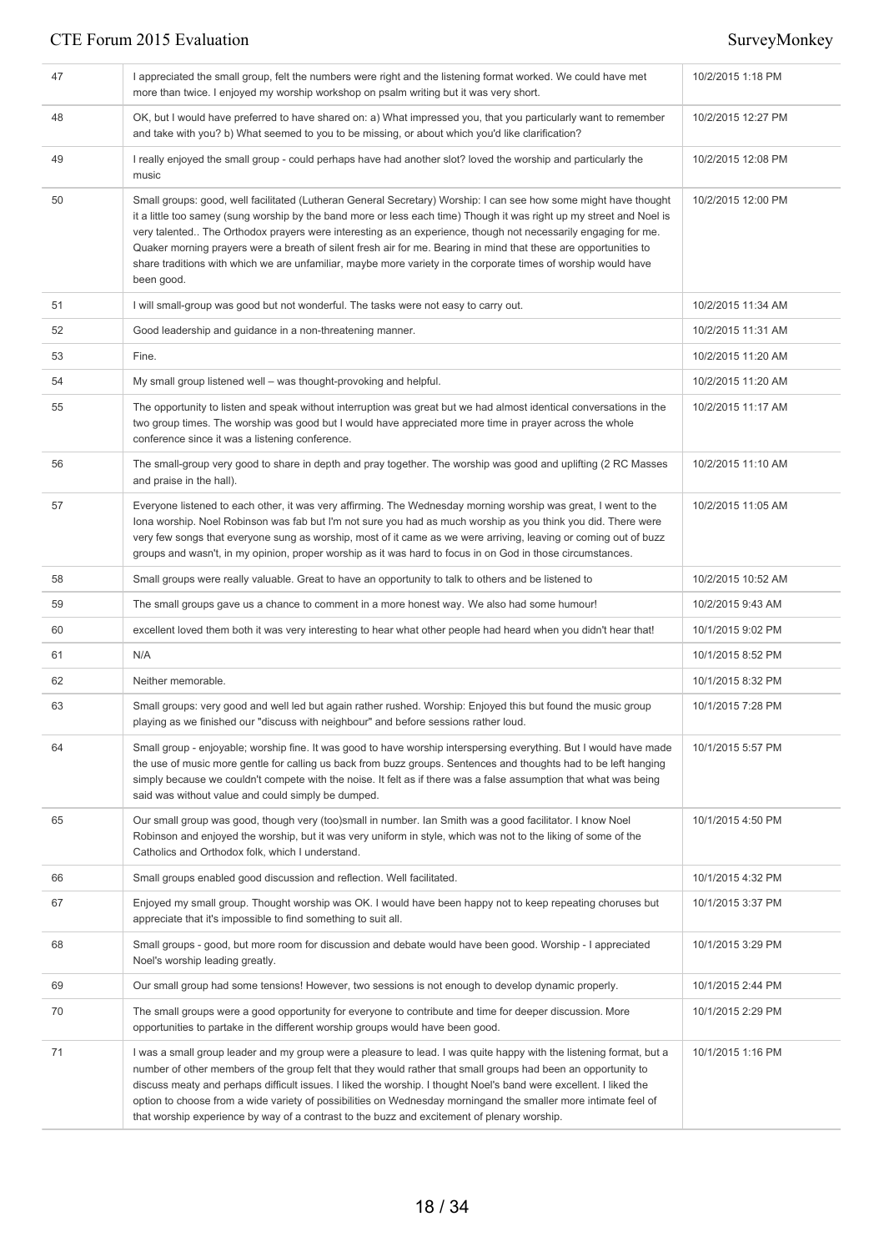| 47 | I appreciated the small group, felt the numbers were right and the listening format worked. We could have met<br>more than twice. I enjoyed my worship workshop on psalm writing but it was very short.                                                                                                                                                                                                                                                                                                                                                                                                       | 10/2/2015 1:18 PM  |
|----|---------------------------------------------------------------------------------------------------------------------------------------------------------------------------------------------------------------------------------------------------------------------------------------------------------------------------------------------------------------------------------------------------------------------------------------------------------------------------------------------------------------------------------------------------------------------------------------------------------------|--------------------|
| 48 | OK, but I would have preferred to have shared on: a) What impressed you, that you particularly want to remember<br>and take with you? b) What seemed to you to be missing, or about which you'd like clarification?                                                                                                                                                                                                                                                                                                                                                                                           | 10/2/2015 12:27 PM |
| 49 | I really enjoyed the small group - could perhaps have had another slot? loved the worship and particularly the<br>music                                                                                                                                                                                                                                                                                                                                                                                                                                                                                       | 10/2/2015 12:08 PM |
| 50 | Small groups: good, well facilitated (Lutheran General Secretary) Worship: I can see how some might have thought<br>it a little too samey (sung worship by the band more or less each time) Though it was right up my street and Noel is<br>very talented The Orthodox prayers were interesting as an experience, though not necessarily engaging for me.<br>Quaker morning prayers were a breath of silent fresh air for me. Bearing in mind that these are opportunities to<br>share traditions with which we are unfamiliar, maybe more variety in the corporate times of worship would have<br>been good. | 10/2/2015 12:00 PM |
| 51 | I will small-group was good but not wonderful. The tasks were not easy to carry out.                                                                                                                                                                                                                                                                                                                                                                                                                                                                                                                          | 10/2/2015 11:34 AM |
| 52 | Good leadership and guidance in a non-threatening manner.                                                                                                                                                                                                                                                                                                                                                                                                                                                                                                                                                     | 10/2/2015 11:31 AM |
| 53 | Fine.                                                                                                                                                                                                                                                                                                                                                                                                                                                                                                                                                                                                         | 10/2/2015 11:20 AM |
| 54 | My small group listened well – was thought-provoking and helpful.                                                                                                                                                                                                                                                                                                                                                                                                                                                                                                                                             | 10/2/2015 11:20 AM |
| 55 | The opportunity to listen and speak without interruption was great but we had almost identical conversations in the<br>two group times. The worship was good but I would have appreciated more time in prayer across the whole<br>conference since it was a listening conference.                                                                                                                                                                                                                                                                                                                             | 10/2/2015 11:17 AM |
| 56 | The small-group very good to share in depth and pray together. The worship was good and uplifting (2 RC Masses<br>and praise in the hall).                                                                                                                                                                                                                                                                                                                                                                                                                                                                    | 10/2/2015 11:10 AM |
| 57 | Everyone listened to each other, it was very affirming. The Wednesday morning worship was great, I went to the<br>lona worship. Noel Robinson was fab but I'm not sure you had as much worship as you think you did. There were<br>very few songs that everyone sung as worship, most of it came as we were arriving, leaving or coming out of buzz<br>groups and wasn't, in my opinion, proper worship as it was hard to focus in on God in those circumstances.                                                                                                                                             | 10/2/2015 11:05 AM |
| 58 | Small groups were really valuable. Great to have an opportunity to talk to others and be listened to                                                                                                                                                                                                                                                                                                                                                                                                                                                                                                          | 10/2/2015 10:52 AM |
| 59 | The small groups gave us a chance to comment in a more honest way. We also had some humour!                                                                                                                                                                                                                                                                                                                                                                                                                                                                                                                   | 10/2/2015 9:43 AM  |
| 60 | excellent loved them both it was very interesting to hear what other people had heard when you didn't hear that!                                                                                                                                                                                                                                                                                                                                                                                                                                                                                              | 10/1/2015 9:02 PM  |
| 61 | N/A                                                                                                                                                                                                                                                                                                                                                                                                                                                                                                                                                                                                           | 10/1/2015 8:52 PM  |
| 62 | Neither memorable.                                                                                                                                                                                                                                                                                                                                                                                                                                                                                                                                                                                            | 10/1/2015 8:32 PM  |
| 63 | Small groups: very good and well led but again rather rushed. Worship: Enjoyed this but found the music group<br>playing as we finished our "discuss with neighbour" and before sessions rather loud.                                                                                                                                                                                                                                                                                                                                                                                                         | 10/1/2015 7:28 PM  |
| 64 | Small group - enjoyable; worship fine. It was good to have worship interspersing everything. But I would have made<br>the use of music more gentle for calling us back from buzz groups. Sentences and thoughts had to be left hanging<br>simply because we couldn't compete with the noise. It felt as if there was a false assumption that what was being<br>said was without value and could simply be dumped.                                                                                                                                                                                             | 10/1/2015 5:57 PM  |
| 65 | Our small group was good, though very (too)small in number. Ian Smith was a good facilitator. I know Noel<br>Robinson and enjoyed the worship, but it was very uniform in style, which was not to the liking of some of the<br>Catholics and Orthodox folk, which I understand.                                                                                                                                                                                                                                                                                                                               | 10/1/2015 4:50 PM  |
| 66 | Small groups enabled good discussion and reflection. Well facilitated.                                                                                                                                                                                                                                                                                                                                                                                                                                                                                                                                        | 10/1/2015 4:32 PM  |
| 67 | Enjoyed my small group. Thought worship was OK. I would have been happy not to keep repeating choruses but<br>appreciate that it's impossible to find something to suit all.                                                                                                                                                                                                                                                                                                                                                                                                                                  | 10/1/2015 3:37 PM  |
| 68 | Small groups - good, but more room for discussion and debate would have been good. Worship - I appreciated<br>Noel's worship leading greatly.                                                                                                                                                                                                                                                                                                                                                                                                                                                                 | 10/1/2015 3:29 PM  |
| 69 | Our small group had some tensions! However, two sessions is not enough to develop dynamic properly.                                                                                                                                                                                                                                                                                                                                                                                                                                                                                                           | 10/1/2015 2:44 PM  |
| 70 | The small groups were a good opportunity for everyone to contribute and time for deeper discussion. More<br>opportunities to partake in the different worship groups would have been good.                                                                                                                                                                                                                                                                                                                                                                                                                    | 10/1/2015 2:29 PM  |
| 71 | I was a small group leader and my group were a pleasure to lead. I was quite happy with the listening format, but a<br>number of other members of the group felt that they would rather that small groups had been an opportunity to<br>discuss meaty and perhaps difficult issues. I liked the worship. I thought Noel's band were excellent. I liked the<br>option to choose from a wide variety of possibilities on Wednesday morningand the smaller more intimate feel of<br>that worship experience by way of a contrast to the buzz and excitement of plenary worship.                                  | 10/1/2015 1:16 PM  |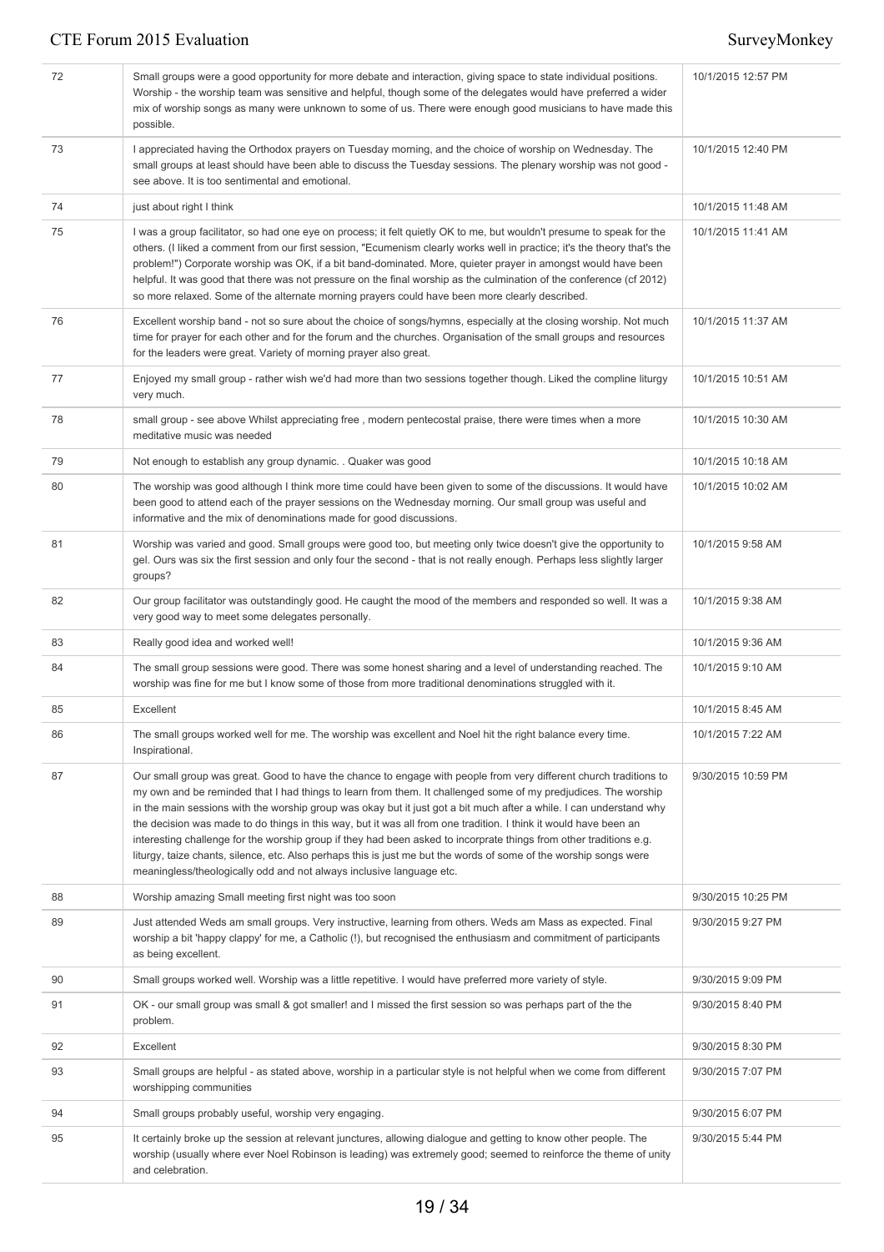| 72 | Small groups were a good opportunity for more debate and interaction, giving space to state individual positions.<br>Worship - the worship team was sensitive and helpful, though some of the delegates would have preferred a wider<br>mix of worship songs as many were unknown to some of us. There were enough good musicians to have made this<br>possible.                                                                                                                                                                                                                                                                                                                                                                                                                                  | 10/1/2015 12:57 PM |
|----|---------------------------------------------------------------------------------------------------------------------------------------------------------------------------------------------------------------------------------------------------------------------------------------------------------------------------------------------------------------------------------------------------------------------------------------------------------------------------------------------------------------------------------------------------------------------------------------------------------------------------------------------------------------------------------------------------------------------------------------------------------------------------------------------------|--------------------|
| 73 | I appreciated having the Orthodox prayers on Tuesday morning, and the choice of worship on Wednesday. The<br>small groups at least should have been able to discuss the Tuesday sessions. The plenary worship was not good -<br>see above. It is too sentimental and emotional.                                                                                                                                                                                                                                                                                                                                                                                                                                                                                                                   | 10/1/2015 12:40 PM |
| 74 | just about right I think                                                                                                                                                                                                                                                                                                                                                                                                                                                                                                                                                                                                                                                                                                                                                                          | 10/1/2015 11:48 AM |
| 75 | I was a group facilitator, so had one eye on process; it felt quietly OK to me, but wouldn't presume to speak for the<br>others. (I liked a comment from our first session, "Ecumenism clearly works well in practice; it's the theory that's the<br>problem!") Corporate worship was OK, if a bit band-dominated. More, quieter prayer in amongst would have been<br>helpful. It was good that there was not pressure on the final worship as the culmination of the conference (cf 2012)<br>so more relaxed. Some of the alternate morning prayers could have been more clearly described.                                                                                                                                                                                                      | 10/1/2015 11:41 AM |
| 76 | Excellent worship band - not so sure about the choice of songs/hymns, especially at the closing worship. Not much<br>time for prayer for each other and for the forum and the churches. Organisation of the small groups and resources<br>for the leaders were great. Variety of morning prayer also great.                                                                                                                                                                                                                                                                                                                                                                                                                                                                                       | 10/1/2015 11:37 AM |
| 77 | Enjoyed my small group - rather wish we'd had more than two sessions together though. Liked the compline liturgy<br>very much.                                                                                                                                                                                                                                                                                                                                                                                                                                                                                                                                                                                                                                                                    | 10/1/2015 10:51 AM |
| 78 | small group - see above Whilst appreciating free, modern pentecostal praise, there were times when a more<br>meditative music was needed                                                                                                                                                                                                                                                                                                                                                                                                                                                                                                                                                                                                                                                          | 10/1/2015 10:30 AM |
| 79 | Not enough to establish any group dynamic. . Quaker was good                                                                                                                                                                                                                                                                                                                                                                                                                                                                                                                                                                                                                                                                                                                                      | 10/1/2015 10:18 AM |
| 80 | The worship was good although I think more time could have been given to some of the discussions. It would have<br>been good to attend each of the prayer sessions on the Wednesday morning. Our small group was useful and<br>informative and the mix of denominations made for good discussions.                                                                                                                                                                                                                                                                                                                                                                                                                                                                                                | 10/1/2015 10:02 AM |
| 81 | Worship was varied and good. Small groups were good too, but meeting only twice doesn't give the opportunity to<br>gel. Ours was six the first session and only four the second - that is not really enough. Perhaps less slightly larger<br>groups?                                                                                                                                                                                                                                                                                                                                                                                                                                                                                                                                              | 10/1/2015 9:58 AM  |
| 82 | Our group facilitator was outstandingly good. He caught the mood of the members and responded so well. It was a<br>very good way to meet some delegates personally.                                                                                                                                                                                                                                                                                                                                                                                                                                                                                                                                                                                                                               | 10/1/2015 9:38 AM  |
| 83 | Really good idea and worked well!                                                                                                                                                                                                                                                                                                                                                                                                                                                                                                                                                                                                                                                                                                                                                                 | 10/1/2015 9:36 AM  |
| 84 | The small group sessions were good. There was some honest sharing and a level of understanding reached. The<br>worship was fine for me but I know some of those from more traditional denominations struggled with it.                                                                                                                                                                                                                                                                                                                                                                                                                                                                                                                                                                            | 10/1/2015 9:10 AM  |
| 85 | Excellent                                                                                                                                                                                                                                                                                                                                                                                                                                                                                                                                                                                                                                                                                                                                                                                         | 10/1/2015 8:45 AM  |
| 86 | The small groups worked well for me. The worship was excellent and Noel hit the right balance every time.<br>Inspirational.                                                                                                                                                                                                                                                                                                                                                                                                                                                                                                                                                                                                                                                                       | 10/1/2015 7:22 AM  |
| 87 | Our small group was great. Good to have the chance to engage with people from very different church traditions to<br>my own and be reminded that I had things to learn from them. It challenged some of my predjudices. The worship<br>in the main sessions with the worship group was okay but it just got a bit much after a while. I can understand why<br>the decision was made to do things in this way, but it was all from one tradition. I think it would have been an<br>interesting challenge for the worship group if they had been asked to incorprate things from other traditions e.g.<br>liturgy, taize chants, silence, etc. Also perhaps this is just me but the words of some of the worship songs were<br>meaningless/theologically odd and not always inclusive language etc. | 9/30/2015 10:59 PM |
| 88 | Worship amazing Small meeting first night was too soon                                                                                                                                                                                                                                                                                                                                                                                                                                                                                                                                                                                                                                                                                                                                            | 9/30/2015 10:25 PM |
| 89 | Just attended Weds am small groups. Very instructive, learning from others. Weds am Mass as expected. Final<br>worship a bit 'happy clappy' for me, a Catholic (!), but recognised the enthusiasm and commitment of participants<br>as being excellent.                                                                                                                                                                                                                                                                                                                                                                                                                                                                                                                                           | 9/30/2015 9:27 PM  |
| 90 | Small groups worked well. Worship was a little repetitive. I would have preferred more variety of style.                                                                                                                                                                                                                                                                                                                                                                                                                                                                                                                                                                                                                                                                                          | 9/30/2015 9:09 PM  |
| 91 | OK - our small group was small & got smaller! and I missed the first session so was perhaps part of the the<br>problem.                                                                                                                                                                                                                                                                                                                                                                                                                                                                                                                                                                                                                                                                           | 9/30/2015 8:40 PM  |
| 92 | Excellent                                                                                                                                                                                                                                                                                                                                                                                                                                                                                                                                                                                                                                                                                                                                                                                         | 9/30/2015 8:30 PM  |
| 93 | Small groups are helpful - as stated above, worship in a particular style is not helpful when we come from different<br>worshipping communities                                                                                                                                                                                                                                                                                                                                                                                                                                                                                                                                                                                                                                                   | 9/30/2015 7:07 PM  |
| 94 | Small groups probably useful, worship very engaging.                                                                                                                                                                                                                                                                                                                                                                                                                                                                                                                                                                                                                                                                                                                                              | 9/30/2015 6:07 PM  |
| 95 | It certainly broke up the session at relevant junctures, allowing dialogue and getting to know other people. The<br>worship (usually where ever Noel Robinson is leading) was extremely good; seemed to reinforce the theme of unity<br>and celebration.                                                                                                                                                                                                                                                                                                                                                                                                                                                                                                                                          | 9/30/2015 5:44 PM  |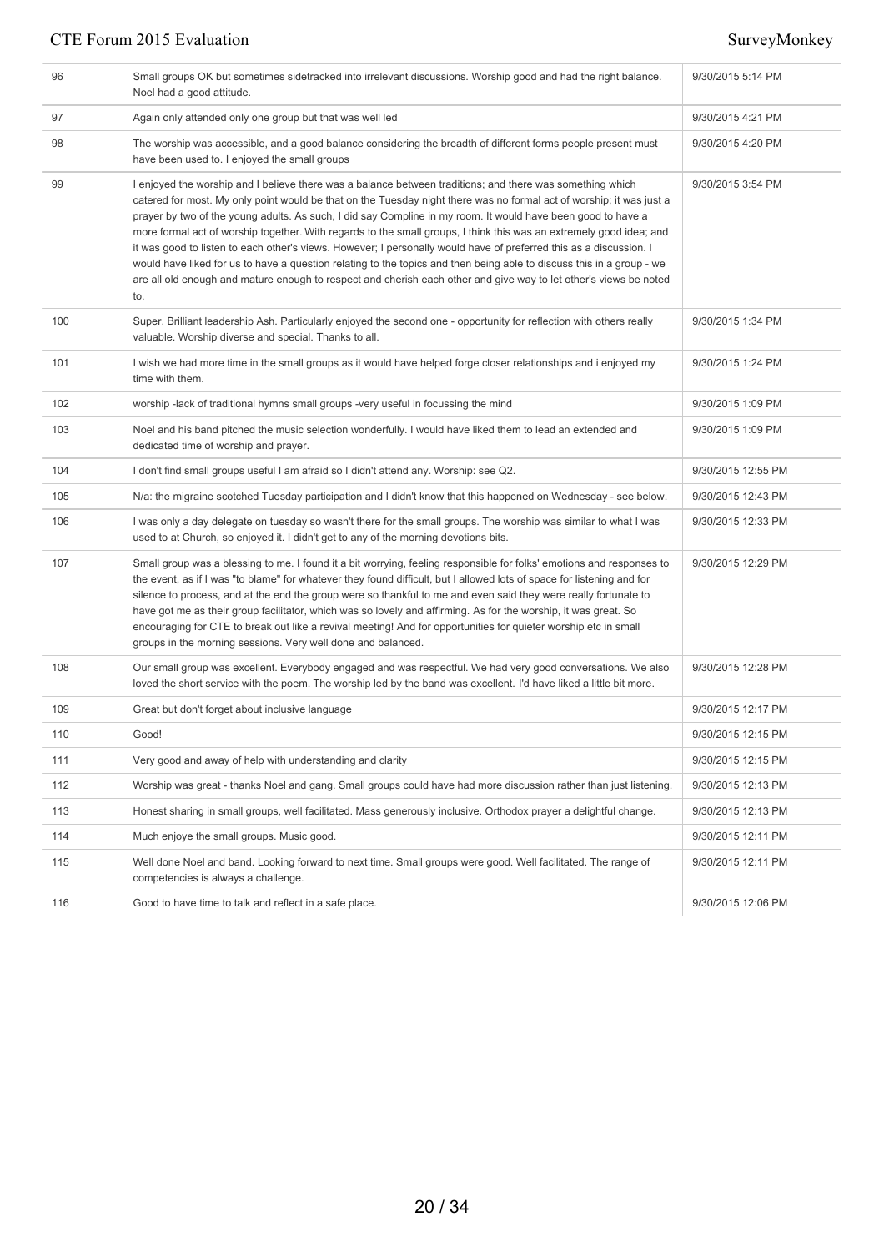| 96  | Small groups OK but sometimes sidetracked into irrelevant discussions. Worship good and had the right balance.<br>Noel had a good attitude.                                                                                                                                                                                                                                                                                                                                                                                                                                                                                                                                                                                                                                                                                                         | 9/30/2015 5:14 PM  |
|-----|-----------------------------------------------------------------------------------------------------------------------------------------------------------------------------------------------------------------------------------------------------------------------------------------------------------------------------------------------------------------------------------------------------------------------------------------------------------------------------------------------------------------------------------------------------------------------------------------------------------------------------------------------------------------------------------------------------------------------------------------------------------------------------------------------------------------------------------------------------|--------------------|
| 97  | Again only attended only one group but that was well led                                                                                                                                                                                                                                                                                                                                                                                                                                                                                                                                                                                                                                                                                                                                                                                            | 9/30/2015 4:21 PM  |
| 98  | The worship was accessible, and a good balance considering the breadth of different forms people present must<br>have been used to. I enjoyed the small groups                                                                                                                                                                                                                                                                                                                                                                                                                                                                                                                                                                                                                                                                                      | 9/30/2015 4:20 PM  |
| 99  | I enjoyed the worship and I believe there was a balance between traditions; and there was something which<br>catered for most. My only point would be that on the Tuesday night there was no formal act of worship; it was just a<br>prayer by two of the young adults. As such, I did say Compline in my room. It would have been good to have a<br>more formal act of worship together. With regards to the small groups, I think this was an extremely good idea; and<br>it was good to listen to each other's views. However; I personally would have of preferred this as a discussion. I<br>would have liked for us to have a question relating to the topics and then being able to discuss this in a group - we<br>are all old enough and mature enough to respect and cherish each other and give way to let other's views be noted<br>to. | 9/30/2015 3:54 PM  |
| 100 | Super. Brilliant leadership Ash. Particularly enjoyed the second one - opportunity for reflection with others really<br>valuable. Worship diverse and special. Thanks to all.                                                                                                                                                                                                                                                                                                                                                                                                                                                                                                                                                                                                                                                                       | 9/30/2015 1:34 PM  |
| 101 | I wish we had more time in the small groups as it would have helped forge closer relationships and i enjoyed my<br>time with them.                                                                                                                                                                                                                                                                                                                                                                                                                                                                                                                                                                                                                                                                                                                  | 9/30/2015 1:24 PM  |
| 102 | worship -lack of traditional hymns small groups -very useful in focussing the mind                                                                                                                                                                                                                                                                                                                                                                                                                                                                                                                                                                                                                                                                                                                                                                  | 9/30/2015 1:09 PM  |
| 103 | Noel and his band pitched the music selection wonderfully. I would have liked them to lead an extended and<br>dedicated time of worship and prayer.                                                                                                                                                                                                                                                                                                                                                                                                                                                                                                                                                                                                                                                                                                 | 9/30/2015 1:09 PM  |
| 104 | I don't find small groups useful I am afraid so I didn't attend any. Worship: see Q2.                                                                                                                                                                                                                                                                                                                                                                                                                                                                                                                                                                                                                                                                                                                                                               | 9/30/2015 12:55 PM |
| 105 | N/a: the migraine scotched Tuesday participation and I didn't know that this happened on Wednesday - see below.                                                                                                                                                                                                                                                                                                                                                                                                                                                                                                                                                                                                                                                                                                                                     | 9/30/2015 12:43 PM |
| 106 | I was only a day delegate on tuesday so wasn't there for the small groups. The worship was similar to what I was<br>used to at Church, so enjoyed it. I didn't get to any of the morning devotions bits.                                                                                                                                                                                                                                                                                                                                                                                                                                                                                                                                                                                                                                            | 9/30/2015 12:33 PM |
| 107 | Small group was a blessing to me. I found it a bit worrying, feeling responsible for folks' emotions and responses to<br>the event, as if I was "to blame" for whatever they found difficult, but I allowed lots of space for listening and for<br>silence to process, and at the end the group were so thankful to me and even said they were really fortunate to<br>have got me as their group facilitator, which was so lovely and affirming. As for the worship, it was great. So<br>encouraging for CTE to break out like a revival meeting! And for opportunities for quieter worship etc in small<br>groups in the morning sessions. Very well done and balanced.                                                                                                                                                                            | 9/30/2015 12:29 PM |
| 108 | Our small group was excellent. Everybody engaged and was respectful. We had very good conversations. We also<br>loved the short service with the poem. The worship led by the band was excellent. I'd have liked a little bit more.                                                                                                                                                                                                                                                                                                                                                                                                                                                                                                                                                                                                                 | 9/30/2015 12:28 PM |
| 109 | Great but don't forget about inclusive language                                                                                                                                                                                                                                                                                                                                                                                                                                                                                                                                                                                                                                                                                                                                                                                                     | 9/30/2015 12:17 PM |
| 110 | Good!                                                                                                                                                                                                                                                                                                                                                                                                                                                                                                                                                                                                                                                                                                                                                                                                                                               | 9/30/2015 12:15 PM |
| 111 | Very good and away of help with understanding and clarity                                                                                                                                                                                                                                                                                                                                                                                                                                                                                                                                                                                                                                                                                                                                                                                           | 9/30/2015 12:15 PM |
| 112 | Worship was great - thanks Noel and gang. Small groups could have had more discussion rather than just listening.                                                                                                                                                                                                                                                                                                                                                                                                                                                                                                                                                                                                                                                                                                                                   | 9/30/2015 12:13 PM |
| 113 | Honest sharing in small groups, well facilitated. Mass generously inclusive. Orthodox prayer a delightful change.                                                                                                                                                                                                                                                                                                                                                                                                                                                                                                                                                                                                                                                                                                                                   | 9/30/2015 12:13 PM |
| 114 | Much enjoye the small groups. Music good.                                                                                                                                                                                                                                                                                                                                                                                                                                                                                                                                                                                                                                                                                                                                                                                                           | 9/30/2015 12:11 PM |
| 115 | Well done Noel and band. Looking forward to next time. Small groups were good. Well facilitated. The range of<br>competencies is always a challenge.                                                                                                                                                                                                                                                                                                                                                                                                                                                                                                                                                                                                                                                                                                | 9/30/2015 12:11 PM |
| 116 | Good to have time to talk and reflect in a safe place.                                                                                                                                                                                                                                                                                                                                                                                                                                                                                                                                                                                                                                                                                                                                                                                              | 9/30/2015 12:06 PM |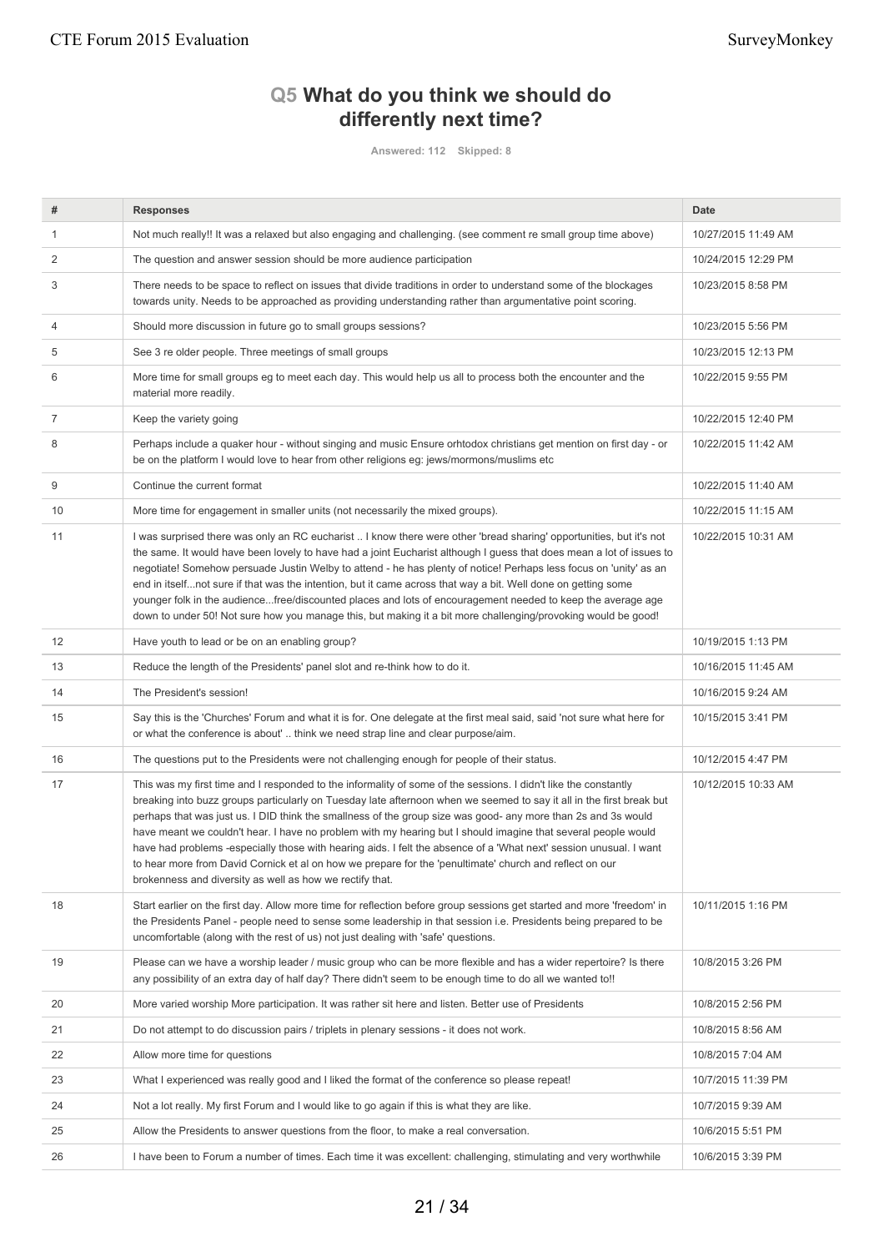# **Q5 What do you think we should do differently next time?**

**Answered: 112 Skipped: 8**

| #  | <b>Responses</b>                                                                                                                                                                                                                                                                                                                                                                                                                                                                                                                                                                                                                                                                                                                                                       | <b>Date</b>         |
|----|------------------------------------------------------------------------------------------------------------------------------------------------------------------------------------------------------------------------------------------------------------------------------------------------------------------------------------------------------------------------------------------------------------------------------------------------------------------------------------------------------------------------------------------------------------------------------------------------------------------------------------------------------------------------------------------------------------------------------------------------------------------------|---------------------|
| 1  | Not much really!! It was a relaxed but also engaging and challenging. (see comment re small group time above)                                                                                                                                                                                                                                                                                                                                                                                                                                                                                                                                                                                                                                                          | 10/27/2015 11:49 AM |
| 2  | The question and answer session should be more audience participation                                                                                                                                                                                                                                                                                                                                                                                                                                                                                                                                                                                                                                                                                                  | 10/24/2015 12:29 PM |
| 3  | There needs to be space to reflect on issues that divide traditions in order to understand some of the blockages<br>towards unity. Needs to be approached as providing understanding rather than argumentative point scoring.                                                                                                                                                                                                                                                                                                                                                                                                                                                                                                                                          | 10/23/2015 8:58 PM  |
| 4  | Should more discussion in future go to small groups sessions?                                                                                                                                                                                                                                                                                                                                                                                                                                                                                                                                                                                                                                                                                                          | 10/23/2015 5:56 PM  |
| 5  | See 3 re older people. Three meetings of small groups                                                                                                                                                                                                                                                                                                                                                                                                                                                                                                                                                                                                                                                                                                                  | 10/23/2015 12:13 PM |
| 6  | More time for small groups eg to meet each day. This would help us all to process both the encounter and the<br>material more readily.                                                                                                                                                                                                                                                                                                                                                                                                                                                                                                                                                                                                                                 | 10/22/2015 9:55 PM  |
| 7  | Keep the variety going                                                                                                                                                                                                                                                                                                                                                                                                                                                                                                                                                                                                                                                                                                                                                 | 10/22/2015 12:40 PM |
| 8  | Perhaps include a quaker hour - without singing and music Ensure orhtodox christians get mention on first day - or<br>be on the platform I would love to hear from other religions eg: jews/mormons/muslims etc                                                                                                                                                                                                                                                                                                                                                                                                                                                                                                                                                        | 10/22/2015 11:42 AM |
| 9  | Continue the current format                                                                                                                                                                                                                                                                                                                                                                                                                                                                                                                                                                                                                                                                                                                                            | 10/22/2015 11:40 AM |
| 10 | More time for engagement in smaller units (not necessarily the mixed groups).                                                                                                                                                                                                                                                                                                                                                                                                                                                                                                                                                                                                                                                                                          | 10/22/2015 11:15 AM |
| 11 | I was surprised there was only an RC eucharist I know there were other 'bread sharing' opportunities, but it's not<br>the same. It would have been lovely to have had a joint Eucharist although I guess that does mean a lot of issues to<br>negotiate! Somehow persuade Justin Welby to attend - he has plenty of notice! Perhaps less focus on 'unity' as an<br>end in itselfnot sure if that was the intention, but it came across that way a bit. Well done on getting some<br>younger folk in the audiencefree/discounted places and lots of encouragement needed to keep the average age<br>down to under 50! Not sure how you manage this, but making it a bit more challenging/provoking would be good!                                                       | 10/22/2015 10:31 AM |
| 12 | Have youth to lead or be on an enabling group?                                                                                                                                                                                                                                                                                                                                                                                                                                                                                                                                                                                                                                                                                                                         | 10/19/2015 1:13 PM  |
| 13 | Reduce the length of the Presidents' panel slot and re-think how to do it.                                                                                                                                                                                                                                                                                                                                                                                                                                                                                                                                                                                                                                                                                             | 10/16/2015 11:45 AM |
| 14 | The President's session!                                                                                                                                                                                                                                                                                                                                                                                                                                                                                                                                                                                                                                                                                                                                               | 10/16/2015 9:24 AM  |
| 15 | Say this is the 'Churches' Forum and what it is for. One delegate at the first meal said, said 'not sure what here for<br>or what the conference is about' think we need strap line and clear purpose/aim.                                                                                                                                                                                                                                                                                                                                                                                                                                                                                                                                                             | 10/15/2015 3:41 PM  |
| 16 | The questions put to the Presidents were not challenging enough for people of their status.                                                                                                                                                                                                                                                                                                                                                                                                                                                                                                                                                                                                                                                                            | 10/12/2015 4:47 PM  |
| 17 | This was my first time and I responded to the informality of some of the sessions. I didn't like the constantly<br>breaking into buzz groups particularly on Tuesday late afternoon when we seemed to say it all in the first break but<br>perhaps that was just us. I DID think the smallness of the group size was good- any more than 2s and 3s would<br>have meant we couldn't hear. I have no problem with my hearing but I should imagine that several people would<br>have had problems -especially those with hearing aids. I felt the absence of a 'What next' session unusual. I want<br>to hear more from David Cornick et al on how we prepare for the 'penultimate' church and reflect on our<br>brokenness and diversity as well as how we rectify that. | 10/12/2015 10:33 AM |
| 18 | Start earlier on the first day. Allow more time for reflection before group sessions get started and more 'freedom' in<br>the Presidents Panel - people need to sense some leadership in that session i.e. Presidents being prepared to be<br>uncomfortable (along with the rest of us) not just dealing with 'safe' questions.                                                                                                                                                                                                                                                                                                                                                                                                                                        | 10/11/2015 1:16 PM  |
| 19 | Please can we have a worship leader / music group who can be more flexible and has a wider repertoire? Is there<br>any possibility of an extra day of half day? There didn't seem to be enough time to do all we wanted to!!                                                                                                                                                                                                                                                                                                                                                                                                                                                                                                                                           | 10/8/2015 3:26 PM   |
| 20 | More varied worship More participation. It was rather sit here and listen. Better use of Presidents                                                                                                                                                                                                                                                                                                                                                                                                                                                                                                                                                                                                                                                                    | 10/8/2015 2:56 PM   |
| 21 | Do not attempt to do discussion pairs / triplets in plenary sessions - it does not work.                                                                                                                                                                                                                                                                                                                                                                                                                                                                                                                                                                                                                                                                               | 10/8/2015 8:56 AM   |
| 22 | Allow more time for questions                                                                                                                                                                                                                                                                                                                                                                                                                                                                                                                                                                                                                                                                                                                                          | 10/8/2015 7:04 AM   |
| 23 | What I experienced was really good and I liked the format of the conference so please repeat!                                                                                                                                                                                                                                                                                                                                                                                                                                                                                                                                                                                                                                                                          | 10/7/2015 11:39 PM  |
| 24 | Not a lot really. My first Forum and I would like to go again if this is what they are like.                                                                                                                                                                                                                                                                                                                                                                                                                                                                                                                                                                                                                                                                           | 10/7/2015 9:39 AM   |
| 25 | Allow the Presidents to answer questions from the floor, to make a real conversation.                                                                                                                                                                                                                                                                                                                                                                                                                                                                                                                                                                                                                                                                                  | 10/6/2015 5:51 PM   |
| 26 | I have been to Forum a number of times. Each time it was excellent: challenging, stimulating and very worthwhile                                                                                                                                                                                                                                                                                                                                                                                                                                                                                                                                                                                                                                                       | 10/6/2015 3:39 PM   |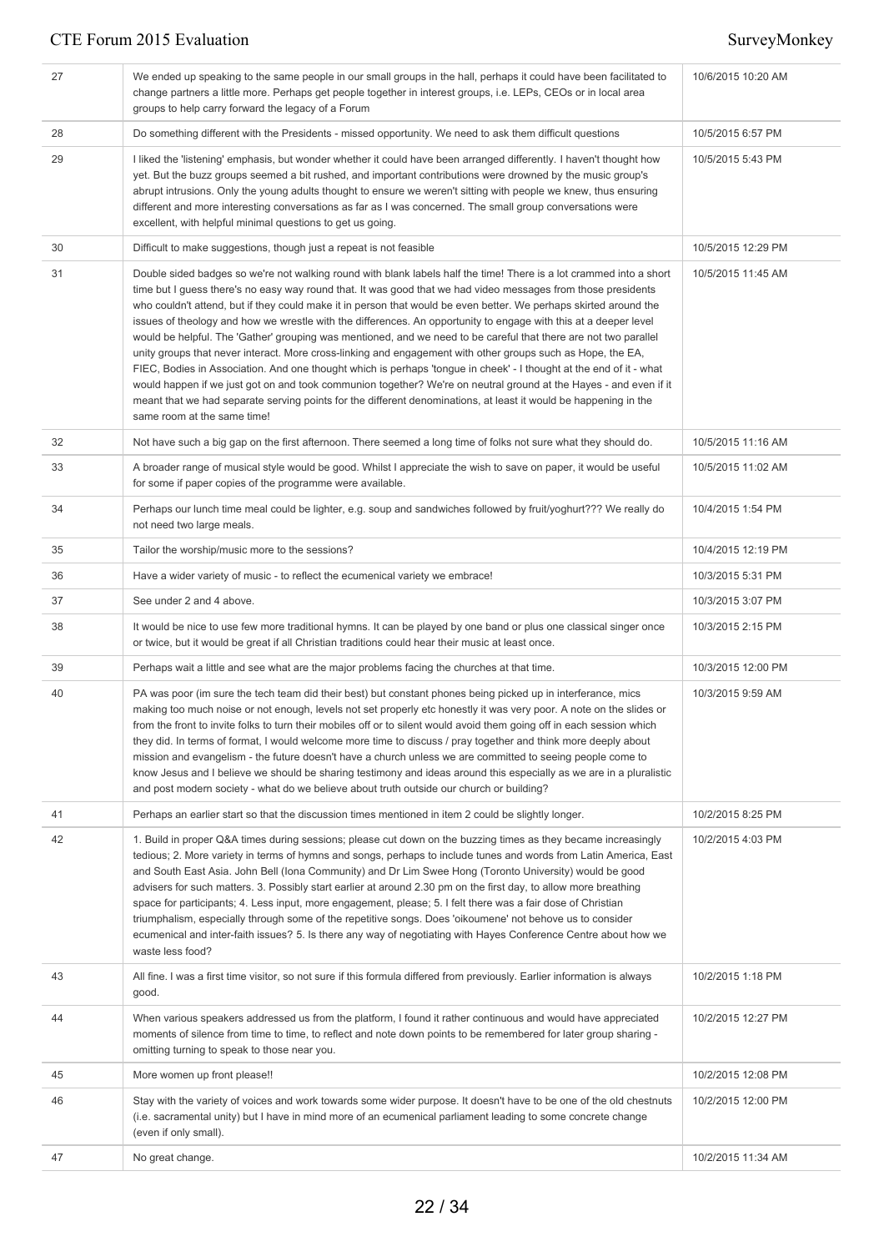| 27 | We ended up speaking to the same people in our small groups in the hall, perhaps it could have been facilitated to<br>change partners a little more. Perhaps get people together in interest groups, i.e. LEPs, CEOs or in local area<br>groups to help carry forward the legacy of a Forum                                                                                                                                                                                                                                                                                                                                                                                                                                                                                                                                                                                                                                                                                                                                                                                                                     | 10/6/2015 10:20 AM |
|----|-----------------------------------------------------------------------------------------------------------------------------------------------------------------------------------------------------------------------------------------------------------------------------------------------------------------------------------------------------------------------------------------------------------------------------------------------------------------------------------------------------------------------------------------------------------------------------------------------------------------------------------------------------------------------------------------------------------------------------------------------------------------------------------------------------------------------------------------------------------------------------------------------------------------------------------------------------------------------------------------------------------------------------------------------------------------------------------------------------------------|--------------------|
| 28 | Do something different with the Presidents - missed opportunity. We need to ask them difficult questions                                                                                                                                                                                                                                                                                                                                                                                                                                                                                                                                                                                                                                                                                                                                                                                                                                                                                                                                                                                                        | 10/5/2015 6:57 PM  |
| 29 | I liked the 'listening' emphasis, but wonder whether it could have been arranged differently. I haven't thought how<br>yet. But the buzz groups seemed a bit rushed, and important contributions were drowned by the music group's<br>abrupt intrusions. Only the young adults thought to ensure we weren't sitting with people we knew, thus ensuring<br>different and more interesting conversations as far as I was concerned. The small group conversations were<br>excellent, with helpful minimal questions to get us going.                                                                                                                                                                                                                                                                                                                                                                                                                                                                                                                                                                              | 10/5/2015 5:43 PM  |
| 30 | Difficult to make suggestions, though just a repeat is not feasible                                                                                                                                                                                                                                                                                                                                                                                                                                                                                                                                                                                                                                                                                                                                                                                                                                                                                                                                                                                                                                             | 10/5/2015 12:29 PM |
| 31 | Double sided badges so we're not walking round with blank labels half the time! There is a lot crammed into a short<br>time but I guess there's no easy way round that. It was good that we had video messages from those presidents<br>who couldn't attend, but if they could make it in person that would be even better. We perhaps skirted around the<br>issues of theology and how we wrestle with the differences. An opportunity to engage with this at a deeper level<br>would be helpful. The 'Gather' grouping was mentioned, and we need to be careful that there are not two parallel<br>unity groups that never interact. More cross-linking and engagement with other groups such as Hope, the EA,<br>FIEC, Bodies in Association. And one thought which is perhaps 'tongue in cheek' - I thought at the end of it - what<br>would happen if we just got on and took communion together? We're on neutral ground at the Hayes - and even if it<br>meant that we had separate serving points for the different denominations, at least it would be happening in the<br>same room at the same time! | 10/5/2015 11:45 AM |
| 32 | Not have such a big gap on the first afternoon. There seemed a long time of folks not sure what they should do.                                                                                                                                                                                                                                                                                                                                                                                                                                                                                                                                                                                                                                                                                                                                                                                                                                                                                                                                                                                                 | 10/5/2015 11:16 AM |
| 33 | A broader range of musical style would be good. Whilst I appreciate the wish to save on paper, it would be useful<br>for some if paper copies of the programme were available.                                                                                                                                                                                                                                                                                                                                                                                                                                                                                                                                                                                                                                                                                                                                                                                                                                                                                                                                  | 10/5/2015 11:02 AM |
| 34 | Perhaps our lunch time meal could be lighter, e.g. soup and sandwiches followed by fruit/yoghurt??? We really do<br>not need two large meals.                                                                                                                                                                                                                                                                                                                                                                                                                                                                                                                                                                                                                                                                                                                                                                                                                                                                                                                                                                   | 10/4/2015 1:54 PM  |
| 35 | Tailor the worship/music more to the sessions?                                                                                                                                                                                                                                                                                                                                                                                                                                                                                                                                                                                                                                                                                                                                                                                                                                                                                                                                                                                                                                                                  | 10/4/2015 12:19 PM |
| 36 | Have a wider variety of music - to reflect the ecumenical variety we embrace!                                                                                                                                                                                                                                                                                                                                                                                                                                                                                                                                                                                                                                                                                                                                                                                                                                                                                                                                                                                                                                   | 10/3/2015 5:31 PM  |
| 37 | See under 2 and 4 above.                                                                                                                                                                                                                                                                                                                                                                                                                                                                                                                                                                                                                                                                                                                                                                                                                                                                                                                                                                                                                                                                                        | 10/3/2015 3:07 PM  |
| 38 | It would be nice to use few more traditional hymns. It can be played by one band or plus one classical singer once<br>or twice, but it would be great if all Christian traditions could hear their music at least once.                                                                                                                                                                                                                                                                                                                                                                                                                                                                                                                                                                                                                                                                                                                                                                                                                                                                                         | 10/3/2015 2:15 PM  |
| 39 | Perhaps wait a little and see what are the major problems facing the churches at that time.                                                                                                                                                                                                                                                                                                                                                                                                                                                                                                                                                                                                                                                                                                                                                                                                                                                                                                                                                                                                                     | 10/3/2015 12:00 PM |
| 40 | PA was poor (im sure the tech team did their best) but constant phones being picked up in interferance, mics<br>making too much noise or not enough, levels not set properly etc honestly it was very poor. A note on the slides or<br>from the front to invite folks to turn their mobiles off or to silent would avoid them going off in each session which<br>they did. In terms of format, I would welcome more time to discuss / pray together and think more deeply about<br>mission and evangelism - the future doesn't have a church unless we are committed to seeing people come to<br>know Jesus and I believe we should be sharing testimony and ideas around this especially as we are in a pluralistic<br>and post modern society - what do we believe about truth outside our church or building?                                                                                                                                                                                                                                                                                                | 10/3/2015 9:59 AM  |
| 41 | Perhaps an earlier start so that the discussion times mentioned in item 2 could be slightly longer.                                                                                                                                                                                                                                                                                                                                                                                                                                                                                                                                                                                                                                                                                                                                                                                                                                                                                                                                                                                                             | 10/2/2015 8:25 PM  |
| 42 | 1. Build in proper Q&A times during sessions; please cut down on the buzzing times as they became increasingly<br>tedious; 2. More variety in terms of hymns and songs, perhaps to include tunes and words from Latin America, East<br>and South East Asia. John Bell (Iona Community) and Dr Lim Swee Hong (Toronto University) would be good<br>advisers for such matters. 3. Possibly start earlier at around 2.30 pm on the first day, to allow more breathing<br>space for participants; 4. Less input, more engagement, please; 5. I felt there was a fair dose of Christian<br>triumphalism, especially through some of the repetitive songs. Does 'oikoumene' not behove us to consider<br>ecumenical and inter-faith issues? 5. Is there any way of negotiating with Hayes Conference Centre about how we<br>waste less food?                                                                                                                                                                                                                                                                          | 10/2/2015 4:03 PM  |
| 43 | All fine. I was a first time visitor, so not sure if this formula differed from previously. Earlier information is always<br>good.                                                                                                                                                                                                                                                                                                                                                                                                                                                                                                                                                                                                                                                                                                                                                                                                                                                                                                                                                                              | 10/2/2015 1:18 PM  |
| 44 | When various speakers addressed us from the platform, I found it rather continuous and would have appreciated<br>moments of silence from time to time, to reflect and note down points to be remembered for later group sharing -<br>omitting turning to speak to those near you.                                                                                                                                                                                                                                                                                                                                                                                                                                                                                                                                                                                                                                                                                                                                                                                                                               | 10/2/2015 12:27 PM |
| 45 | More women up front please!!                                                                                                                                                                                                                                                                                                                                                                                                                                                                                                                                                                                                                                                                                                                                                                                                                                                                                                                                                                                                                                                                                    | 10/2/2015 12:08 PM |
| 46 | Stay with the variety of voices and work towards some wider purpose. It doesn't have to be one of the old chestnuts<br>(i.e. sacramental unity) but I have in mind more of an ecumenical parliament leading to some concrete change<br>(even if only small).                                                                                                                                                                                                                                                                                                                                                                                                                                                                                                                                                                                                                                                                                                                                                                                                                                                    | 10/2/2015 12:00 PM |
| 47 | No great change.                                                                                                                                                                                                                                                                                                                                                                                                                                                                                                                                                                                                                                                                                                                                                                                                                                                                                                                                                                                                                                                                                                | 10/2/2015 11:34 AM |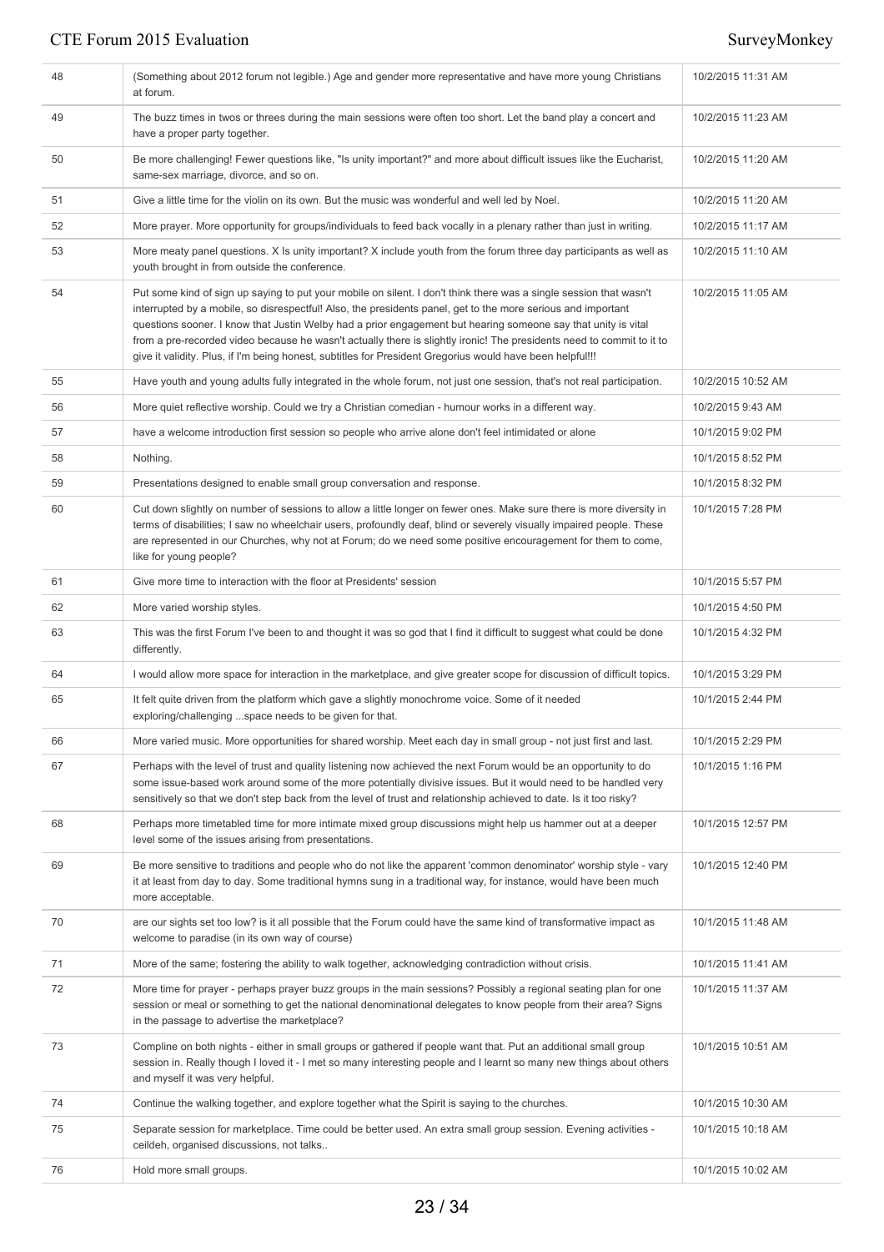| 48 | (Something about 2012 forum not legible.) Age and gender more representative and have more young Christians<br>at forum.                                                                                                                                                                                                                                                                                                                                                                                                                                                                  | 10/2/2015 11:31 AM |
|----|-------------------------------------------------------------------------------------------------------------------------------------------------------------------------------------------------------------------------------------------------------------------------------------------------------------------------------------------------------------------------------------------------------------------------------------------------------------------------------------------------------------------------------------------------------------------------------------------|--------------------|
| 49 | The buzz times in twos or threes during the main sessions were often too short. Let the band play a concert and<br>have a proper party together.                                                                                                                                                                                                                                                                                                                                                                                                                                          | 10/2/2015 11:23 AM |
| 50 | Be more challenging! Fewer questions like, "Is unity important?" and more about difficult issues like the Eucharist,<br>same-sex marriage, divorce, and so on.                                                                                                                                                                                                                                                                                                                                                                                                                            | 10/2/2015 11:20 AM |
| 51 | Give a little time for the violin on its own. But the music was wonderful and well led by Noel.                                                                                                                                                                                                                                                                                                                                                                                                                                                                                           | 10/2/2015 11:20 AM |
| 52 | More prayer. More opportunity for groups/individuals to feed back vocally in a plenary rather than just in writing.                                                                                                                                                                                                                                                                                                                                                                                                                                                                       | 10/2/2015 11:17 AM |
| 53 | More meaty panel questions. X Is unity important? X include youth from the forum three day participants as well as<br>youth brought in from outside the conference.                                                                                                                                                                                                                                                                                                                                                                                                                       | 10/2/2015 11:10 AM |
| 54 | Put some kind of sign up saying to put your mobile on silent. I don't think there was a single session that wasn't<br>interrupted by a mobile, so disrespectful! Also, the presidents panel, get to the more serious and important<br>questions sooner. I know that Justin Welby had a prior engagement but hearing someone say that unity is vital<br>from a pre-recorded video because he wasn't actually there is slightly ironic! The presidents need to commit to it to<br>give it validity. Plus, if I'm being honest, subtitles for President Gregorius would have been helpful!!! | 10/2/2015 11:05 AM |
| 55 | Have youth and young adults fully integrated in the whole forum, not just one session, that's not real participation.                                                                                                                                                                                                                                                                                                                                                                                                                                                                     | 10/2/2015 10:52 AM |
| 56 | More quiet reflective worship. Could we try a Christian comedian - humour works in a different way.                                                                                                                                                                                                                                                                                                                                                                                                                                                                                       | 10/2/2015 9:43 AM  |
| 57 | have a welcome introduction first session so people who arrive alone don't feel intimidated or alone                                                                                                                                                                                                                                                                                                                                                                                                                                                                                      | 10/1/2015 9:02 PM  |
| 58 | Nothing.                                                                                                                                                                                                                                                                                                                                                                                                                                                                                                                                                                                  | 10/1/2015 8:52 PM  |
| 59 | Presentations designed to enable small group conversation and response.                                                                                                                                                                                                                                                                                                                                                                                                                                                                                                                   | 10/1/2015 8:32 PM  |
| 60 | Cut down slightly on number of sessions to allow a little longer on fewer ones. Make sure there is more diversity in<br>terms of disabilities; I saw no wheelchair users, profoundly deaf, blind or severely visually impaired people. These<br>are represented in our Churches, why not at Forum; do we need some positive encouragement for them to come,<br>like for young people?                                                                                                                                                                                                     | 10/1/2015 7:28 PM  |
| 61 | Give more time to interaction with the floor at Presidents' session                                                                                                                                                                                                                                                                                                                                                                                                                                                                                                                       | 10/1/2015 5:57 PM  |
| 62 | More varied worship styles.                                                                                                                                                                                                                                                                                                                                                                                                                                                                                                                                                               | 10/1/2015 4:50 PM  |
| 63 | This was the first Forum I've been to and thought it was so god that I find it difficult to suggest what could be done<br>differently.                                                                                                                                                                                                                                                                                                                                                                                                                                                    | 10/1/2015 4:32 PM  |
| 64 | I would allow more space for interaction in the marketplace, and give greater scope for discussion of difficult topics.                                                                                                                                                                                                                                                                                                                                                                                                                                                                   | 10/1/2015 3:29 PM  |
| 65 | It felt quite driven from the platform which gave a slightly monochrome voice. Some of it needed<br>exploring/challenging space needs to be given for that.                                                                                                                                                                                                                                                                                                                                                                                                                               | 10/1/2015 2:44 PM  |
| 66 | More varied music. More opportunities for shared worship. Meet each day in small group - not just first and last.                                                                                                                                                                                                                                                                                                                                                                                                                                                                         | 10/1/2015 2:29 PM  |
| 67 | Perhaps with the level of trust and quality listening now achieved the next Forum would be an opportunity to do<br>some issue-based work around some of the more potentially divisive issues. But it would need to be handled very<br>sensitively so that we don't step back from the level of trust and relationship achieved to date. Is it too risky?                                                                                                                                                                                                                                  | 10/1/2015 1:16 PM  |
| 68 | Perhaps more timetabled time for more intimate mixed group discussions might help us hammer out at a deeper<br>level some of the issues arising from presentations.                                                                                                                                                                                                                                                                                                                                                                                                                       | 10/1/2015 12:57 PM |
| 69 | Be more sensitive to traditions and people who do not like the apparent 'common denominator' worship style - vary<br>it at least from day to day. Some traditional hymns sung in a traditional way, for instance, would have been much<br>more acceptable.                                                                                                                                                                                                                                                                                                                                | 10/1/2015 12:40 PM |
| 70 | are our sights set too low? is it all possible that the Forum could have the same kind of transformative impact as<br>welcome to paradise (in its own way of course)                                                                                                                                                                                                                                                                                                                                                                                                                      | 10/1/2015 11:48 AM |
| 71 | More of the same; fostering the ability to walk together, acknowledging contradiction without crisis.                                                                                                                                                                                                                                                                                                                                                                                                                                                                                     | 10/1/2015 11:41 AM |
| 72 | More time for prayer - perhaps prayer buzz groups in the main sessions? Possibly a regional seating plan for one<br>session or meal or something to get the national denominational delegates to know people from their area? Signs<br>in the passage to advertise the marketplace?                                                                                                                                                                                                                                                                                                       | 10/1/2015 11:37 AM |
| 73 | Compline on both nights - either in small groups or gathered if people want that. Put an additional small group<br>session in. Really though I loved it - I met so many interesting people and I learnt so many new things about others<br>and myself it was very helpful.                                                                                                                                                                                                                                                                                                                | 10/1/2015 10:51 AM |
| 74 | Continue the walking together, and explore together what the Spirit is saying to the churches.                                                                                                                                                                                                                                                                                                                                                                                                                                                                                            | 10/1/2015 10:30 AM |
| 75 | Separate session for marketplace. Time could be better used. An extra small group session. Evening activities -<br>ceildeh, organised discussions, not talks                                                                                                                                                                                                                                                                                                                                                                                                                              | 10/1/2015 10:18 AM |
| 76 | Hold more small groups.                                                                                                                                                                                                                                                                                                                                                                                                                                                                                                                                                                   | 10/1/2015 10:02 AM |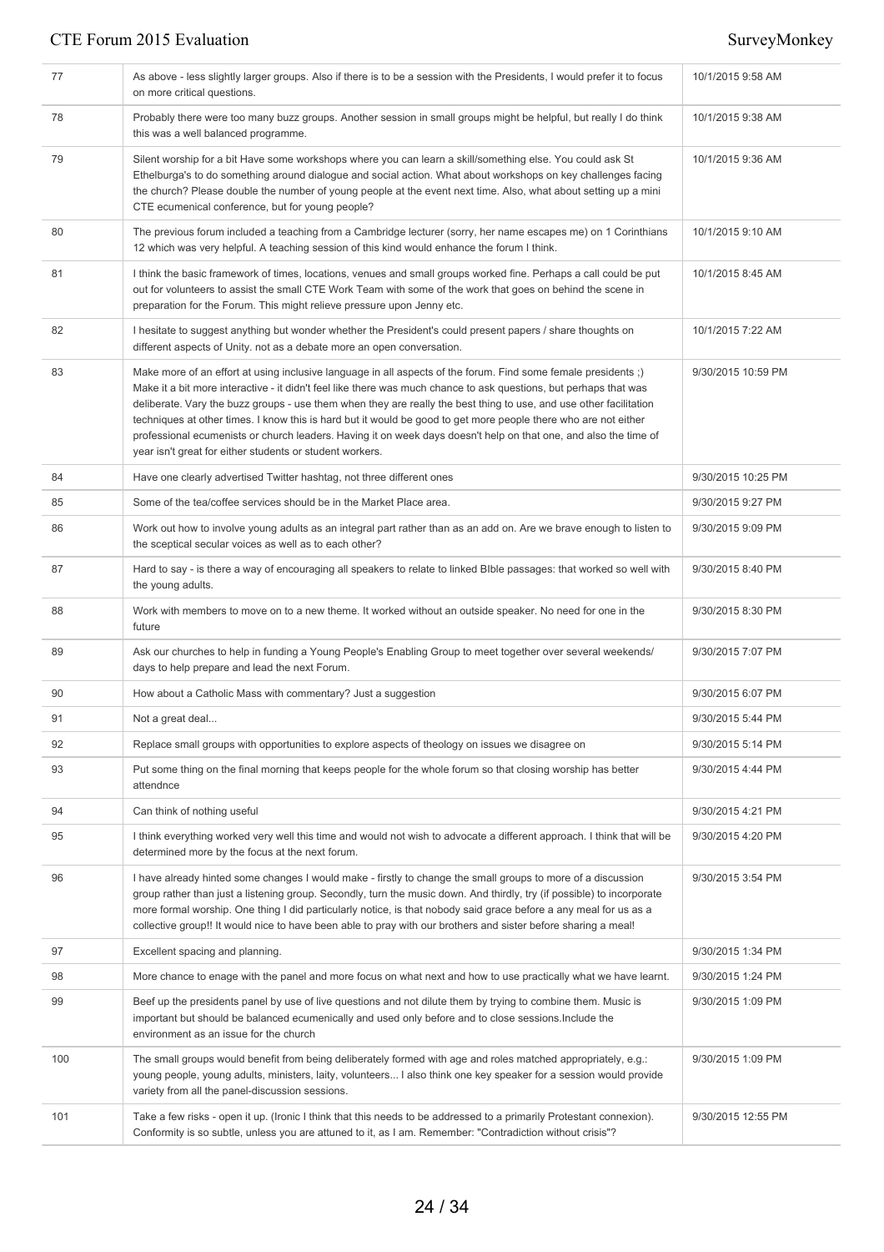| 77  | As above - less slightly larger groups. Also if there is to be a session with the Presidents, I would prefer it to focus<br>on more critical questions.                                                                                                                                                                                                                                                                                                                                                                                                                                                                                                     | 10/1/2015 9:58 AM  |
|-----|-------------------------------------------------------------------------------------------------------------------------------------------------------------------------------------------------------------------------------------------------------------------------------------------------------------------------------------------------------------------------------------------------------------------------------------------------------------------------------------------------------------------------------------------------------------------------------------------------------------------------------------------------------------|--------------------|
| 78  | Probably there were too many buzz groups. Another session in small groups might be helpful, but really I do think<br>this was a well balanced programme.                                                                                                                                                                                                                                                                                                                                                                                                                                                                                                    | 10/1/2015 9:38 AM  |
| 79  | Silent worship for a bit Have some workshops where you can learn a skill/something else. You could ask St<br>Ethelburga's to do something around dialogue and social action. What about workshops on key challenges facing<br>the church? Please double the number of young people at the event next time. Also, what about setting up a mini<br>CTE ecumenical conference, but for young people?                                                                                                                                                                                                                                                           | 10/1/2015 9:36 AM  |
| 80  | The previous forum included a teaching from a Cambridge lecturer (sorry, her name escapes me) on 1 Corinthians<br>12 which was very helpful. A teaching session of this kind would enhance the forum I think.                                                                                                                                                                                                                                                                                                                                                                                                                                               | 10/1/2015 9:10 AM  |
| 81  | I think the basic framework of times, locations, venues and small groups worked fine. Perhaps a call could be put<br>out for volunteers to assist the small CTE Work Team with some of the work that goes on behind the scene in<br>preparation for the Forum. This might relieve pressure upon Jenny etc.                                                                                                                                                                                                                                                                                                                                                  | 10/1/2015 8:45 AM  |
| 82  | I hesitate to suggest anything but wonder whether the President's could present papers / share thoughts on<br>different aspects of Unity. not as a debate more an open conversation.                                                                                                                                                                                                                                                                                                                                                                                                                                                                        | 10/1/2015 7:22 AM  |
| 83  | Make more of an effort at using inclusive language in all aspects of the forum. Find some female presidents;)<br>Make it a bit more interactive - it didn't feel like there was much chance to ask questions, but perhaps that was<br>deliberate. Vary the buzz groups - use them when they are really the best thing to use, and use other facilitation<br>techniques at other times. I know this is hard but it would be good to get more people there who are not either<br>professional ecumenists or church leaders. Having it on week days doesn't help on that one, and also the time of<br>year isn't great for either students or student workers. | 9/30/2015 10:59 PM |
| 84  | Have one clearly advertised Twitter hashtag, not three different ones                                                                                                                                                                                                                                                                                                                                                                                                                                                                                                                                                                                       | 9/30/2015 10:25 PM |
| 85  | Some of the tea/coffee services should be in the Market Place area.                                                                                                                                                                                                                                                                                                                                                                                                                                                                                                                                                                                         | 9/30/2015 9:27 PM  |
| 86  | Work out how to involve young adults as an integral part rather than as an add on. Are we brave enough to listen to<br>the sceptical secular voices as well as to each other?                                                                                                                                                                                                                                                                                                                                                                                                                                                                               | 9/30/2015 9:09 PM  |
| 87  | Hard to say - is there a way of encouraging all speakers to relate to linked Blble passages: that worked so well with<br>the young adults.                                                                                                                                                                                                                                                                                                                                                                                                                                                                                                                  | 9/30/2015 8:40 PM  |
| 88  | Work with members to move on to a new theme. It worked without an outside speaker. No need for one in the<br>future                                                                                                                                                                                                                                                                                                                                                                                                                                                                                                                                         | 9/30/2015 8:30 PM  |
| 89  | Ask our churches to help in funding a Young People's Enabling Group to meet together over several weekends/<br>days to help prepare and lead the next Forum.                                                                                                                                                                                                                                                                                                                                                                                                                                                                                                | 9/30/2015 7:07 PM  |
| 90  | How about a Catholic Mass with commentary? Just a suggestion                                                                                                                                                                                                                                                                                                                                                                                                                                                                                                                                                                                                | 9/30/2015 6:07 PM  |
| 91  | Not a great deal                                                                                                                                                                                                                                                                                                                                                                                                                                                                                                                                                                                                                                            | 9/30/2015 5:44 PM  |
| 92  | Replace small groups with opportunities to explore aspects of theology on issues we disagree on                                                                                                                                                                                                                                                                                                                                                                                                                                                                                                                                                             | 9/30/2015 5:14 PM  |
| 93  | Put some thing on the final morning that keeps people for the whole forum so that closing worship has better<br>attendnce                                                                                                                                                                                                                                                                                                                                                                                                                                                                                                                                   | 9/30/2015 4:44 PM  |
| 94  | Can think of nothing useful                                                                                                                                                                                                                                                                                                                                                                                                                                                                                                                                                                                                                                 | 9/30/2015 4:21 PM  |
| 95  | I think everything worked very well this time and would not wish to advocate a different approach. I think that will be<br>determined more by the focus at the next forum.                                                                                                                                                                                                                                                                                                                                                                                                                                                                                  | 9/30/2015 4:20 PM  |
| 96  | I have already hinted some changes I would make - firstly to change the small groups to more of a discussion<br>group rather than just a listening group. Secondly, turn the music down. And thirdly, try (if possible) to incorporate<br>more formal worship. One thing I did particularly notice, is that nobody said grace before a any meal for us as a<br>collective group!! It would nice to have been able to pray with our brothers and sister before sharing a meal!                                                                                                                                                                               | 9/30/2015 3:54 PM  |
| 97  | Excellent spacing and planning.                                                                                                                                                                                                                                                                                                                                                                                                                                                                                                                                                                                                                             | 9/30/2015 1:34 PM  |
| 98  | More chance to enage with the panel and more focus on what next and how to use practically what we have learnt.                                                                                                                                                                                                                                                                                                                                                                                                                                                                                                                                             | 9/30/2015 1:24 PM  |
| 99  | Beef up the presidents panel by use of live questions and not dilute them by trying to combine them. Music is<br>important but should be balanced ecumenically and used only before and to close sessions. Include the<br>environment as an issue for the church                                                                                                                                                                                                                                                                                                                                                                                            | 9/30/2015 1:09 PM  |
| 100 | The small groups would benefit from being deliberately formed with age and roles matched appropriately, e.g.:<br>young people, young adults, ministers, laity, volunteers I also think one key speaker for a session would provide<br>variety from all the panel-discussion sessions.                                                                                                                                                                                                                                                                                                                                                                       | 9/30/2015 1:09 PM  |
| 101 | Take a few risks - open it up. (Ironic I think that this needs to be addressed to a primarily Protestant connexion).<br>Conformity is so subtle, unless you are attuned to it, as I am. Remember: "Contradiction without crisis"?                                                                                                                                                                                                                                                                                                                                                                                                                           | 9/30/2015 12:55 PM |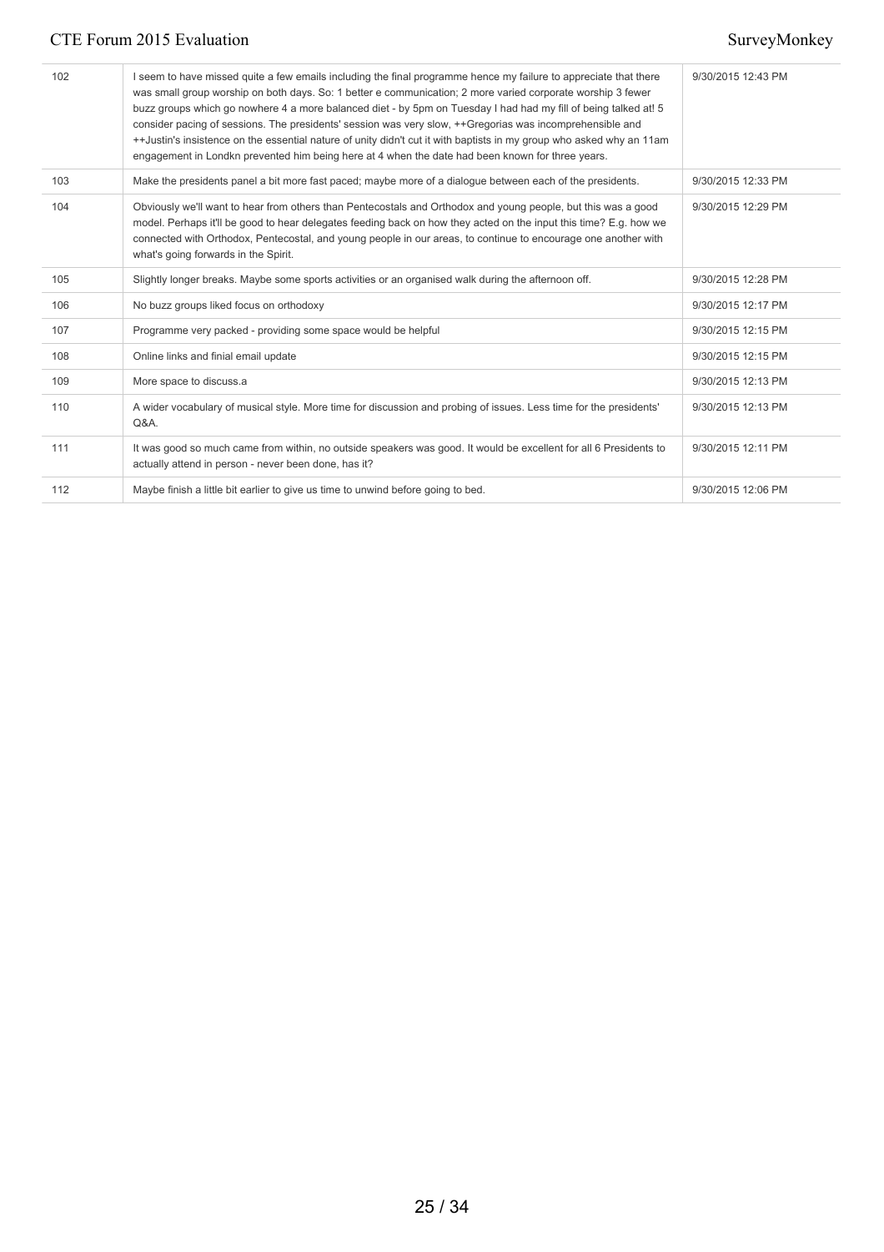| 102 | I seem to have missed quite a few emails including the final programme hence my failure to appreciate that there<br>was small group worship on both days. So: 1 better e communication; 2 more varied corporate worship 3 fewer<br>buzz groups which go nowhere 4 a more balanced diet - by 5pm on Tuesday I had had my fill of being talked at! 5<br>consider pacing of sessions. The presidents' session was very slow, ++Gregorias was incomprehensible and<br>++Justin's insistence on the essential nature of unity didn't cut it with baptists in my group who asked why an 11am<br>engagement in Londkn prevented him being here at 4 when the date had been known for three years. | 9/30/2015 12:43 PM |
|-----|--------------------------------------------------------------------------------------------------------------------------------------------------------------------------------------------------------------------------------------------------------------------------------------------------------------------------------------------------------------------------------------------------------------------------------------------------------------------------------------------------------------------------------------------------------------------------------------------------------------------------------------------------------------------------------------------|--------------------|
| 103 | Make the presidents panel a bit more fast paced; maybe more of a dialogue between each of the presidents.                                                                                                                                                                                                                                                                                                                                                                                                                                                                                                                                                                                  | 9/30/2015 12:33 PM |
| 104 | Obviously we'll want to hear from others than Pentecostals and Orthodox and young people, but this was a good<br>model. Perhaps it'll be good to hear delegates feeding back on how they acted on the input this time? E.g. how we<br>connected with Orthodox, Pentecostal, and young people in our areas, to continue to encourage one another with<br>what's going forwards in the Spirit.                                                                                                                                                                                                                                                                                               | 9/30/2015 12:29 PM |
| 105 | Slightly longer breaks. Maybe some sports activities or an organised walk during the afternoon off.                                                                                                                                                                                                                                                                                                                                                                                                                                                                                                                                                                                        | 9/30/2015 12:28 PM |
| 106 | No buzz groups liked focus on orthodoxy                                                                                                                                                                                                                                                                                                                                                                                                                                                                                                                                                                                                                                                    | 9/30/2015 12:17 PM |
| 107 | Programme very packed - providing some space would be helpful                                                                                                                                                                                                                                                                                                                                                                                                                                                                                                                                                                                                                              | 9/30/2015 12:15 PM |
| 108 | Online links and finial email update                                                                                                                                                                                                                                                                                                                                                                                                                                                                                                                                                                                                                                                       | 9/30/2015 12:15 PM |
| 109 | More space to discuss.a                                                                                                                                                                                                                                                                                                                                                                                                                                                                                                                                                                                                                                                                    | 9/30/2015 12:13 PM |
| 110 | A wider vocabulary of musical style. More time for discussion and probing of issues. Less time for the presidents'<br>Q&A.                                                                                                                                                                                                                                                                                                                                                                                                                                                                                                                                                                 | 9/30/2015 12:13 PM |
| 111 | It was good so much came from within, no outside speakers was good. It would be excellent for all 6 Presidents to<br>actually attend in person - never been done, has it?                                                                                                                                                                                                                                                                                                                                                                                                                                                                                                                  | 9/30/2015 12:11 PM |
| 112 | Maybe finish a little bit earlier to give us time to unwind before going to bed.                                                                                                                                                                                                                                                                                                                                                                                                                                                                                                                                                                                                           | 9/30/2015 12:06 PM |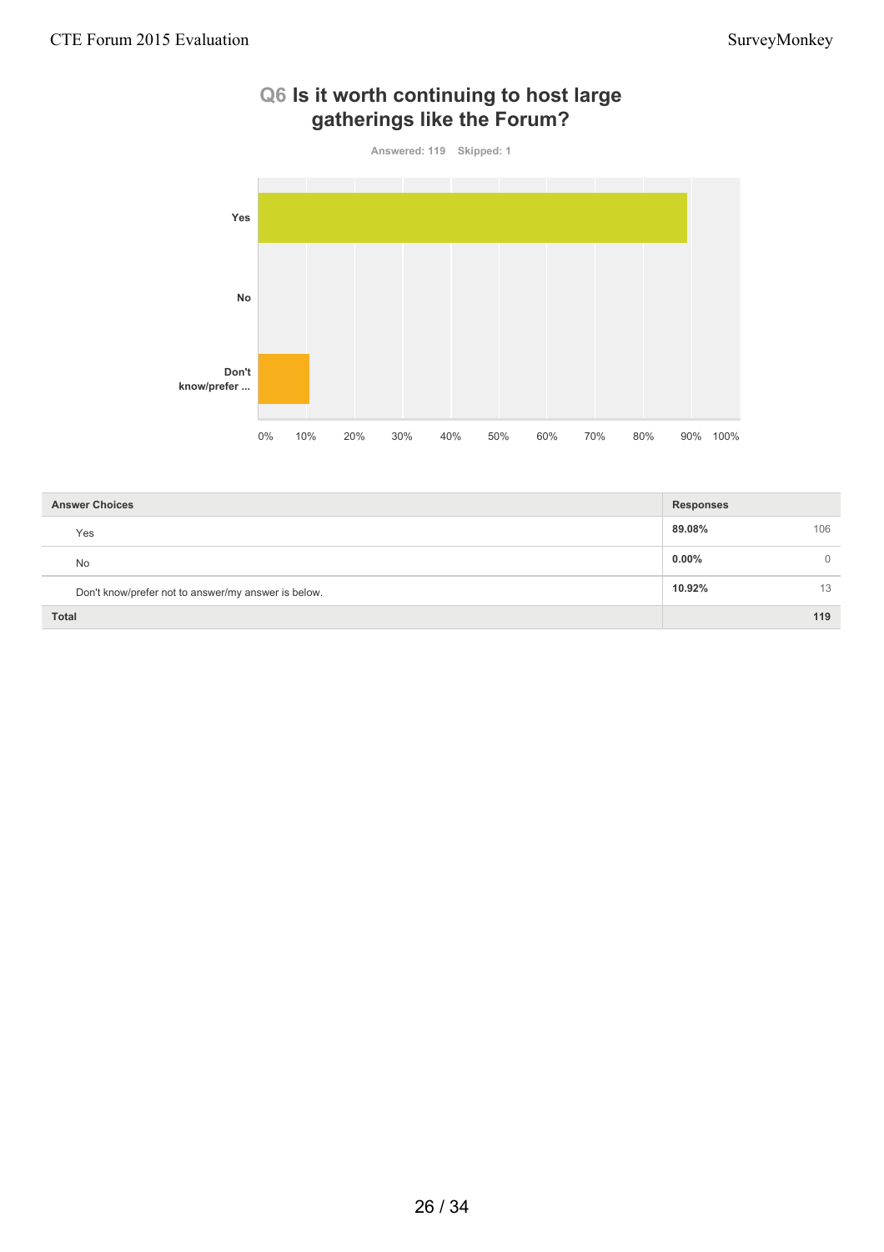

# **Q6 Is it worth continuing to host large gatherings like the Forum?**

| <b>Answer Choices</b>                               | <b>Responses</b> |
|-----------------------------------------------------|------------------|
| Yes                                                 | 89.08%<br>106    |
| <b>No</b>                                           | $0.00\%$         |
| Don't know/prefer not to answer/my answer is below. | 10.92%<br>13     |
| <b>Total</b>                                        | 119              |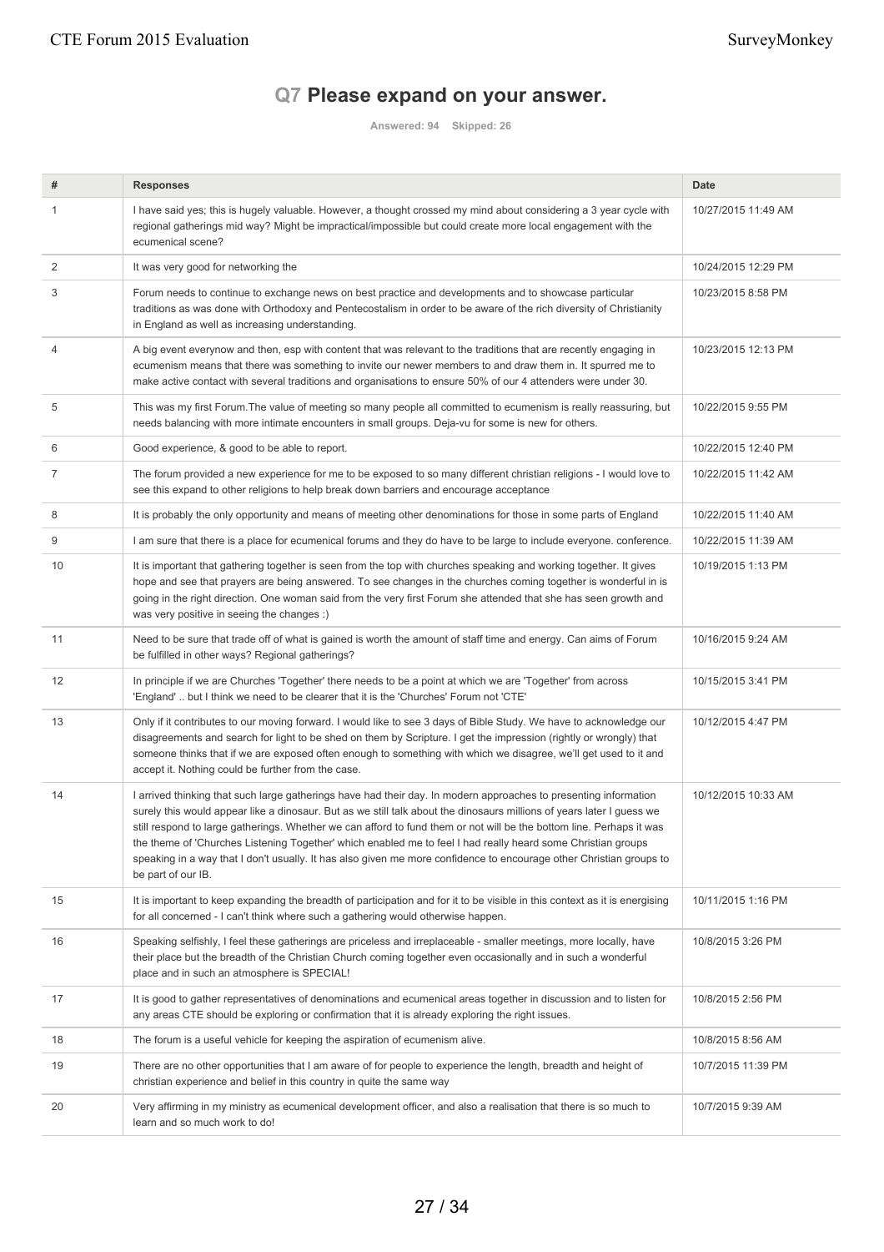# **Q7 Please expand on your answer.**

**Answered: 94 Skipped: 26**

| #  | <b>Responses</b>                                                                                                                                                                                                                                                                                                                                                                                                                                                                                                                                                                                                               | <b>Date</b>         |
|----|--------------------------------------------------------------------------------------------------------------------------------------------------------------------------------------------------------------------------------------------------------------------------------------------------------------------------------------------------------------------------------------------------------------------------------------------------------------------------------------------------------------------------------------------------------------------------------------------------------------------------------|---------------------|
| 1  | I have said yes; this is hugely valuable. However, a thought crossed my mind about considering a 3 year cycle with<br>regional gatherings mid way? Might be impractical/impossible but could create more local engagement with the<br>ecumenical scene?                                                                                                                                                                                                                                                                                                                                                                        | 10/27/2015 11:49 AM |
| 2  | It was very good for networking the                                                                                                                                                                                                                                                                                                                                                                                                                                                                                                                                                                                            | 10/24/2015 12:29 PM |
| 3  | Forum needs to continue to exchange news on best practice and developments and to showcase particular<br>traditions as was done with Orthodoxy and Pentecostalism in order to be aware of the rich diversity of Christianity<br>in England as well as increasing understanding.                                                                                                                                                                                                                                                                                                                                                | 10/23/2015 8:58 PM  |
| 4  | A big event everynow and then, esp with content that was relevant to the traditions that are recently engaging in<br>ecumenism means that there was something to invite our newer members to and draw them in. It spurred me to<br>make active contact with several traditions and organisations to ensure 50% of our 4 attenders were under 30.                                                                                                                                                                                                                                                                               | 10/23/2015 12:13 PM |
| 5  | This was my first Forum. The value of meeting so many people all committed to ecumenism is really reassuring, but<br>needs balancing with more intimate encounters in small groups. Deja-vu for some is new for others.                                                                                                                                                                                                                                                                                                                                                                                                        | 10/22/2015 9:55 PM  |
| 6  | Good experience, & good to be able to report.                                                                                                                                                                                                                                                                                                                                                                                                                                                                                                                                                                                  | 10/22/2015 12:40 PM |
| 7  | The forum provided a new experience for me to be exposed to so many different christian religions - I would love to<br>see this expand to other religions to help break down barriers and encourage acceptance                                                                                                                                                                                                                                                                                                                                                                                                                 | 10/22/2015 11:42 AM |
| 8  | It is probably the only opportunity and means of meeting other denominations for those in some parts of England                                                                                                                                                                                                                                                                                                                                                                                                                                                                                                                | 10/22/2015 11:40 AM |
| 9  | I am sure that there is a place for ecumenical forums and they do have to be large to include everyone. conference.                                                                                                                                                                                                                                                                                                                                                                                                                                                                                                            | 10/22/2015 11:39 AM |
| 10 | It is important that gathering together is seen from the top with churches speaking and working together. It gives<br>hope and see that prayers are being answered. To see changes in the churches coming together is wonderful in is<br>going in the right direction. One woman said from the very first Forum she attended that she has seen growth and<br>was very positive in seeing the changes :)                                                                                                                                                                                                                        | 10/19/2015 1:13 PM  |
| 11 | Need to be sure that trade off of what is gained is worth the amount of staff time and energy. Can aims of Forum<br>be fulfilled in other ways? Regional gatherings?                                                                                                                                                                                                                                                                                                                                                                                                                                                           | 10/16/2015 9:24 AM  |
| 12 | In principle if we are Churches 'Together' there needs to be a point at which we are 'Together' from across<br>'England'  but I think we need to be clearer that it is the 'Churches' Forum not 'CTE'                                                                                                                                                                                                                                                                                                                                                                                                                          | 10/15/2015 3:41 PM  |
| 13 | Only if it contributes to our moving forward. I would like to see 3 days of Bible Study. We have to acknowledge our<br>disagreements and search for light to be shed on them by Scripture. I get the impression (rightly or wrongly) that<br>someone thinks that if we are exposed often enough to something with which we disagree, we'll get used to it and<br>accept it. Nothing could be further from the case.                                                                                                                                                                                                            | 10/12/2015 4:47 PM  |
| 14 | I arrived thinking that such large gatherings have had their day. In modern approaches to presenting information<br>surely this would appear like a dinosaur. But as we still talk about the dinosaurs millions of years later I guess we<br>still respond to large gatherings. Whether we can afford to fund them or not will be the bottom line. Perhaps it was<br>the theme of 'Churches Listening Together' which enabled me to feel I had really heard some Christian groups<br>speaking in a way that I don't usually. It has also given me more confidence to encourage other Christian groups to<br>be part of our IB. | 10/12/2015 10:33 AM |
| 15 | It is important to keep expanding the breadth of participation and for it to be visible in this context as it is energising<br>for all concerned - I can't think where such a gathering would otherwise happen.                                                                                                                                                                                                                                                                                                                                                                                                                | 10/11/2015 1:16 PM  |
| 16 | Speaking selfishly, I feel these gatherings are priceless and irreplaceable - smaller meetings, more locally, have<br>their place but the breadth of the Christian Church coming together even occasionally and in such a wonderful<br>place and in such an atmosphere is SPECIAL!                                                                                                                                                                                                                                                                                                                                             | 10/8/2015 3:26 PM   |
| 17 | It is good to gather representatives of denominations and ecumenical areas together in discussion and to listen for<br>any areas CTE should be exploring or confirmation that it is already exploring the right issues.                                                                                                                                                                                                                                                                                                                                                                                                        | 10/8/2015 2:56 PM   |
| 18 | The forum is a useful vehicle for keeping the aspiration of ecumenism alive.                                                                                                                                                                                                                                                                                                                                                                                                                                                                                                                                                   | 10/8/2015 8:56 AM   |
| 19 | There are no other opportunities that I am aware of for people to experience the length, breadth and height of<br>christian experience and belief in this country in quite the same way                                                                                                                                                                                                                                                                                                                                                                                                                                        | 10/7/2015 11:39 PM  |
| 20 | Very affirming in my ministry as ecumenical development officer, and also a realisation that there is so much to<br>learn and so much work to do!                                                                                                                                                                                                                                                                                                                                                                                                                                                                              | 10/7/2015 9:39 AM   |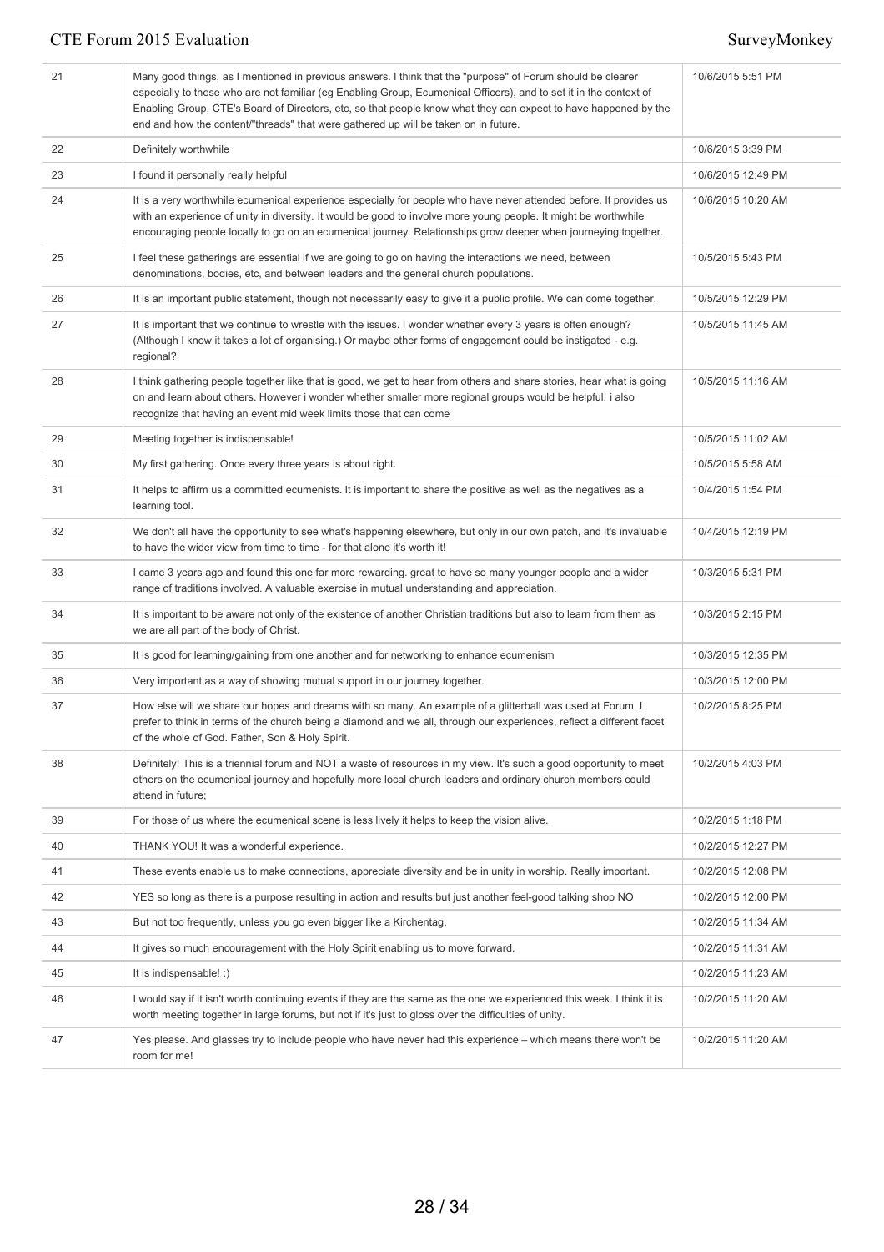| 21 | Many good things, as I mentioned in previous answers. I think that the "purpose" of Forum should be clearer<br>especially to those who are not familiar (eg Enabling Group, Ecumenical Officers), and to set it in the context of<br>Enabling Group, CTE's Board of Directors, etc, so that people know what they can expect to have happened by the<br>end and how the content/"threads" that were gathered up will be taken on in future. | 10/6/2015 5:51 PM  |
|----|---------------------------------------------------------------------------------------------------------------------------------------------------------------------------------------------------------------------------------------------------------------------------------------------------------------------------------------------------------------------------------------------------------------------------------------------|--------------------|
| 22 | Definitely worthwhile                                                                                                                                                                                                                                                                                                                                                                                                                       | 10/6/2015 3:39 PM  |
| 23 | I found it personally really helpful                                                                                                                                                                                                                                                                                                                                                                                                        | 10/6/2015 12:49 PM |
| 24 | It is a very worthwhile ecumenical experience especially for people who have never attended before. It provides us<br>with an experience of unity in diversity. It would be good to involve more young people. It might be worthwhile<br>encouraging people locally to go on an ecumenical journey. Relationships grow deeper when journeying together.                                                                                     | 10/6/2015 10:20 AM |
| 25 | I feel these gatherings are essential if we are going to go on having the interactions we need, between<br>denominations, bodies, etc, and between leaders and the general church populations.                                                                                                                                                                                                                                              | 10/5/2015 5:43 PM  |
| 26 | It is an important public statement, though not necessarily easy to give it a public profile. We can come together.                                                                                                                                                                                                                                                                                                                         | 10/5/2015 12:29 PM |
| 27 | It is important that we continue to wrestle with the issues. I wonder whether every 3 years is often enough?<br>(Although I know it takes a lot of organising.) Or maybe other forms of engagement could be instigated - e.g.<br>regional?                                                                                                                                                                                                  | 10/5/2015 11:45 AM |
| 28 | I think gathering people together like that is good, we get to hear from others and share stories, hear what is going<br>on and learn about others. However i wonder whether smaller more regional groups would be helpful. i also<br>recognize that having an event mid week limits those that can come                                                                                                                                    | 10/5/2015 11:16 AM |
| 29 | Meeting together is indispensable!                                                                                                                                                                                                                                                                                                                                                                                                          | 10/5/2015 11:02 AM |
| 30 | My first gathering. Once every three years is about right.                                                                                                                                                                                                                                                                                                                                                                                  | 10/5/2015 5:58 AM  |
| 31 | It helps to affirm us a committed ecumenists. It is important to share the positive as well as the negatives as a<br>learning tool.                                                                                                                                                                                                                                                                                                         | 10/4/2015 1:54 PM  |
| 32 | We don't all have the opportunity to see what's happening elsewhere, but only in our own patch, and it's invaluable<br>to have the wider view from time to time - for that alone it's worth it!                                                                                                                                                                                                                                             | 10/4/2015 12:19 PM |
| 33 | I came 3 years ago and found this one far more rewarding. great to have so many younger people and a wider<br>range of traditions involved. A valuable exercise in mutual understanding and appreciation.                                                                                                                                                                                                                                   | 10/3/2015 5:31 PM  |
| 34 | It is important to be aware not only of the existence of another Christian traditions but also to learn from them as<br>we are all part of the body of Christ.                                                                                                                                                                                                                                                                              | 10/3/2015 2:15 PM  |
| 35 | It is good for learning/gaining from one another and for networking to enhance ecumenism                                                                                                                                                                                                                                                                                                                                                    | 10/3/2015 12:35 PM |
| 36 | Very important as a way of showing mutual support in our journey together.                                                                                                                                                                                                                                                                                                                                                                  | 10/3/2015 12:00 PM |
| 37 | How else will we share our hopes and dreams with so many. An example of a glitterball was used at Forum, I<br>prefer to think in terms of the church being a diamond and we all, through our experiences, reflect a different facet<br>of the whole of God. Father, Son & Holy Spirit.                                                                                                                                                      | 10/2/2015 8:25 PM  |
| 38 | Definitely! This is a triennial forum and NOT a waste of resources in my view. It's such a good opportunity to meet<br>others on the ecumenical journey and hopefully more local church leaders and ordinary church members could<br>attend in future;                                                                                                                                                                                      | 10/2/2015 4:03 PM  |
| 39 | For those of us where the ecumenical scene is less lively it helps to keep the vision alive.                                                                                                                                                                                                                                                                                                                                                | 10/2/2015 1:18 PM  |
| 40 | THANK YOU! It was a wonderful experience.                                                                                                                                                                                                                                                                                                                                                                                                   | 10/2/2015 12:27 PM |
| 41 | These events enable us to make connections, appreciate diversity and be in unity in worship. Really important.                                                                                                                                                                                                                                                                                                                              | 10/2/2015 12:08 PM |
| 42 | YES so long as there is a purpose resulting in action and results: but just another feel-good talking shop NO                                                                                                                                                                                                                                                                                                                               | 10/2/2015 12:00 PM |
| 43 | But not too frequently, unless you go even bigger like a Kirchentag.                                                                                                                                                                                                                                                                                                                                                                        | 10/2/2015 11:34 AM |
| 44 | It gives so much encouragement with the Holy Spirit enabling us to move forward.                                                                                                                                                                                                                                                                                                                                                            | 10/2/2015 11:31 AM |
| 45 | It is indispensable! :)                                                                                                                                                                                                                                                                                                                                                                                                                     | 10/2/2015 11:23 AM |
| 46 | I would say if it isn't worth continuing events if they are the same as the one we experienced this week. I think it is<br>worth meeting together in large forums, but not if it's just to gloss over the difficulties of unity.                                                                                                                                                                                                            | 10/2/2015 11:20 AM |
| 47 | Yes please. And glasses try to include people who have never had this experience – which means there won't be<br>room for me!                                                                                                                                                                                                                                                                                                               | 10/2/2015 11:20 AM |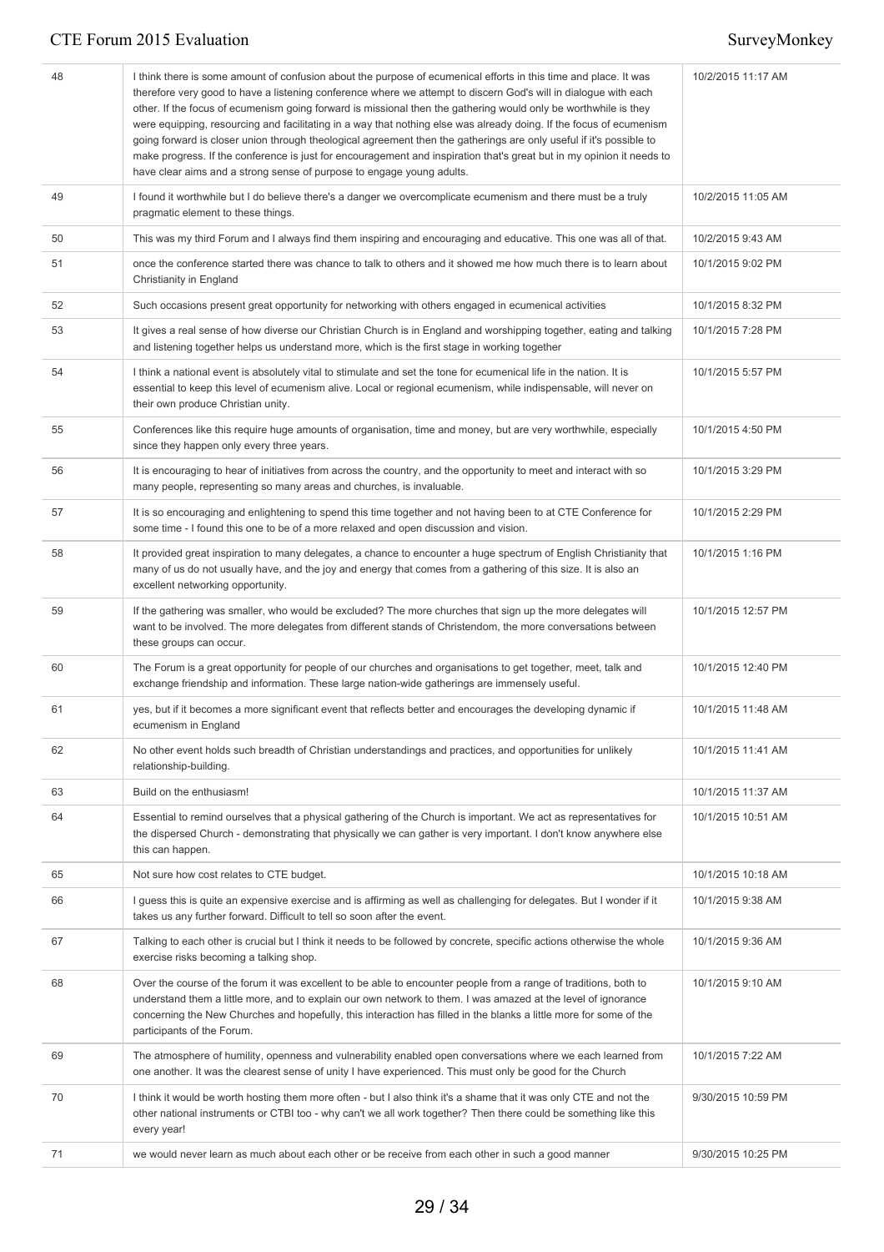| 48 | I think there is some amount of confusion about the purpose of ecumenical efforts in this time and place. It was<br>therefore very good to have a listening conference where we attempt to discern God's will in dialogue with each<br>other. If the focus of ecumenism going forward is missional then the gathering would only be worthwhile is they<br>were equipping, resourcing and facilitating in a way that nothing else was already doing. If the focus of ecumenism<br>going forward is closer union through theological agreement then the gatherings are only useful if it's possible to<br>make progress. If the conference is just for encouragement and inspiration that's great but in my opinion it needs to<br>have clear aims and a strong sense of purpose to engage young adults. | 10/2/2015 11:17 AM |
|----|--------------------------------------------------------------------------------------------------------------------------------------------------------------------------------------------------------------------------------------------------------------------------------------------------------------------------------------------------------------------------------------------------------------------------------------------------------------------------------------------------------------------------------------------------------------------------------------------------------------------------------------------------------------------------------------------------------------------------------------------------------------------------------------------------------|--------------------|
| 49 | I found it worthwhile but I do believe there's a danger we overcomplicate ecumenism and there must be a truly<br>pragmatic element to these things.                                                                                                                                                                                                                                                                                                                                                                                                                                                                                                                                                                                                                                                    | 10/2/2015 11:05 AM |
| 50 | This was my third Forum and I always find them inspiring and encouraging and educative. This one was all of that.                                                                                                                                                                                                                                                                                                                                                                                                                                                                                                                                                                                                                                                                                      | 10/2/2015 9:43 AM  |
| 51 | once the conference started there was chance to talk to others and it showed me how much there is to learn about<br>Christianity in England                                                                                                                                                                                                                                                                                                                                                                                                                                                                                                                                                                                                                                                            | 10/1/2015 9:02 PM  |
| 52 | Such occasions present great opportunity for networking with others engaged in ecumenical activities                                                                                                                                                                                                                                                                                                                                                                                                                                                                                                                                                                                                                                                                                                   | 10/1/2015 8:32 PM  |
| 53 | It gives a real sense of how diverse our Christian Church is in England and worshipping together, eating and talking<br>and listening together helps us understand more, which is the first stage in working together                                                                                                                                                                                                                                                                                                                                                                                                                                                                                                                                                                                  | 10/1/2015 7:28 PM  |
| 54 | I think a national event is absolutely vital to stimulate and set the tone for ecumenical life in the nation. It is<br>essential to keep this level of ecumenism alive. Local or regional ecumenism, while indispensable, will never on<br>their own produce Christian unity.                                                                                                                                                                                                                                                                                                                                                                                                                                                                                                                          | 10/1/2015 5:57 PM  |
| 55 | Conferences like this require huge amounts of organisation, time and money, but are very worthwhile, especially<br>since they happen only every three years.                                                                                                                                                                                                                                                                                                                                                                                                                                                                                                                                                                                                                                           | 10/1/2015 4:50 PM  |
| 56 | It is encouraging to hear of initiatives from across the country, and the opportunity to meet and interact with so<br>many people, representing so many areas and churches, is invaluable.                                                                                                                                                                                                                                                                                                                                                                                                                                                                                                                                                                                                             | 10/1/2015 3:29 PM  |
| 57 | It is so encouraging and enlightening to spend this time together and not having been to at CTE Conference for<br>some time - I found this one to be of a more relaxed and open discussion and vision.                                                                                                                                                                                                                                                                                                                                                                                                                                                                                                                                                                                                 | 10/1/2015 2:29 PM  |
| 58 | It provided great inspiration to many delegates, a chance to encounter a huge spectrum of English Christianity that<br>many of us do not usually have, and the joy and energy that comes from a gathering of this size. It is also an<br>excellent networking opportunity.                                                                                                                                                                                                                                                                                                                                                                                                                                                                                                                             | 10/1/2015 1:16 PM  |
| 59 | If the gathering was smaller, who would be excluded? The more churches that sign up the more delegates will<br>want to be involved. The more delegates from different stands of Christendom, the more conversations between<br>these groups can occur.                                                                                                                                                                                                                                                                                                                                                                                                                                                                                                                                                 | 10/1/2015 12:57 PM |
| 60 | The Forum is a great opportunity for people of our churches and organisations to get together, meet, talk and<br>exchange friendship and information. These large nation-wide gatherings are immensely useful.                                                                                                                                                                                                                                                                                                                                                                                                                                                                                                                                                                                         | 10/1/2015 12:40 PM |
| 61 | yes, but if it becomes a more significant event that reflects better and encourages the developing dynamic if<br>ecumenism in England                                                                                                                                                                                                                                                                                                                                                                                                                                                                                                                                                                                                                                                                  | 10/1/2015 11:48 AM |
| 62 | No other event holds such breadth of Christian understandings and practices, and opportunities for unlikely<br>relationship-building.                                                                                                                                                                                                                                                                                                                                                                                                                                                                                                                                                                                                                                                                  | 10/1/2015 11:41 AM |
| 63 | Build on the enthusiasm!                                                                                                                                                                                                                                                                                                                                                                                                                                                                                                                                                                                                                                                                                                                                                                               | 10/1/2015 11:37 AM |
| 64 | Essential to remind ourselves that a physical gathering of the Church is important. We act as representatives for<br>the dispersed Church - demonstrating that physically we can gather is very important. I don't know anywhere else<br>this can happen.                                                                                                                                                                                                                                                                                                                                                                                                                                                                                                                                              | 10/1/2015 10:51 AM |
| 65 | Not sure how cost relates to CTE budget.                                                                                                                                                                                                                                                                                                                                                                                                                                                                                                                                                                                                                                                                                                                                                               | 10/1/2015 10:18 AM |
| 66 | I guess this is quite an expensive exercise and is affirming as well as challenging for delegates. But I wonder if it<br>takes us any further forward. Difficult to tell so soon after the event.                                                                                                                                                                                                                                                                                                                                                                                                                                                                                                                                                                                                      | 10/1/2015 9:38 AM  |
| 67 | Talking to each other is crucial but I think it needs to be followed by concrete, specific actions otherwise the whole<br>exercise risks becoming a talking shop.                                                                                                                                                                                                                                                                                                                                                                                                                                                                                                                                                                                                                                      | 10/1/2015 9:36 AM  |
| 68 | Over the course of the forum it was excellent to be able to encounter people from a range of traditions, both to<br>understand them a little more, and to explain our own network to them. I was amazed at the level of ignorance<br>concerning the New Churches and hopefully, this interaction has filled in the blanks a little more for some of the<br>participants of the Forum.                                                                                                                                                                                                                                                                                                                                                                                                                  | 10/1/2015 9:10 AM  |
| 69 | The atmosphere of humility, openness and vulnerability enabled open conversations where we each learned from<br>one another. It was the clearest sense of unity I have experienced. This must only be good for the Church                                                                                                                                                                                                                                                                                                                                                                                                                                                                                                                                                                              | 10/1/2015 7:22 AM  |
| 70 | I think it would be worth hosting them more often - but I also think it's a shame that it was only CTE and not the<br>other national instruments or CTBI too - why can't we all work together? Then there could be something like this<br>every year!                                                                                                                                                                                                                                                                                                                                                                                                                                                                                                                                                  | 9/30/2015 10:59 PM |
| 71 | we would never learn as much about each other or be receive from each other in such a good manner                                                                                                                                                                                                                                                                                                                                                                                                                                                                                                                                                                                                                                                                                                      | 9/30/2015 10:25 PM |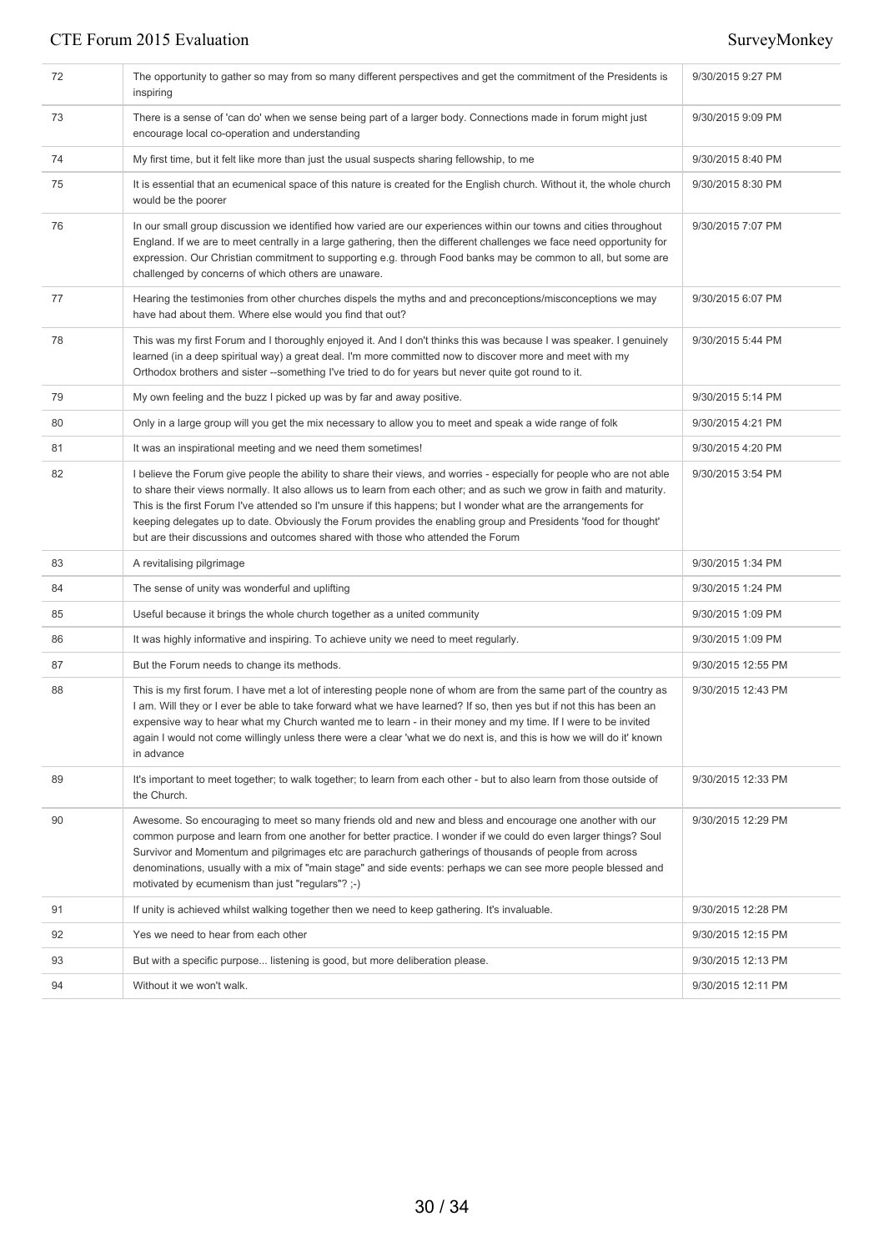| 72 | The opportunity to gather so may from so many different perspectives and get the commitment of the Presidents is<br>inspiring                                                                                                                                                                                                                                                                                                                                                                                                                                            | 9/30/2015 9:27 PM  |
|----|--------------------------------------------------------------------------------------------------------------------------------------------------------------------------------------------------------------------------------------------------------------------------------------------------------------------------------------------------------------------------------------------------------------------------------------------------------------------------------------------------------------------------------------------------------------------------|--------------------|
| 73 | There is a sense of 'can do' when we sense being part of a larger body. Connections made in forum might just<br>encourage local co-operation and understanding                                                                                                                                                                                                                                                                                                                                                                                                           | 9/30/2015 9:09 PM  |
| 74 | My first time, but it felt like more than just the usual suspects sharing fellowship, to me                                                                                                                                                                                                                                                                                                                                                                                                                                                                              | 9/30/2015 8:40 PM  |
| 75 | It is essential that an ecumenical space of this nature is created for the English church. Without it, the whole church<br>would be the poorer                                                                                                                                                                                                                                                                                                                                                                                                                           | 9/30/2015 8:30 PM  |
| 76 | In our small group discussion we identified how varied are our experiences within our towns and cities throughout<br>England. If we are to meet centrally in a large gathering, then the different challenges we face need opportunity for<br>expression. Our Christian commitment to supporting e.g. through Food banks may be common to all, but some are<br>challenged by concerns of which others are unaware.                                                                                                                                                       | 9/30/2015 7:07 PM  |
| 77 | Hearing the testimonies from other churches dispels the myths and and preconceptions/misconceptions we may<br>have had about them. Where else would you find that out?                                                                                                                                                                                                                                                                                                                                                                                                   | 9/30/2015 6:07 PM  |
| 78 | This was my first Forum and I thoroughly enjoyed it. And I don't thinks this was because I was speaker. I genuinely<br>learned (in a deep spiritual way) a great deal. I'm more committed now to discover more and meet with my<br>Orthodox brothers and sister --something I've tried to do for years but never quite got round to it.                                                                                                                                                                                                                                  | 9/30/2015 5:44 PM  |
| 79 | My own feeling and the buzz I picked up was by far and away positive.                                                                                                                                                                                                                                                                                                                                                                                                                                                                                                    | 9/30/2015 5:14 PM  |
| 80 | Only in a large group will you get the mix necessary to allow you to meet and speak a wide range of folk                                                                                                                                                                                                                                                                                                                                                                                                                                                                 | 9/30/2015 4:21 PM  |
| 81 | It was an inspirational meeting and we need them sometimes!                                                                                                                                                                                                                                                                                                                                                                                                                                                                                                              | 9/30/2015 4:20 PM  |
| 82 | I believe the Forum give people the ability to share their views, and worries - especially for people who are not able<br>to share their views normally. It also allows us to learn from each other; and as such we grow in faith and maturity.<br>This is the first Forum I've attended so I'm unsure if this happens; but I wonder what are the arrangements for<br>keeping delegates up to date. Obviously the Forum provides the enabling group and Presidents 'food for thought'<br>but are their discussions and outcomes shared with those who attended the Forum | 9/30/2015 3:54 PM  |
| 83 | A revitalising pilgrimage                                                                                                                                                                                                                                                                                                                                                                                                                                                                                                                                                | 9/30/2015 1:34 PM  |
| 84 | The sense of unity was wonderful and uplifting                                                                                                                                                                                                                                                                                                                                                                                                                                                                                                                           | 9/30/2015 1:24 PM  |
| 85 | Useful because it brings the whole church together as a united community                                                                                                                                                                                                                                                                                                                                                                                                                                                                                                 | 9/30/2015 1:09 PM  |
| 86 | It was highly informative and inspiring. To achieve unity we need to meet regularly.                                                                                                                                                                                                                                                                                                                                                                                                                                                                                     | 9/30/2015 1:09 PM  |
| 87 | But the Forum needs to change its methods.                                                                                                                                                                                                                                                                                                                                                                                                                                                                                                                               | 9/30/2015 12:55 PM |
| 88 | This is my first forum. I have met a lot of interesting people none of whom are from the same part of the country as<br>I am. Will they or I ever be able to take forward what we have learned? If so, then yes but if not this has been an<br>expensive way to hear what my Church wanted me to learn - in their money and my time. If I were to be invited<br>again I would not come willingly unless there were a clear 'what we do next is, and this is how we will do it' known<br>in advance                                                                       | 9/30/2015 12:43 PM |
| 89 | It's important to meet together; to walk together; to learn from each other - but to also learn from those outside of<br>the Church.                                                                                                                                                                                                                                                                                                                                                                                                                                     | 9/30/2015 12:33 PM |
| 90 | Awesome. So encouraging to meet so many friends old and new and bless and encourage one another with our<br>common purpose and learn from one another for better practice. I wonder if we could do even larger things? Soul<br>Survivor and Momentum and pilgrimages etc are parachurch gatherings of thousands of people from across<br>denominations, usually with a mix of "main stage" and side events: perhaps we can see more people blessed and<br>motivated by ecumenism than just "regulars"? ;-)                                                               | 9/30/2015 12:29 PM |
| 91 | If unity is achieved whilst walking together then we need to keep gathering. It's invaluable.                                                                                                                                                                                                                                                                                                                                                                                                                                                                            | 9/30/2015 12:28 PM |
| 92 | Yes we need to hear from each other                                                                                                                                                                                                                                                                                                                                                                                                                                                                                                                                      | 9/30/2015 12:15 PM |
| 93 | But with a specific purpose listening is good, but more deliberation please.                                                                                                                                                                                                                                                                                                                                                                                                                                                                                             | 9/30/2015 12:13 PM |
| 94 | Without it we won't walk.                                                                                                                                                                                                                                                                                                                                                                                                                                                                                                                                                | 9/30/2015 12:11 PM |
|    |                                                                                                                                                                                                                                                                                                                                                                                                                                                                                                                                                                          |                    |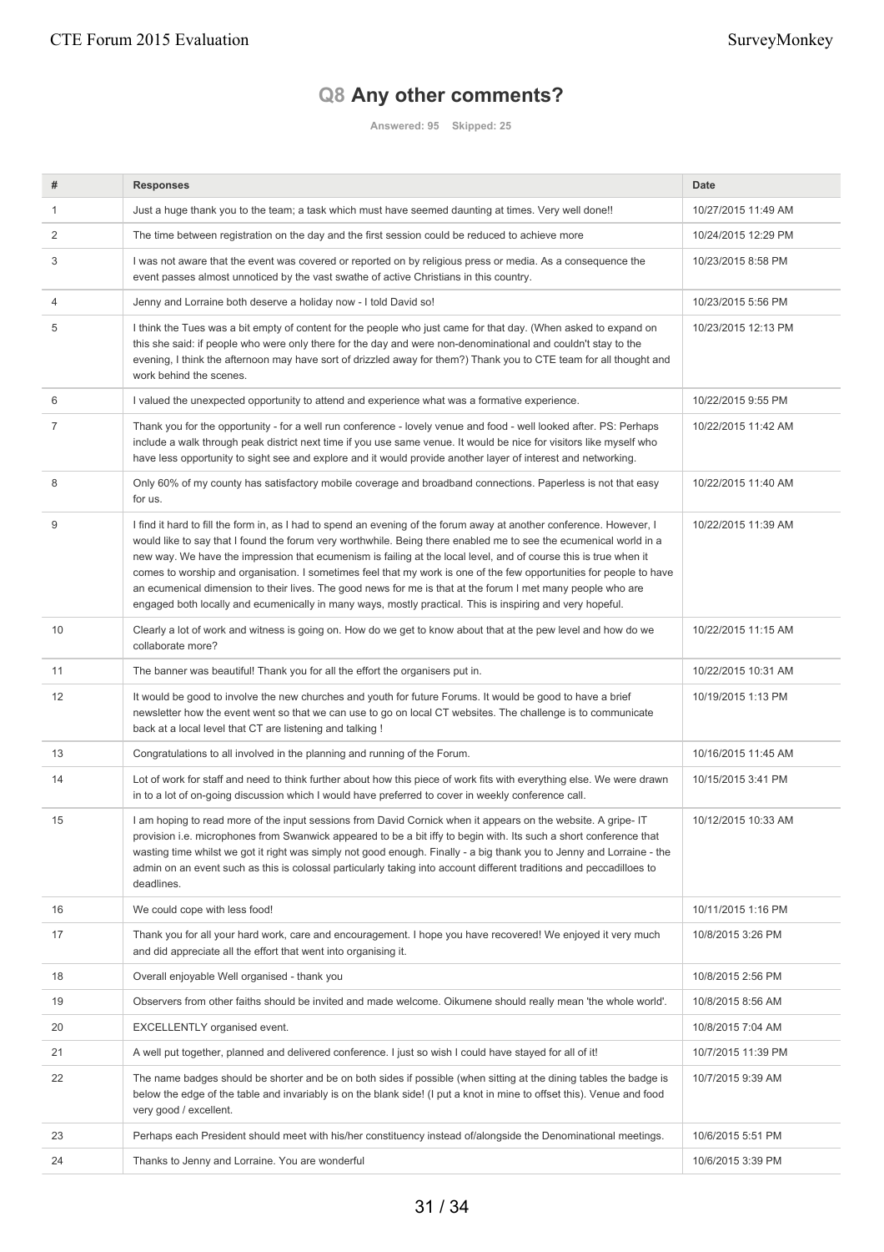# **Q8 Any other comments?**

**Answered: 95 Skipped: 25**

| #  | <b>Responses</b>                                                                                                                                                                                                                                                                                                                                                                                                                                                                                                                                                                                                                                                                                                 | <b>Date</b>         |
|----|------------------------------------------------------------------------------------------------------------------------------------------------------------------------------------------------------------------------------------------------------------------------------------------------------------------------------------------------------------------------------------------------------------------------------------------------------------------------------------------------------------------------------------------------------------------------------------------------------------------------------------------------------------------------------------------------------------------|---------------------|
| 1  | Just a huge thank you to the team; a task which must have seemed daunting at times. Very well done!!                                                                                                                                                                                                                                                                                                                                                                                                                                                                                                                                                                                                             | 10/27/2015 11:49 AM |
| 2  | The time between registration on the day and the first session could be reduced to achieve more                                                                                                                                                                                                                                                                                                                                                                                                                                                                                                                                                                                                                  | 10/24/2015 12:29 PM |
| 3  | I was not aware that the event was covered or reported on by religious press or media. As a consequence the<br>event passes almost unnoticed by the vast swathe of active Christians in this country.                                                                                                                                                                                                                                                                                                                                                                                                                                                                                                            | 10/23/2015 8:58 PM  |
| 4  | Jenny and Lorraine both deserve a holiday now - I told David so!                                                                                                                                                                                                                                                                                                                                                                                                                                                                                                                                                                                                                                                 | 10/23/2015 5:56 PM  |
| 5  | I think the Tues was a bit empty of content for the people who just came for that day. (When asked to expand on<br>this she said: if people who were only there for the day and were non-denominational and couldn't stay to the<br>evening, I think the afternoon may have sort of drizzled away for them?) Thank you to CTE team for all thought and<br>work behind the scenes.                                                                                                                                                                                                                                                                                                                                | 10/23/2015 12:13 PM |
| 6  | I valued the unexpected opportunity to attend and experience what was a formative experience.                                                                                                                                                                                                                                                                                                                                                                                                                                                                                                                                                                                                                    | 10/22/2015 9:55 PM  |
| 7  | Thank you for the opportunity - for a well run conference - lovely venue and food - well looked after. PS: Perhaps<br>include a walk through peak district next time if you use same venue. It would be nice for visitors like myself who<br>have less opportunity to sight see and explore and it would provide another layer of interest and networking.                                                                                                                                                                                                                                                                                                                                                       | 10/22/2015 11:42 AM |
| 8  | Only 60% of my county has satisfactory mobile coverage and broadband connections. Paperless is not that easy<br>for us.                                                                                                                                                                                                                                                                                                                                                                                                                                                                                                                                                                                          | 10/22/2015 11:40 AM |
| 9  | I find it hard to fill the form in, as I had to spend an evening of the forum away at another conference. However, I<br>would like to say that I found the forum very worthwhile. Being there enabled me to see the ecumenical world in a<br>new way. We have the impression that ecumenism is failing at the local level, and of course this is true when it<br>comes to worship and organisation. I sometimes feel that my work is one of the few opportunities for people to have<br>an ecumenical dimension to their lives. The good news for me is that at the forum I met many people who are<br>engaged both locally and ecumenically in many ways, mostly practical. This is inspiring and very hopeful. | 10/22/2015 11:39 AM |
| 10 | Clearly a lot of work and witness is going on. How do we get to know about that at the pew level and how do we<br>collaborate more?                                                                                                                                                                                                                                                                                                                                                                                                                                                                                                                                                                              | 10/22/2015 11:15 AM |
| 11 | The banner was beautiful! Thank you for all the effort the organisers put in.                                                                                                                                                                                                                                                                                                                                                                                                                                                                                                                                                                                                                                    | 10/22/2015 10:31 AM |
| 12 | It would be good to involve the new churches and youth for future Forums. It would be good to have a brief<br>newsletter how the event went so that we can use to go on local CT websites. The challenge is to communicate<br>back at a local level that CT are listening and talking !                                                                                                                                                                                                                                                                                                                                                                                                                          | 10/19/2015 1:13 PM  |
| 13 | Congratulations to all involved in the planning and running of the Forum.                                                                                                                                                                                                                                                                                                                                                                                                                                                                                                                                                                                                                                        | 10/16/2015 11:45 AM |
| 14 | Lot of work for staff and need to think further about how this piece of work fits with everything else. We were drawn<br>in to a lot of on-going discussion which I would have preferred to cover in weekly conference call.                                                                                                                                                                                                                                                                                                                                                                                                                                                                                     | 10/15/2015 3:41 PM  |
| 15 | I am hoping to read more of the input sessions from David Cornick when it appears on the website. A gripe-IT<br>provision i.e. microphones from Swanwick appeared to be a bit iffy to begin with. Its such a short conference that<br>wasting time whilst we got it right was simply not good enough. Finally - a big thank you to Jenny and Lorraine - the<br>admin on an event such as this is colossal particularly taking into account different traditions and peccadilloes to<br>deadlines.                                                                                                                                                                                                                | 10/12/2015 10:33 AM |
| 16 | We could cope with less food!                                                                                                                                                                                                                                                                                                                                                                                                                                                                                                                                                                                                                                                                                    | 10/11/2015 1:16 PM  |
| 17 | Thank you for all your hard work, care and encouragement. I hope you have recovered! We enjoyed it very much<br>and did appreciate all the effort that went into organising it.                                                                                                                                                                                                                                                                                                                                                                                                                                                                                                                                  | 10/8/2015 3:26 PM   |
| 18 | Overall enjoyable Well organised - thank you                                                                                                                                                                                                                                                                                                                                                                                                                                                                                                                                                                                                                                                                     | 10/8/2015 2:56 PM   |
| 19 | Observers from other faiths should be invited and made welcome. Oikumene should really mean 'the whole world'.                                                                                                                                                                                                                                                                                                                                                                                                                                                                                                                                                                                                   | 10/8/2015 8:56 AM   |
| 20 | EXCELLENTLY organised event.                                                                                                                                                                                                                                                                                                                                                                                                                                                                                                                                                                                                                                                                                     | 10/8/2015 7:04 AM   |
| 21 | A well put together, planned and delivered conference. I just so wish I could have stayed for all of it!                                                                                                                                                                                                                                                                                                                                                                                                                                                                                                                                                                                                         | 10/7/2015 11:39 PM  |
| 22 | The name badges should be shorter and be on both sides if possible (when sitting at the dining tables the badge is<br>below the edge of the table and invariably is on the blank side! (I put a knot in mine to offset this). Venue and food<br>very good / excellent.                                                                                                                                                                                                                                                                                                                                                                                                                                           | 10/7/2015 9:39 AM   |
| 23 | Perhaps each President should meet with his/her constituency instead of/alongside the Denominational meetings.                                                                                                                                                                                                                                                                                                                                                                                                                                                                                                                                                                                                   | 10/6/2015 5:51 PM   |
| 24 | Thanks to Jenny and Lorraine. You are wonderful                                                                                                                                                                                                                                                                                                                                                                                                                                                                                                                                                                                                                                                                  | 10/6/2015 3:39 PM   |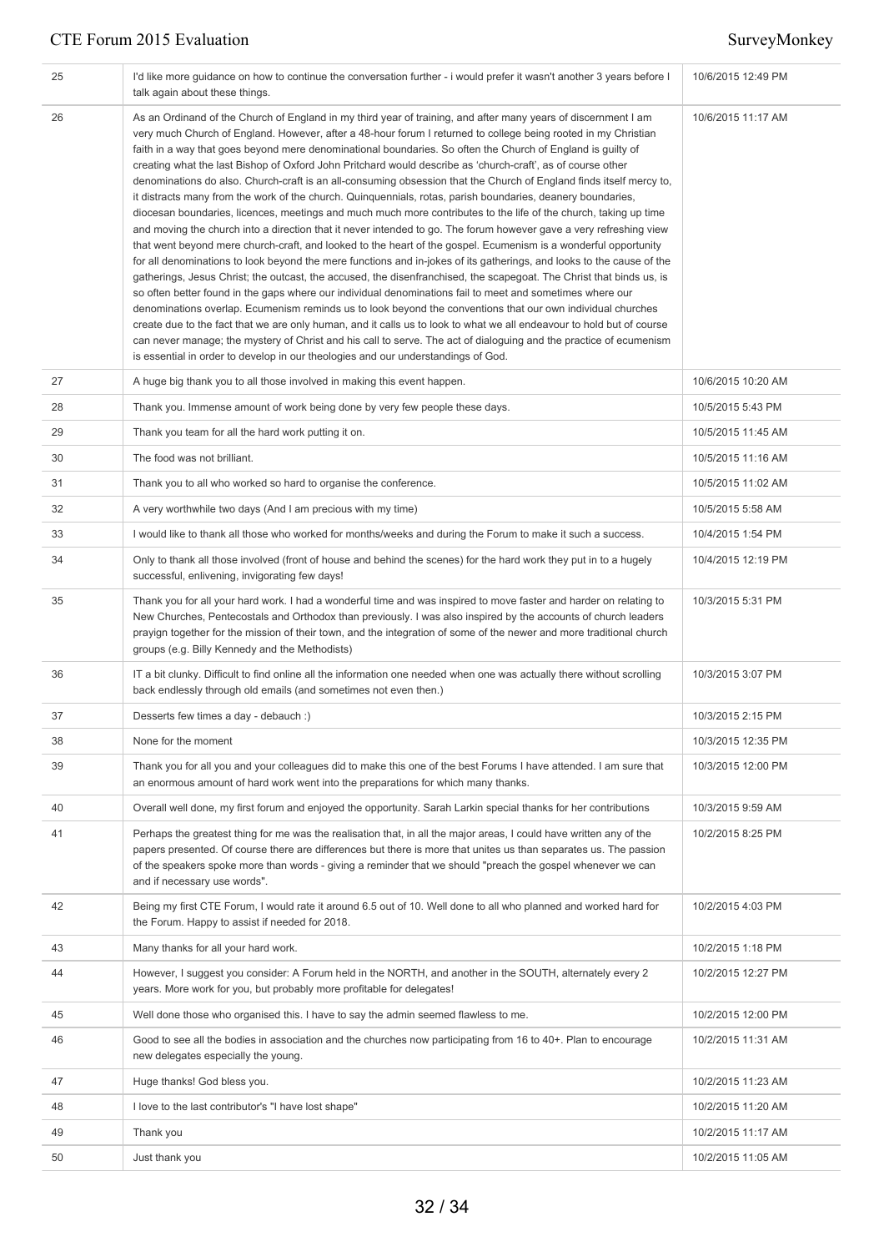| 25 | I'd like more guidance on how to continue the conversation further - i would prefer it wasn't another 3 years before I<br>talk again about these things.                                                                                                                                                                                                                                                                                                                                                                                                                                                                                                                                                                                                                                                                                                                                                                                                                                                                                                                                                                                                                                                                                                                                                                                                                                                                                                                                                                                                                                                                                                                                                                                                                                                                                                                           | 10/6/2015 12:49 PM |
|----|------------------------------------------------------------------------------------------------------------------------------------------------------------------------------------------------------------------------------------------------------------------------------------------------------------------------------------------------------------------------------------------------------------------------------------------------------------------------------------------------------------------------------------------------------------------------------------------------------------------------------------------------------------------------------------------------------------------------------------------------------------------------------------------------------------------------------------------------------------------------------------------------------------------------------------------------------------------------------------------------------------------------------------------------------------------------------------------------------------------------------------------------------------------------------------------------------------------------------------------------------------------------------------------------------------------------------------------------------------------------------------------------------------------------------------------------------------------------------------------------------------------------------------------------------------------------------------------------------------------------------------------------------------------------------------------------------------------------------------------------------------------------------------------------------------------------------------------------------------------------------------|--------------------|
| 26 | As an Ordinand of the Church of England in my third year of training, and after many years of discernment I am<br>very much Church of England. However, after a 48-hour forum I returned to college being rooted in my Christian<br>faith in a way that goes beyond mere denominational boundaries. So often the Church of England is guilty of<br>creating what the last Bishop of Oxford John Pritchard would describe as 'church-craft', as of course other<br>denominations do also. Church-craft is an all-consuming obsession that the Church of England finds itself mercy to,<br>it distracts many from the work of the church. Quinquennials, rotas, parish boundaries, deanery boundaries,<br>diocesan boundaries, licences, meetings and much much more contributes to the life of the church, taking up time<br>and moving the church into a direction that it never intended to go. The forum however gave a very refreshing view<br>that went beyond mere church-craft, and looked to the heart of the gospel. Ecumenism is a wonderful opportunity<br>for all denominations to look beyond the mere functions and in-jokes of its gatherings, and looks to the cause of the<br>gatherings, Jesus Christ; the outcast, the accused, the disenfranchised, the scapegoat. The Christ that binds us, is<br>so often better found in the gaps where our individual denominations fail to meet and sometimes where our<br>denominations overlap. Ecumenism reminds us to look beyond the conventions that our own individual churches<br>create due to the fact that we are only human, and it calls us to look to what we all endeavour to hold but of course<br>can never manage; the mystery of Christ and his call to serve. The act of dialoguing and the practice of ecumenism<br>is essential in order to develop in our theologies and our understandings of God. | 10/6/2015 11:17 AM |
| 27 | A huge big thank you to all those involved in making this event happen.                                                                                                                                                                                                                                                                                                                                                                                                                                                                                                                                                                                                                                                                                                                                                                                                                                                                                                                                                                                                                                                                                                                                                                                                                                                                                                                                                                                                                                                                                                                                                                                                                                                                                                                                                                                                            | 10/6/2015 10:20 AM |
| 28 | Thank you. Immense amount of work being done by very few people these days.                                                                                                                                                                                                                                                                                                                                                                                                                                                                                                                                                                                                                                                                                                                                                                                                                                                                                                                                                                                                                                                                                                                                                                                                                                                                                                                                                                                                                                                                                                                                                                                                                                                                                                                                                                                                        | 10/5/2015 5:43 PM  |
| 29 | Thank you team for all the hard work putting it on.                                                                                                                                                                                                                                                                                                                                                                                                                                                                                                                                                                                                                                                                                                                                                                                                                                                                                                                                                                                                                                                                                                                                                                                                                                                                                                                                                                                                                                                                                                                                                                                                                                                                                                                                                                                                                                | 10/5/2015 11:45 AM |
| 30 | The food was not brilliant.                                                                                                                                                                                                                                                                                                                                                                                                                                                                                                                                                                                                                                                                                                                                                                                                                                                                                                                                                                                                                                                                                                                                                                                                                                                                                                                                                                                                                                                                                                                                                                                                                                                                                                                                                                                                                                                        | 10/5/2015 11:16 AM |
| 31 | Thank you to all who worked so hard to organise the conference.                                                                                                                                                                                                                                                                                                                                                                                                                                                                                                                                                                                                                                                                                                                                                                                                                                                                                                                                                                                                                                                                                                                                                                                                                                                                                                                                                                                                                                                                                                                                                                                                                                                                                                                                                                                                                    | 10/5/2015 11:02 AM |
| 32 | A very worthwhile two days (And I am precious with my time)                                                                                                                                                                                                                                                                                                                                                                                                                                                                                                                                                                                                                                                                                                                                                                                                                                                                                                                                                                                                                                                                                                                                                                                                                                                                                                                                                                                                                                                                                                                                                                                                                                                                                                                                                                                                                        | 10/5/2015 5:58 AM  |
| 33 | I would like to thank all those who worked for months/weeks and during the Forum to make it such a success.                                                                                                                                                                                                                                                                                                                                                                                                                                                                                                                                                                                                                                                                                                                                                                                                                                                                                                                                                                                                                                                                                                                                                                                                                                                                                                                                                                                                                                                                                                                                                                                                                                                                                                                                                                        | 10/4/2015 1:54 PM  |
| 34 | Only to thank all those involved (front of house and behind the scenes) for the hard work they put in to a hugely<br>successful, enlivening, invigorating few days!                                                                                                                                                                                                                                                                                                                                                                                                                                                                                                                                                                                                                                                                                                                                                                                                                                                                                                                                                                                                                                                                                                                                                                                                                                                                                                                                                                                                                                                                                                                                                                                                                                                                                                                | 10/4/2015 12:19 PM |
| 35 | Thank you for all your hard work. I had a wonderful time and was inspired to move faster and harder on relating to<br>New Churches, Pentecostals and Orthodox than previously. I was also inspired by the accounts of church leaders<br>prayign together for the mission of their town, and the integration of some of the newer and more traditional church<br>groups (e.g. Billy Kennedy and the Methodists)                                                                                                                                                                                                                                                                                                                                                                                                                                                                                                                                                                                                                                                                                                                                                                                                                                                                                                                                                                                                                                                                                                                                                                                                                                                                                                                                                                                                                                                                     | 10/3/2015 5:31 PM  |
| 36 | IT a bit clunky. Difficult to find online all the information one needed when one was actually there without scrolling<br>back endlessly through old emails (and sometimes not even then.)                                                                                                                                                                                                                                                                                                                                                                                                                                                                                                                                                                                                                                                                                                                                                                                                                                                                                                                                                                                                                                                                                                                                                                                                                                                                                                                                                                                                                                                                                                                                                                                                                                                                                         | 10/3/2015 3:07 PM  |
| 37 | Desserts few times a day - debauch :)                                                                                                                                                                                                                                                                                                                                                                                                                                                                                                                                                                                                                                                                                                                                                                                                                                                                                                                                                                                                                                                                                                                                                                                                                                                                                                                                                                                                                                                                                                                                                                                                                                                                                                                                                                                                                                              | 10/3/2015 2:15 PM  |
| 38 | None for the moment                                                                                                                                                                                                                                                                                                                                                                                                                                                                                                                                                                                                                                                                                                                                                                                                                                                                                                                                                                                                                                                                                                                                                                                                                                                                                                                                                                                                                                                                                                                                                                                                                                                                                                                                                                                                                                                                | 10/3/2015 12:35 PM |
| 39 | Thank you for all you and your colleagues did to make this one of the best Forums I have attended. I am sure that<br>an enormous amount of hard work went into the preparations for which many thanks.                                                                                                                                                                                                                                                                                                                                                                                                                                                                                                                                                                                                                                                                                                                                                                                                                                                                                                                                                                                                                                                                                                                                                                                                                                                                                                                                                                                                                                                                                                                                                                                                                                                                             | 10/3/2015 12:00 PM |
| 40 | Overall well done, my first forum and enjoyed the opportunity. Sarah Larkin special thanks for her contributions                                                                                                                                                                                                                                                                                                                                                                                                                                                                                                                                                                                                                                                                                                                                                                                                                                                                                                                                                                                                                                                                                                                                                                                                                                                                                                                                                                                                                                                                                                                                                                                                                                                                                                                                                                   | 10/3/2015 9:59 AM  |
| 41 | Perhaps the greatest thing for me was the realisation that, in all the major areas, I could have written any of the<br>papers presented. Of course there are differences but there is more that unites us than separates us. The passion<br>of the speakers spoke more than words - giving a reminder that we should "preach the gospel whenever we can<br>and if necessary use words".                                                                                                                                                                                                                                                                                                                                                                                                                                                                                                                                                                                                                                                                                                                                                                                                                                                                                                                                                                                                                                                                                                                                                                                                                                                                                                                                                                                                                                                                                            | 10/2/2015 8:25 PM  |
| 42 | Being my first CTE Forum, I would rate it around 6.5 out of 10. Well done to all who planned and worked hard for<br>the Forum. Happy to assist if needed for 2018.                                                                                                                                                                                                                                                                                                                                                                                                                                                                                                                                                                                                                                                                                                                                                                                                                                                                                                                                                                                                                                                                                                                                                                                                                                                                                                                                                                                                                                                                                                                                                                                                                                                                                                                 | 10/2/2015 4:03 PM  |
| 43 | Many thanks for all your hard work.                                                                                                                                                                                                                                                                                                                                                                                                                                                                                                                                                                                                                                                                                                                                                                                                                                                                                                                                                                                                                                                                                                                                                                                                                                                                                                                                                                                                                                                                                                                                                                                                                                                                                                                                                                                                                                                | 10/2/2015 1:18 PM  |
| 44 | However, I suggest you consider: A Forum held in the NORTH, and another in the SOUTH, alternately every 2<br>years. More work for you, but probably more profitable for delegates!                                                                                                                                                                                                                                                                                                                                                                                                                                                                                                                                                                                                                                                                                                                                                                                                                                                                                                                                                                                                                                                                                                                                                                                                                                                                                                                                                                                                                                                                                                                                                                                                                                                                                                 | 10/2/2015 12:27 PM |
| 45 | Well done those who organised this. I have to say the admin seemed flawless to me.                                                                                                                                                                                                                                                                                                                                                                                                                                                                                                                                                                                                                                                                                                                                                                                                                                                                                                                                                                                                                                                                                                                                                                                                                                                                                                                                                                                                                                                                                                                                                                                                                                                                                                                                                                                                 | 10/2/2015 12:00 PM |
| 46 | Good to see all the bodies in association and the churches now participating from 16 to 40+. Plan to encourage<br>new delegates especially the young.                                                                                                                                                                                                                                                                                                                                                                                                                                                                                                                                                                                                                                                                                                                                                                                                                                                                                                                                                                                                                                                                                                                                                                                                                                                                                                                                                                                                                                                                                                                                                                                                                                                                                                                              | 10/2/2015 11:31 AM |
| 47 | Huge thanks! God bless you.                                                                                                                                                                                                                                                                                                                                                                                                                                                                                                                                                                                                                                                                                                                                                                                                                                                                                                                                                                                                                                                                                                                                                                                                                                                                                                                                                                                                                                                                                                                                                                                                                                                                                                                                                                                                                                                        | 10/2/2015 11:23 AM |
| 48 | I love to the last contributor's "I have lost shape"                                                                                                                                                                                                                                                                                                                                                                                                                                                                                                                                                                                                                                                                                                                                                                                                                                                                                                                                                                                                                                                                                                                                                                                                                                                                                                                                                                                                                                                                                                                                                                                                                                                                                                                                                                                                                               | 10/2/2015 11:20 AM |
| 49 | Thank you                                                                                                                                                                                                                                                                                                                                                                                                                                                                                                                                                                                                                                                                                                                                                                                                                                                                                                                                                                                                                                                                                                                                                                                                                                                                                                                                                                                                                                                                                                                                                                                                                                                                                                                                                                                                                                                                          | 10/2/2015 11:17 AM |
| 50 | Just thank you                                                                                                                                                                                                                                                                                                                                                                                                                                                                                                                                                                                                                                                                                                                                                                                                                                                                                                                                                                                                                                                                                                                                                                                                                                                                                                                                                                                                                                                                                                                                                                                                                                                                                                                                                                                                                                                                     | 10/2/2015 11:05 AM |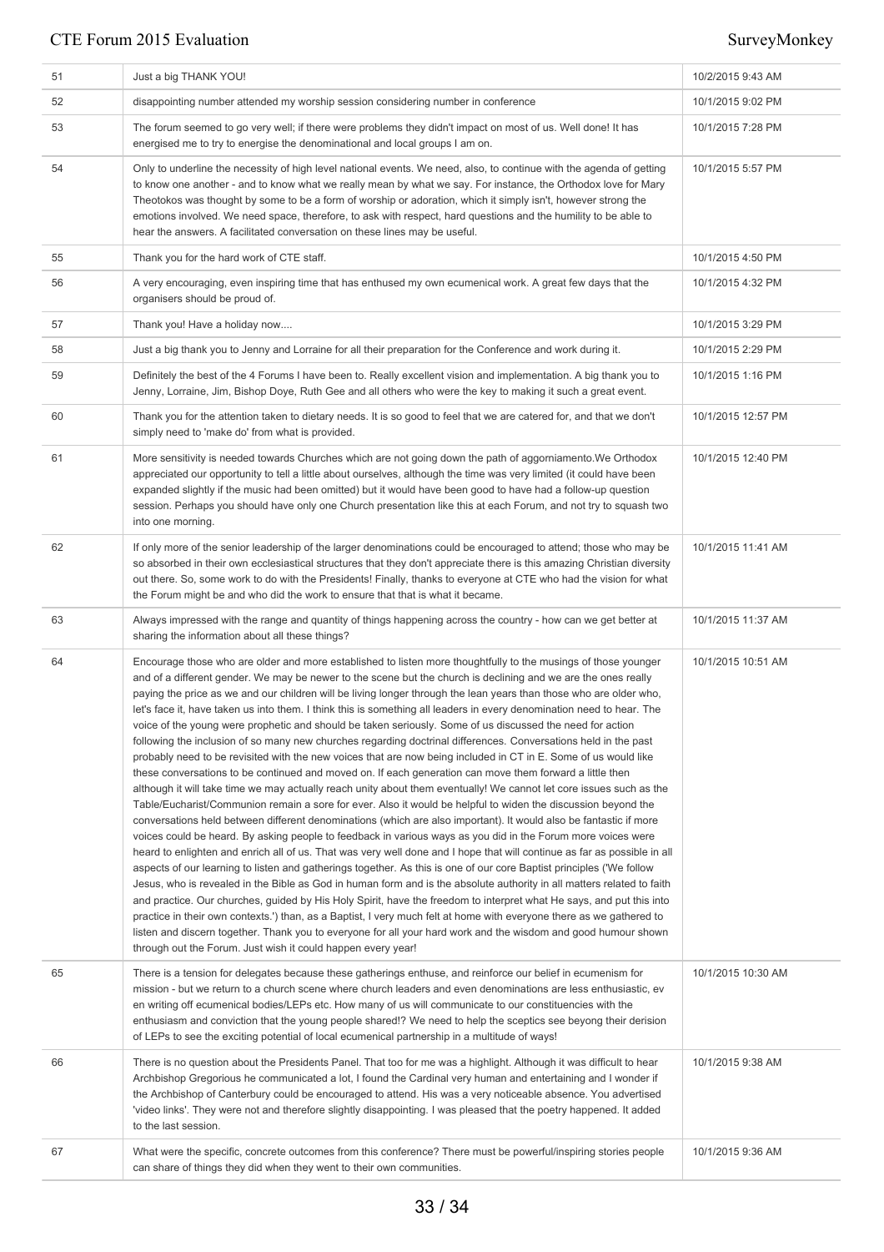| 51 | Just a big THANK YOU!                                                                                                                                                                                                                                                                                                                                                                                                                                                                                                                                                                                                                                                                                                                                                                                                                                                                                                                                                                                                                                                                                                                                                                                                                                                                                                                                                                                                                                                                                                                                                                                                                                                                                                                                                                                                                                                                                                                                                                                                                                                                                                                                                                                                                       | 10/2/2015 9:43 AM  |
|----|---------------------------------------------------------------------------------------------------------------------------------------------------------------------------------------------------------------------------------------------------------------------------------------------------------------------------------------------------------------------------------------------------------------------------------------------------------------------------------------------------------------------------------------------------------------------------------------------------------------------------------------------------------------------------------------------------------------------------------------------------------------------------------------------------------------------------------------------------------------------------------------------------------------------------------------------------------------------------------------------------------------------------------------------------------------------------------------------------------------------------------------------------------------------------------------------------------------------------------------------------------------------------------------------------------------------------------------------------------------------------------------------------------------------------------------------------------------------------------------------------------------------------------------------------------------------------------------------------------------------------------------------------------------------------------------------------------------------------------------------------------------------------------------------------------------------------------------------------------------------------------------------------------------------------------------------------------------------------------------------------------------------------------------------------------------------------------------------------------------------------------------------------------------------------------------------------------------------------------------------|--------------------|
| 52 | disappointing number attended my worship session considering number in conference                                                                                                                                                                                                                                                                                                                                                                                                                                                                                                                                                                                                                                                                                                                                                                                                                                                                                                                                                                                                                                                                                                                                                                                                                                                                                                                                                                                                                                                                                                                                                                                                                                                                                                                                                                                                                                                                                                                                                                                                                                                                                                                                                           | 10/1/2015 9:02 PM  |
| 53 | The forum seemed to go very well; if there were problems they didn't impact on most of us. Well done! It has<br>energised me to try to energise the denominational and local groups I am on.                                                                                                                                                                                                                                                                                                                                                                                                                                                                                                                                                                                                                                                                                                                                                                                                                                                                                                                                                                                                                                                                                                                                                                                                                                                                                                                                                                                                                                                                                                                                                                                                                                                                                                                                                                                                                                                                                                                                                                                                                                                | 10/1/2015 7:28 PM  |
| 54 | Only to underline the necessity of high level national events. We need, also, to continue with the agenda of getting<br>to know one another - and to know what we really mean by what we say. For instance, the Orthodox love for Mary<br>Theotokos was thought by some to be a form of worship or adoration, which it simply isn't, however strong the<br>emotions involved. We need space, therefore, to ask with respect, hard questions and the humility to be able to<br>hear the answers. A facilitated conversation on these lines may be useful.                                                                                                                                                                                                                                                                                                                                                                                                                                                                                                                                                                                                                                                                                                                                                                                                                                                                                                                                                                                                                                                                                                                                                                                                                                                                                                                                                                                                                                                                                                                                                                                                                                                                                    | 10/1/2015 5:57 PM  |
| 55 | Thank you for the hard work of CTE staff.                                                                                                                                                                                                                                                                                                                                                                                                                                                                                                                                                                                                                                                                                                                                                                                                                                                                                                                                                                                                                                                                                                                                                                                                                                                                                                                                                                                                                                                                                                                                                                                                                                                                                                                                                                                                                                                                                                                                                                                                                                                                                                                                                                                                   | 10/1/2015 4:50 PM  |
| 56 | A very encouraging, even inspiring time that has enthused my own ecumenical work. A great few days that the<br>organisers should be proud of.                                                                                                                                                                                                                                                                                                                                                                                                                                                                                                                                                                                                                                                                                                                                                                                                                                                                                                                                                                                                                                                                                                                                                                                                                                                                                                                                                                                                                                                                                                                                                                                                                                                                                                                                                                                                                                                                                                                                                                                                                                                                                               | 10/1/2015 4:32 PM  |
| 57 | Thank you! Have a holiday now                                                                                                                                                                                                                                                                                                                                                                                                                                                                                                                                                                                                                                                                                                                                                                                                                                                                                                                                                                                                                                                                                                                                                                                                                                                                                                                                                                                                                                                                                                                                                                                                                                                                                                                                                                                                                                                                                                                                                                                                                                                                                                                                                                                                               | 10/1/2015 3:29 PM  |
| 58 | Just a big thank you to Jenny and Lorraine for all their preparation for the Conference and work during it.                                                                                                                                                                                                                                                                                                                                                                                                                                                                                                                                                                                                                                                                                                                                                                                                                                                                                                                                                                                                                                                                                                                                                                                                                                                                                                                                                                                                                                                                                                                                                                                                                                                                                                                                                                                                                                                                                                                                                                                                                                                                                                                                 | 10/1/2015 2:29 PM  |
| 59 | Definitely the best of the 4 Forums I have been to. Really excellent vision and implementation. A big thank you to<br>Jenny, Lorraine, Jim, Bishop Doye, Ruth Gee and all others who were the key to making it such a great event.                                                                                                                                                                                                                                                                                                                                                                                                                                                                                                                                                                                                                                                                                                                                                                                                                                                                                                                                                                                                                                                                                                                                                                                                                                                                                                                                                                                                                                                                                                                                                                                                                                                                                                                                                                                                                                                                                                                                                                                                          | 10/1/2015 1:16 PM  |
| 60 | Thank you for the attention taken to dietary needs. It is so good to feel that we are catered for, and that we don't<br>simply need to 'make do' from what is provided.                                                                                                                                                                                                                                                                                                                                                                                                                                                                                                                                                                                                                                                                                                                                                                                                                                                                                                                                                                                                                                                                                                                                                                                                                                                                                                                                                                                                                                                                                                                                                                                                                                                                                                                                                                                                                                                                                                                                                                                                                                                                     | 10/1/2015 12:57 PM |
| 61 | More sensitivity is needed towards Churches which are not going down the path of aggorniamento. We Orthodox<br>appreciated our opportunity to tell a little about ourselves, although the time was very limited (it could have been<br>expanded slightly if the music had been omitted) but it would have been good to have had a follow-up question<br>session. Perhaps you should have only one Church presentation like this at each Forum, and not try to squash two<br>into one morning.                                                                                                                                                                                                                                                                                                                                                                                                                                                                                                                                                                                                                                                                                                                                                                                                                                                                                                                                                                                                                                                                                                                                                                                                                                                                                                                                                                                                                                                                                                                                                                                                                                                                                                                                               | 10/1/2015 12:40 PM |
| 62 | If only more of the senior leadership of the larger denominations could be encouraged to attend; those who may be<br>so absorbed in their own ecclesiastical structures that they don't appreciate there is this amazing Christian diversity<br>out there. So, some work to do with the Presidents! Finally, thanks to everyone at CTE who had the vision for what<br>the Forum might be and who did the work to ensure that that is what it became.                                                                                                                                                                                                                                                                                                                                                                                                                                                                                                                                                                                                                                                                                                                                                                                                                                                                                                                                                                                                                                                                                                                                                                                                                                                                                                                                                                                                                                                                                                                                                                                                                                                                                                                                                                                        | 10/1/2015 11:41 AM |
| 63 | Always impressed with the range and quantity of things happening across the country - how can we get better at<br>sharing the information about all these things?                                                                                                                                                                                                                                                                                                                                                                                                                                                                                                                                                                                                                                                                                                                                                                                                                                                                                                                                                                                                                                                                                                                                                                                                                                                                                                                                                                                                                                                                                                                                                                                                                                                                                                                                                                                                                                                                                                                                                                                                                                                                           | 10/1/2015 11:37 AM |
| 64 | Encourage those who are older and more established to listen more thoughtfully to the musings of those younger<br>and of a different gender. We may be newer to the scene but the church is declining and we are the ones really<br>paying the price as we and our children will be living longer through the lean years than those who are older who,<br>let's face it, have taken us into them. I think this is something all leaders in every denomination need to hear. The<br>voice of the young were prophetic and should be taken seriously. Some of us discussed the need for action<br>following the inclusion of so many new churches regarding doctrinal differences. Conversations held in the past<br>probably need to be revisited with the new voices that are now being included in CT in E. Some of us would like<br>these conversations to be continued and moved on. If each generation can move them forward a little then<br>although it will take time we may actually reach unity about them eventually! We cannot let core issues such as the<br>Table/Eucharist/Communion remain a sore for ever. Also it would be helpful to widen the discussion beyond the<br>conversations held between different denominations (which are also important). It would also be fantastic if more<br>voices could be heard. By asking people to feedback in various ways as you did in the Forum more voices were<br>heard to enlighten and enrich all of us. That was very well done and I hope that will continue as far as possible in all<br>aspects of our learning to listen and gatherings together. As this is one of our core Baptist principles ('We follow<br>Jesus, who is revealed in the Bible as God in human form and is the absolute authority in all matters related to faith<br>and practice. Our churches, guided by His Holy Spirit, have the freedom to interpret what He says, and put this into<br>practice in their own contexts.') than, as a Baptist, I very much felt at home with everyone there as we gathered to<br>listen and discern together. Thank you to everyone for all your hard work and the wisdom and good humour shown<br>through out the Forum. Just wish it could happen every year! | 10/1/2015 10:51 AM |
| 65 | There is a tension for delegates because these gatherings enthuse, and reinforce our belief in ecumenism for<br>mission - but we return to a church scene where church leaders and even denominations are less enthusiastic, ev<br>en writing off ecumenical bodies/LEPs etc. How many of us will communicate to our constituencies with the<br>enthusiasm and conviction that the young people shared!? We need to help the sceptics see beyong their derision<br>of LEPs to see the exciting potential of local ecumenical partnership in a multitude of ways!                                                                                                                                                                                                                                                                                                                                                                                                                                                                                                                                                                                                                                                                                                                                                                                                                                                                                                                                                                                                                                                                                                                                                                                                                                                                                                                                                                                                                                                                                                                                                                                                                                                                            | 10/1/2015 10:30 AM |
| 66 | There is no question about the Presidents Panel. That too for me was a highlight. Although it was difficult to hear<br>Archbishop Gregorious he communicated a lot, I found the Cardinal very human and entertaining and I wonder if<br>the Archbishop of Canterbury could be encouraged to attend. His was a very noticeable absence. You advertised<br>'video links'. They were not and therefore slightly disappointing. I was pleased that the poetry happened. It added<br>to the last session.                                                                                                                                                                                                                                                                                                                                                                                                                                                                                                                                                                                                                                                                                                                                                                                                                                                                                                                                                                                                                                                                                                                                                                                                                                                                                                                                                                                                                                                                                                                                                                                                                                                                                                                                        | 10/1/2015 9:38 AM  |
| 67 | What were the specific, concrete outcomes from this conference? There must be powerful/inspiring stories people<br>can share of things they did when they went to their own communities.                                                                                                                                                                                                                                                                                                                                                                                                                                                                                                                                                                                                                                                                                                                                                                                                                                                                                                                                                                                                                                                                                                                                                                                                                                                                                                                                                                                                                                                                                                                                                                                                                                                                                                                                                                                                                                                                                                                                                                                                                                                    | 10/1/2015 9:36 AM  |